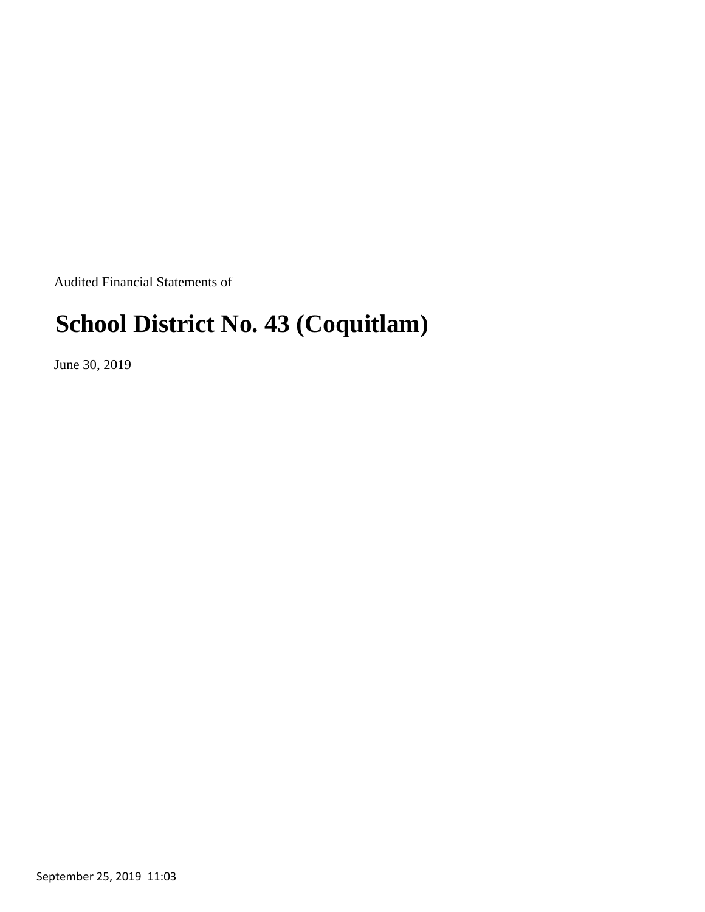Audited Financial Statements of

# **School District No. 43 (Coquitlam)**

June 30, 2019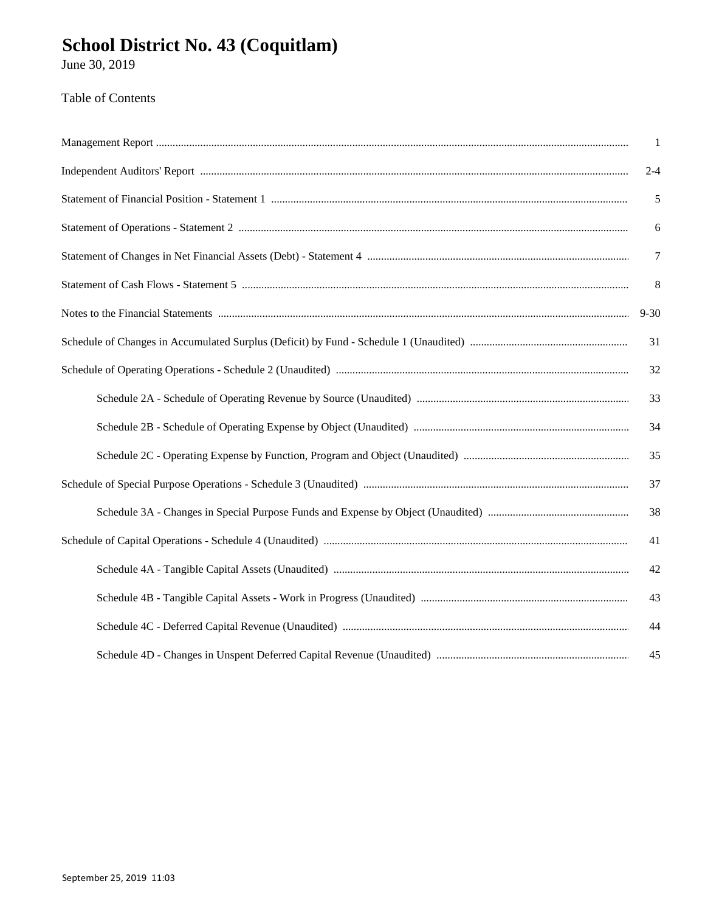June 30, 2019

### Table of Contents

| $\overline{1}$ |
|----------------|
| $2 - 4$        |
| $\sqrt{5}$     |
| $\sqrt{6}$     |
| $\overline{7}$ |
| 8              |
| $9 - 30$       |
| 31             |
| 32             |
| 33             |
| 34             |
| 35             |
| 37             |
| 38             |
| 41             |
| 42             |
| 43             |
| 44             |
| 45             |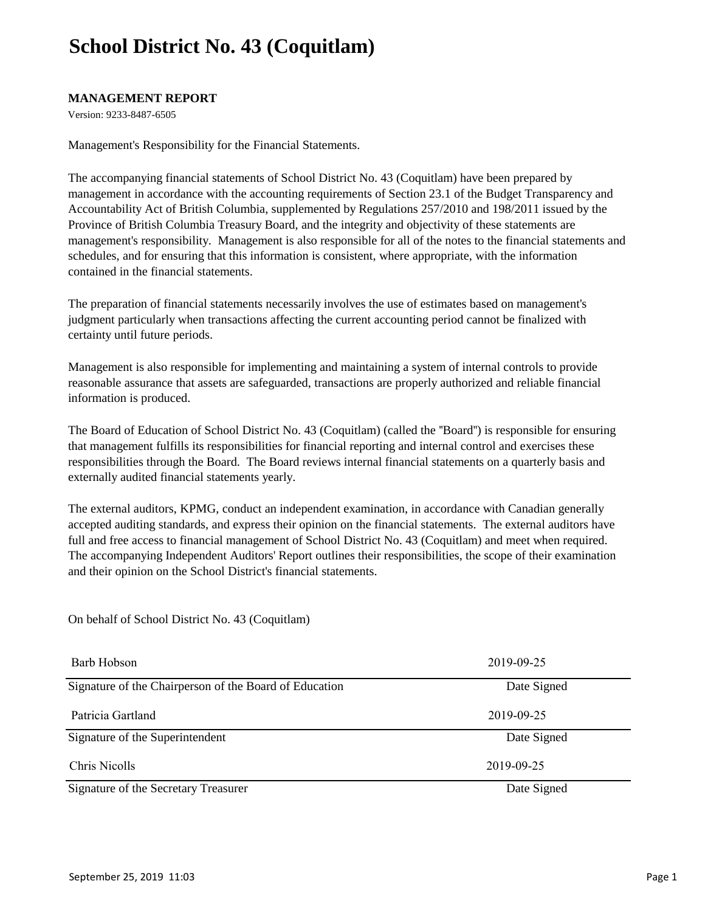### **MANAGEMENT REPORT**

Version: 9233-8487-6505

Management's Responsibility for the Financial Statements.

The accompanying financial statements of School District No. 43 (Coquitlam) have been prepared by management in accordance with the accounting requirements of Section 23.1 of the Budget Transparency and Accountability Act of British Columbia, supplemented by Regulations 257/2010 and 198/2011 issued by the Province of British Columbia Treasury Board, and the integrity and objectivity of these statements are management's responsibility. Management is also responsible for all of the notes to the financial statements and schedules, and for ensuring that this information is consistent, where appropriate, with the information contained in the financial statements.

The preparation of financial statements necessarily involves the use of estimates based on management's judgment particularly when transactions affecting the current accounting period cannot be finalized with certainty until future periods.

Management is also responsible for implementing and maintaining a system of internal controls to provide reasonable assurance that assets are safeguarded, transactions are properly authorized and reliable financial information is produced.

The Board of Education of School District No. 43 (Coquitlam) (called the ''Board'') is responsible for ensuring that management fulfills its responsibilities for financial reporting and internal control and exercises these responsibilities through the Board. The Board reviews internal financial statements on a quarterly basis and externally audited financial statements yearly.

The external auditors, KPMG, conduct an independent examination, in accordance with Canadian generally accepted auditing standards, and express their opinion on the financial statements. The external auditors have full and free access to financial management of School District No. 43 (Coquitlam) and meet when required. The accompanying Independent Auditors' Report outlines their responsibilities, the scope of their examination and their opinion on the School District's financial statements.

On behalf of School District No. 43 (Coquitlam)

| Barb Hobson                                            | 2019-09-25  |
|--------------------------------------------------------|-------------|
| Signature of the Chairperson of the Board of Education | Date Signed |
| Patricia Gartland                                      | 2019-09-25  |
| Signature of the Superintendent                        | Date Signed |
| Chris Nicolls                                          | 2019-09-25  |
| Signature of the Secretary Treasurer                   | Date Signed |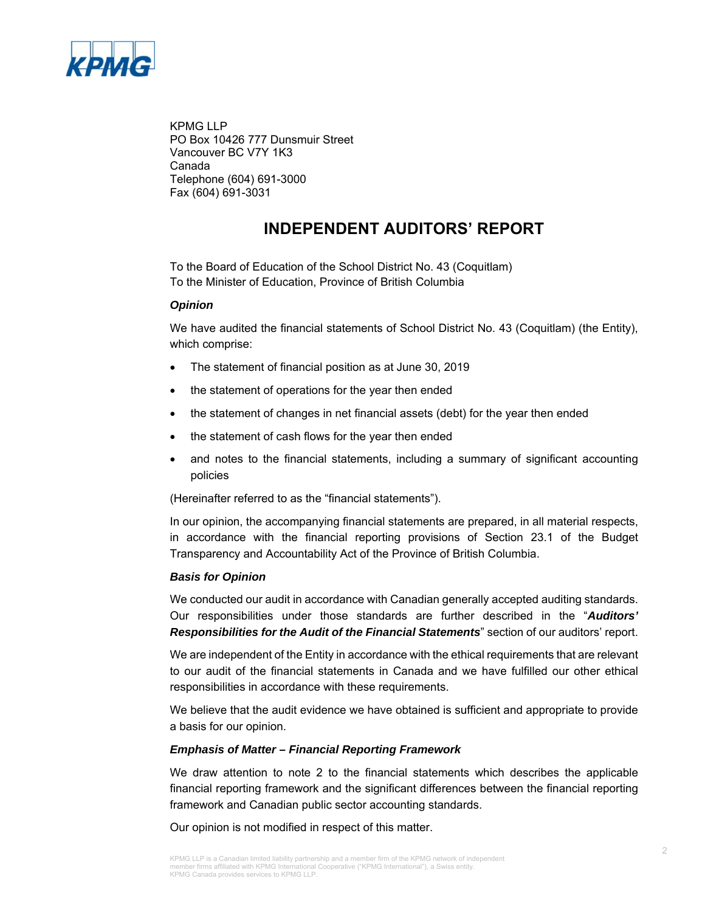

KPMG LLP PO Box 10426 777 Dunsmuir Street Vancouver BC V7Y 1K3 Canada Telephone (604) 691-3000 Fax (604) 691-3031

### **INDEPENDENT AUDITORS' REPORT**

To the Board of Education of the School District No. 43 (Coquitlam) To the Minister of Education, Province of British Columbia

#### *Opinion*

We have audited the financial statements of School District No. 43 (Coquitlam) (the Entity), which comprise:

- The statement of financial position as at June 30, 2019
- the statement of operations for the year then ended
- the statement of changes in net financial assets (debt) for the year then ended
- the statement of cash flows for the year then ended
- and notes to the financial statements, including a summary of significant accounting policies

(Hereinafter referred to as the "financial statements").

In our opinion, the accompanying financial statements are prepared, in all material respects, in accordance with the financial reporting provisions of Section 23.1 of the Budget Transparency and Accountability Act of the Province of British Columbia.

#### *Basis for Opinion*

We conducted our audit in accordance with Canadian generally accepted auditing standards. Our responsibilities under those standards are further described in the "*Auditors' Responsibilities for the Audit of the Financial Statements*" section of our auditors' report.

We are independent of the Entity in accordance with the ethical requirements that are relevant to our audit of the financial statements in Canada and we have fulfilled our other ethical responsibilities in accordance with these requirements.

We believe that the audit evidence we have obtained is sufficient and appropriate to provide a basis for our opinion.

### *Emphasis of Matter – Financial Reporting Framework*

We draw attention to note 2 to the financial statements which describes the applicable financial reporting framework and the significant differences between the financial reporting framework and Canadian public sector accounting standards.

Our opinion is not modified in respect of this matter.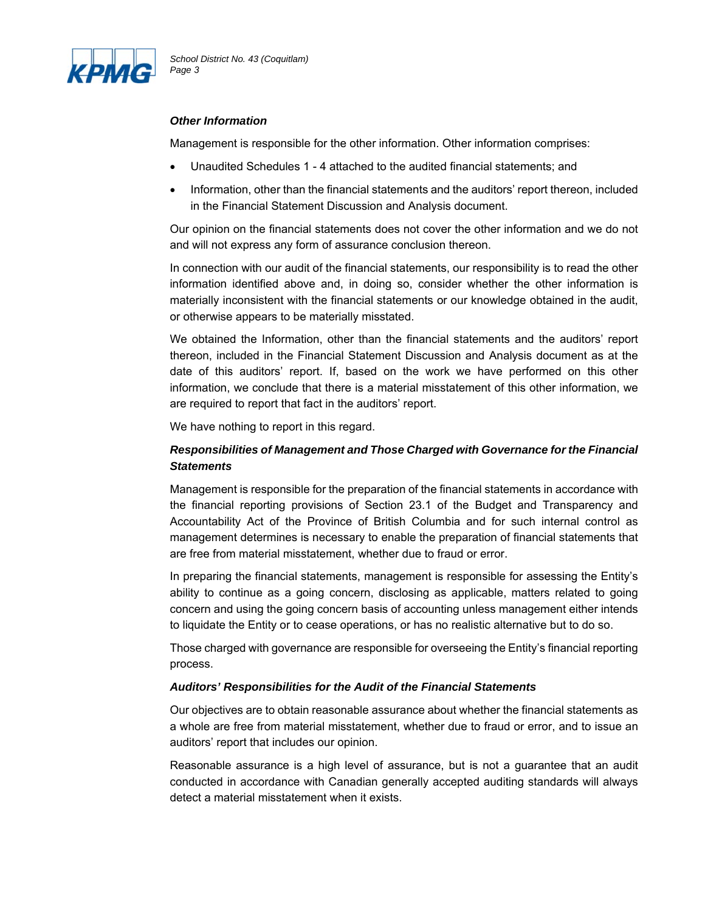

### *Other Information*

Management is responsible for the other information. Other information comprises:

- Unaudited Schedules 1 4 attached to the audited financial statements; and
- Information, other than the financial statements and the auditors' report thereon, included in the Financial Statement Discussion and Analysis document.

Our opinion on the financial statements does not cover the other information and we do not and will not express any form of assurance conclusion thereon.

In connection with our audit of the financial statements, our responsibility is to read the other information identified above and, in doing so, consider whether the other information is materially inconsistent with the financial statements or our knowledge obtained in the audit, or otherwise appears to be materially misstated.

We obtained the Information, other than the financial statements and the auditors' report thereon, included in the Financial Statement Discussion and Analysis document as at the date of this auditors' report. If, based on the work we have performed on this other information, we conclude that there is a material misstatement of this other information, we are required to report that fact in the auditors' report.

We have nothing to report in this regard.

### *Responsibilities of Management and Those Charged with Governance for the Financial Statements*

Management is responsible for the preparation of the financial statements in accordance with the financial reporting provisions of Section 23.1 of the Budget and Transparency and Accountability Act of the Province of British Columbia and for such internal control as management determines is necessary to enable the preparation of financial statements that are free from material misstatement, whether due to fraud or error.

In preparing the financial statements, management is responsible for assessing the Entity's ability to continue as a going concern, disclosing as applicable, matters related to going concern and using the going concern basis of accounting unless management either intends to liquidate the Entity or to cease operations, or has no realistic alternative but to do so.

Those charged with governance are responsible for overseeing the Entity's financial reporting process.

#### *Auditors' Responsibilities for the Audit of the Financial Statements*

Our objectives are to obtain reasonable assurance about whether the financial statements as a whole are free from material misstatement, whether due to fraud or error, and to issue an auditors' report that includes our opinion.

Reasonable assurance is a high level of assurance, but is not a guarantee that an audit conducted in accordance with Canadian generally accepted auditing standards will always detect a material misstatement when it exists.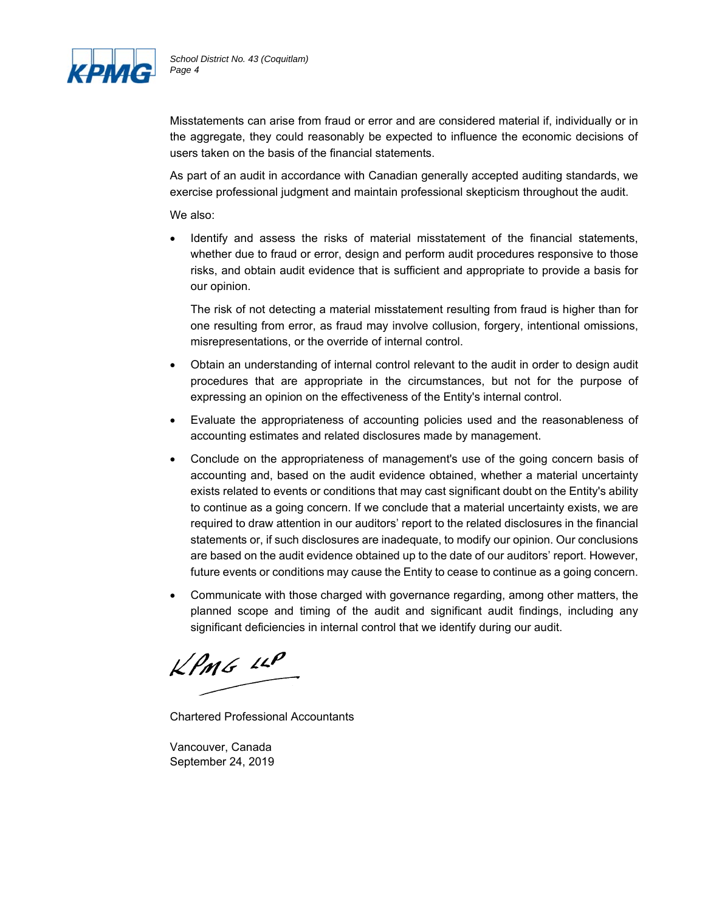

Misstatements can arise from fraud or error and are considered material if, individually or in the aggregate, they could reasonably be expected to influence the economic decisions of users taken on the basis of the financial statements.

As part of an audit in accordance with Canadian generally accepted auditing standards, we exercise professional judgment and maintain professional skepticism throughout the audit.

We also:

 Identify and assess the risks of material misstatement of the financial statements, whether due to fraud or error, design and perform audit procedures responsive to those risks, and obtain audit evidence that is sufficient and appropriate to provide a basis for our opinion.

The risk of not detecting a material misstatement resulting from fraud is higher than for one resulting from error, as fraud may involve collusion, forgery, intentional omissions, misrepresentations, or the override of internal control.

- Obtain an understanding of internal control relevant to the audit in order to design audit procedures that are appropriate in the circumstances, but not for the purpose of expressing an opinion on the effectiveness of the Entity's internal control.
- Evaluate the appropriateness of accounting policies used and the reasonableness of accounting estimates and related disclosures made by management.
- Conclude on the appropriateness of management's use of the going concern basis of accounting and, based on the audit evidence obtained, whether a material uncertainty exists related to events or conditions that may cast significant doubt on the Entity's ability to continue as a going concern. If we conclude that a material uncertainty exists, we are required to draw attention in our auditors' report to the related disclosures in the financial statements or, if such disclosures are inadequate, to modify our opinion. Our conclusions are based on the audit evidence obtained up to the date of our auditors' report. However, future events or conditions may cause the Entity to cease to continue as a going concern.
- Communicate with those charged with governance regarding, among other matters, the planned scope and timing of the audit and significant audit findings, including any significant deficiencies in internal control that we identify during our audit.

 $KPMS$  11P

Chartered Professional Accountants

Vancouver, Canada September 24, 2019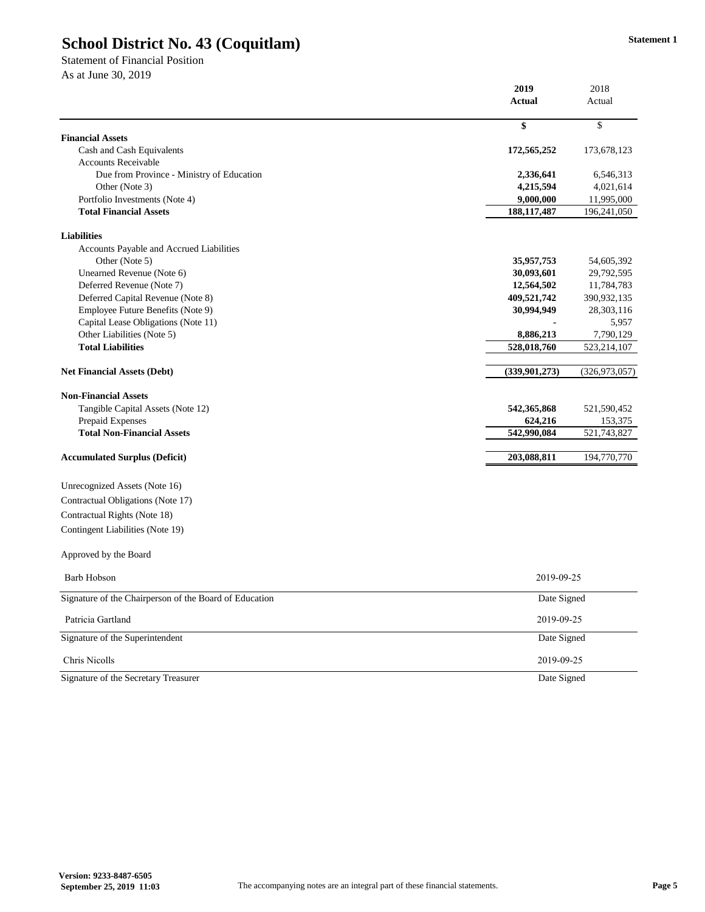Statement of Financial Position As at June 30, 2019

|                                                        | 2019            | 2018            |  |
|--------------------------------------------------------|-----------------|-----------------|--|
|                                                        | <b>Actual</b>   | Actual          |  |
|                                                        | \$              | \$              |  |
| <b>Financial Assets</b>                                |                 |                 |  |
| Cash and Cash Equivalents                              | 172,565,252     | 173,678,123     |  |
| <b>Accounts Receivable</b>                             |                 |                 |  |
| Due from Province - Ministry of Education              | 2,336,641       | 6,546,313       |  |
| Other (Note 3)                                         | 4,215,594       | 4,021,614       |  |
| Portfolio Investments (Note 4)                         | 9,000,000       | 11,995,000      |  |
| <b>Total Financial Assets</b>                          | 188, 117, 487   | 196,241,050     |  |
| <b>Liabilities</b>                                     |                 |                 |  |
| Accounts Payable and Accrued Liabilities               |                 |                 |  |
| Other (Note 5)                                         | 35,957,753      | 54,605,392      |  |
| Unearned Revenue (Note 6)                              | 30,093,601      | 29,792,595      |  |
| Deferred Revenue (Note 7)                              | 12,564,502      | 11,784,783      |  |
| Deferred Capital Revenue (Note 8)                      | 409,521,742     | 390,932,135     |  |
| Employee Future Benefits (Note 9)                      | 30,994,949      | 28,303,116      |  |
| Capital Lease Obligations (Note 11)                    |                 | 5,957           |  |
| Other Liabilities (Note 5)                             | 8,886,213       | 7,790,129       |  |
| <b>Total Liabilities</b>                               | 528,018,760     | 523,214,107     |  |
| <b>Net Financial Assets (Debt)</b>                     | (339, 901, 273) | (326, 973, 057) |  |
| <b>Non-Financial Assets</b>                            |                 |                 |  |
| Tangible Capital Assets (Note 12)                      | 542, 365, 868   | 521,590,452     |  |
| Prepaid Expenses                                       | 624,216         | 153,375         |  |
| <b>Total Non-Financial Assets</b>                      | 542,990,084     | 521,743,827     |  |
| <b>Accumulated Surplus (Deficit)</b>                   | 203,088,811     | 194,770,770     |  |
| Unrecognized Assets (Note 16)                          |                 |                 |  |
| Contractual Obligations (Note 17)                      |                 |                 |  |
| Contractual Rights (Note 18)                           |                 |                 |  |
| Contingent Liabilities (Note 19)                       |                 |                 |  |
| Approved by the Board                                  |                 |                 |  |
| Barb Hobson                                            | 2019-09-25      |                 |  |
| Signature of the Chairperson of the Board of Education |                 | Date Signed     |  |
| Patricia Gartland                                      | 2019-09-25      |                 |  |
| Signature of the Superintendent                        | Date Signed     |                 |  |
| Chris Nicolls                                          | 2019-09-25      |                 |  |
| Signature of the Secretary Treasurer                   | Date Signed     |                 |  |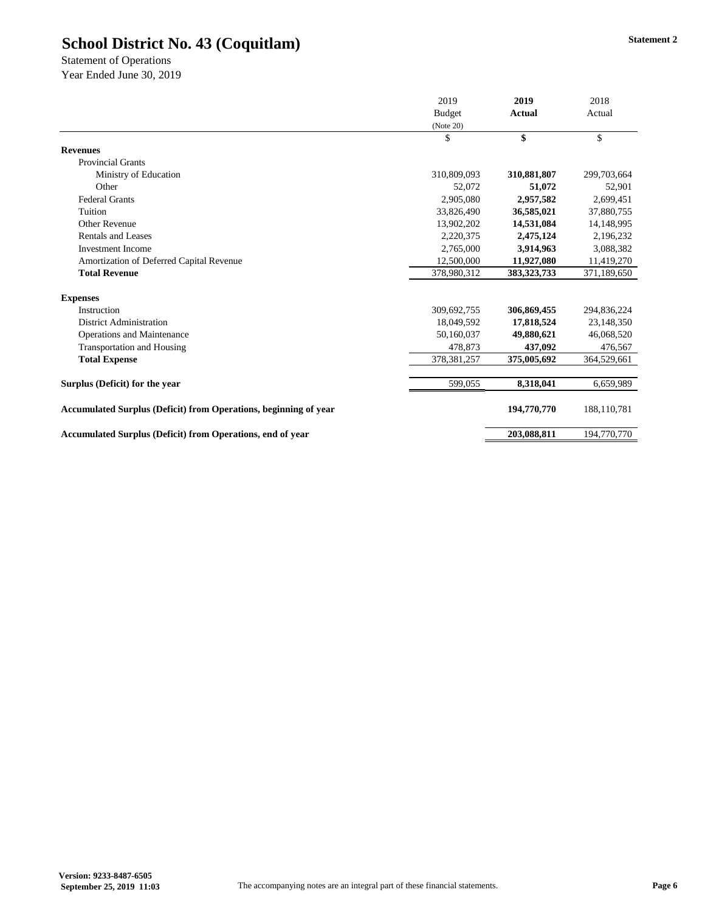Statement of Operations Year Ended June 30, 2019

|                                                                   | 2019<br><b>Budget</b><br>(Note 20) | 2019          | 2018        |
|-------------------------------------------------------------------|------------------------------------|---------------|-------------|
|                                                                   |                                    | <b>Actual</b> | Actual      |
|                                                                   |                                    |               |             |
|                                                                   | \$                                 | \$            | \$          |
| <b>Revenues</b>                                                   |                                    |               |             |
| <b>Provincial Grants</b>                                          |                                    |               |             |
| Ministry of Education                                             | 310,809,093                        | 310,881,807   | 299,703,664 |
| Other                                                             | 52,072                             | 51,072        | 52,901      |
| <b>Federal Grants</b>                                             | 2,905,080                          | 2,957,582     | 2,699,451   |
| Tuition                                                           | 33,826,490                         | 36,585,021    | 37,880,755  |
| Other Revenue                                                     | 13,902,202                         | 14,531,084    | 14,148,995  |
| Rentals and Leases                                                | 2,220,375                          | 2,475,124     | 2,196,232   |
| <b>Investment Income</b>                                          | 2,765,000                          | 3,914,963     | 3,088,382   |
| Amortization of Deferred Capital Revenue                          | 12,500,000                         | 11,927,080    | 11,419,270  |
| <b>Total Revenue</b>                                              | 378,980,312                        | 383, 323, 733 | 371,189,650 |
| <b>Expenses</b>                                                   |                                    |               |             |
| Instruction                                                       | 309,692,755                        | 306,869,455   | 294,836,224 |
| <b>District Administration</b>                                    | 18,049,592                         | 17,818,524    | 23,148,350  |
| Operations and Maintenance                                        | 50,160,037                         | 49,880,621    | 46,068,520  |
| Transportation and Housing                                        | 478,873                            | 437,092       | 476,567     |
| <b>Total Expense</b>                                              | 378, 381, 257                      | 375,005,692   | 364,529,661 |
| Surplus (Deficit) for the year                                    | 599,055                            | 8,318,041     | 6,659,989   |
| Accumulated Surplus (Deficit) from Operations, beginning of year  |                                    | 194,770,770   | 188,110,781 |
| <b>Accumulated Surplus (Deficit) from Operations, end of year</b> |                                    | 203,088,811   | 194,770,770 |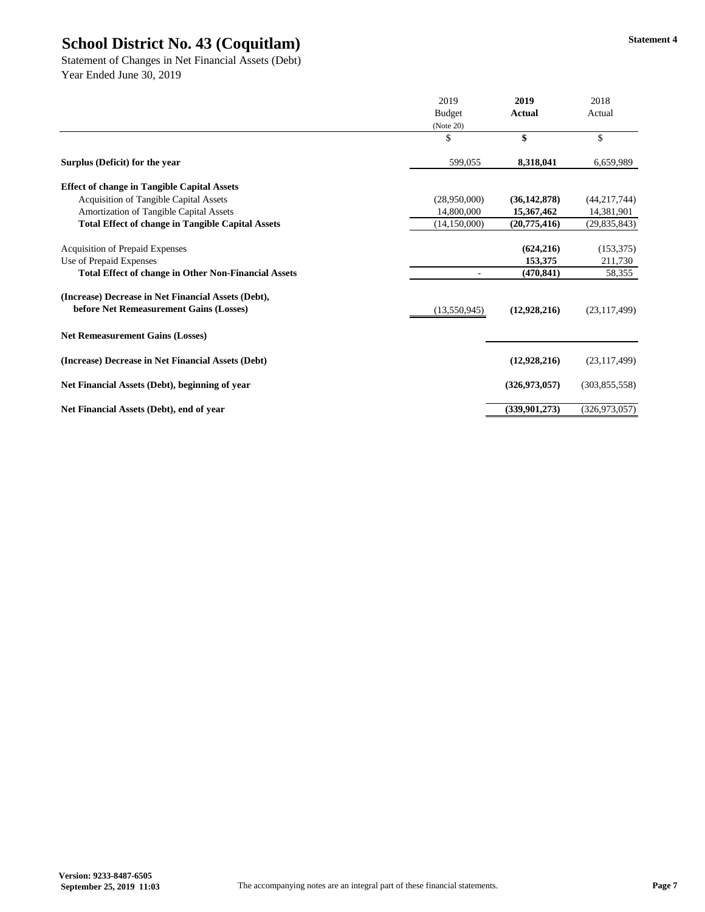Statement of Changes in Net Financial Assets (Debt) Year Ended June 30, 2019

|                                                             | 2019           | 2019            | 2018            |
|-------------------------------------------------------------|----------------|-----------------|-----------------|
|                                                             | <b>Budget</b>  | Actual          | Actual          |
|                                                             | (Note 20)      |                 |                 |
|                                                             | \$             | \$              | \$              |
| Surplus (Deficit) for the year                              | 599,055        | 8,318,041       | 6,659,989       |
| <b>Effect of change in Tangible Capital Assets</b>          |                |                 |                 |
| <b>Acquisition of Tangible Capital Assets</b>               | (28,950,000)   | (36, 142, 878)  | (44, 217, 744)  |
| Amortization of Tangible Capital Assets                     | 14,800,000     | 15,367,462      | 14,381,901      |
| <b>Total Effect of change in Tangible Capital Assets</b>    | (14, 150, 000) | (20, 775, 416)  | (29, 835, 843)  |
| <b>Acquisition of Prepaid Expenses</b>                      |                | (624, 216)      | (153, 375)      |
| Use of Prepaid Expenses                                     |                | 153,375         | 211,730         |
| <b>Total Effect of change in Other Non-Financial Assets</b> |                | (470, 841)      | 58,355          |
| (Increase) Decrease in Net Financial Assets (Debt),         |                |                 |                 |
| before Net Remeasurement Gains (Losses)                     | (13,550,945)   | (12,928,216)    | (23, 117, 499)  |
| <b>Net Remeasurement Gains (Losses)</b>                     |                |                 |                 |
| (Increase) Decrease in Net Financial Assets (Debt)          |                | (12,928,216)    | (23, 117, 499)  |
| Net Financial Assets (Debt), beginning of year              |                | (326, 973, 057) | (303,855,558)   |
| Net Financial Assets (Debt), end of year                    |                | (339,901,273)   | (326, 973, 057) |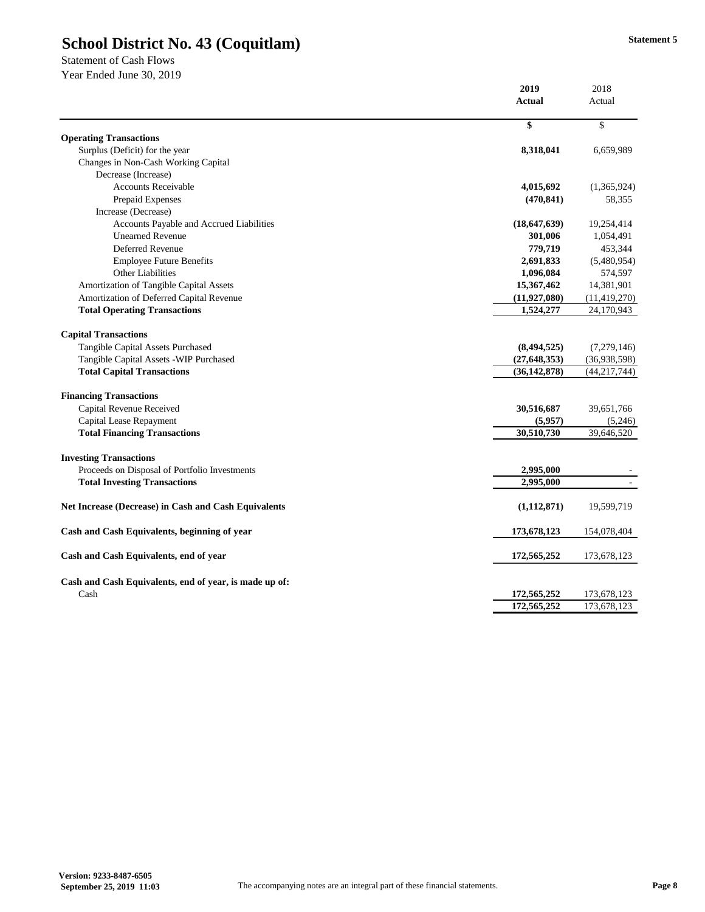Statement of Cash Flows

|                                                        | 2019           | 2018           |
|--------------------------------------------------------|----------------|----------------|
|                                                        | <b>Actual</b>  | Actual         |
|                                                        |                |                |
| <b>Operating Transactions</b>                          | \$             | $\mathbb{S}$   |
| Surplus (Deficit) for the year                         | 8,318,041      | 6,659,989      |
| Changes in Non-Cash Working Capital                    |                |                |
| Decrease (Increase)                                    |                |                |
| <b>Accounts Receivable</b>                             | 4,015,692      | (1,365,924)    |
| Prepaid Expenses                                       | (470, 841)     | 58,355         |
| Increase (Decrease)                                    |                |                |
|                                                        |                |                |
| Accounts Payable and Accrued Liabilities               | (18, 647, 639) | 19,254,414     |
| <b>Unearned Revenue</b><br>Deferred Revenue            | 301,006        | 1,054,491      |
|                                                        | 779,719        | 453,344        |
| <b>Employee Future Benefits</b>                        | 2,691,833      | (5,480,954)    |
| Other Liabilities                                      | 1,096,084      | 574,597        |
| Amortization of Tangible Capital Assets                | 15,367,462     | 14,381,901     |
| Amortization of Deferred Capital Revenue               | (11, 927, 080) | (11, 419, 270) |
| <b>Total Operating Transactions</b>                    | 1,524,277      | 24,170,943     |
| <b>Capital Transactions</b>                            |                |                |
| Tangible Capital Assets Purchased                      | (8, 494, 525)  | (7,279,146)    |
| Tangible Capital Assets - WIP Purchased                | (27, 648, 353) | (36,938,598)   |
| <b>Total Capital Transactions</b>                      | (36, 142, 878) | (44, 217, 744) |
| <b>Financing Transactions</b>                          |                |                |
| Capital Revenue Received                               | 30,516,687     | 39,651,766     |
| Capital Lease Repayment                                | (5,957)        | (5,246)        |
| <b>Total Financing Transactions</b>                    | 30,510,730     | 39,646,520     |
|                                                        |                |                |
| <b>Investing Transactions</b>                          |                |                |
| Proceeds on Disposal of Portfolio Investments          | 2,995,000      |                |
| <b>Total Investing Transactions</b>                    | 2,995,000      |                |
| Net Increase (Decrease) in Cash and Cash Equivalents   | (1, 112, 871)  | 19,599,719     |
| Cash and Cash Equivalents, beginning of year           | 173,678,123    | 154,078,404    |
| Cash and Cash Equivalents, end of year                 | 172,565,252    | 173,678,123    |
| Cash and Cash Equivalents, end of year, is made up of: |                |                |
| Cash                                                   | 172,565,252    | 173,678,123    |
|                                                        | 172,565,252    | 173,678,123    |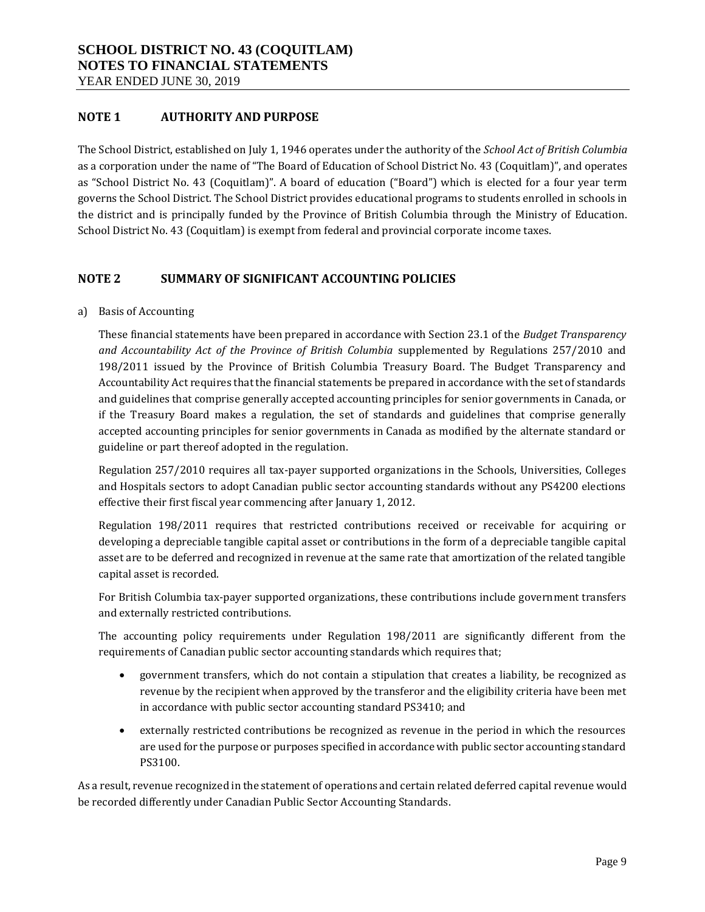### **NOTE 1 AUTHORITY AND PURPOSE**

The School District, established on July 1, 1946 operates under the authority of the *School Act of British Columbia*  as a corporation under the name of "The Board of Education of School District No. 43 (Coquitlam)", and operates as "School District No. 43 (Coquitlam)". A board of education ("Board") which is elected for a four year term governs the School District. The School District provides educational programs to students enrolled in schools in the district and is principally funded by the Province of British Columbia through the Ministry of Education. School District No. 43 (Coquitlam) is exempt from federal and provincial corporate income taxes.

### **NOTE 2 SUMMARY OF SIGNIFICANT ACCOUNTING POLICIES**

a) Basis of Accounting

These financial statements have been prepared in accordance with Section 23.1 of the *Budget Transparency and Accountability Act of the Province of British Columbia* supplemented by Regulations 257/2010 and 198/2011 issued by the Province of British Columbia Treasury Board. The Budget Transparency and Accountability Act requires that the financial statements be prepared in accordance with the set of standards and guidelines that comprise generally accepted accounting principles for senior governments in Canada, or if the Treasury Board makes a regulation, the set of standards and guidelines that comprise generally accepted accounting principles for senior governments in Canada as modified by the alternate standard or guideline or part thereof adopted in the regulation.

Regulation 257/2010 requires all tax-payer supported organizations in the Schools, Universities, Colleges and Hospitals sectors to adopt Canadian public sector accounting standards without any PS4200 elections effective their first fiscal year commencing after January 1, 2012.

Regulation 198/2011 requires that restricted contributions received or receivable for acquiring or developing a depreciable tangible capital asset or contributions in the form of a depreciable tangible capital asset are to be deferred and recognized in revenue at the same rate that amortization of the related tangible capital asset is recorded.

For British Columbia tax-payer supported organizations, these contributions include government transfers and externally restricted contributions.

The accounting policy requirements under Regulation 198/2011 are significantly different from the requirements of Canadian public sector accounting standards which requires that;

- government transfers, which do not contain a stipulation that creates a liability, be recognized as revenue by the recipient when approved by the transferor and the eligibility criteria have been met in accordance with public sector accounting standard PS3410; and
- externally restricted contributions be recognized as revenue in the period in which the resources are used for the purpose or purposes specified in accordance with public sector accounting standard PS3100.

As a result, revenue recognized in the statement of operations and certain related deferred capital revenue would be recorded differently under Canadian Public Sector Accounting Standards.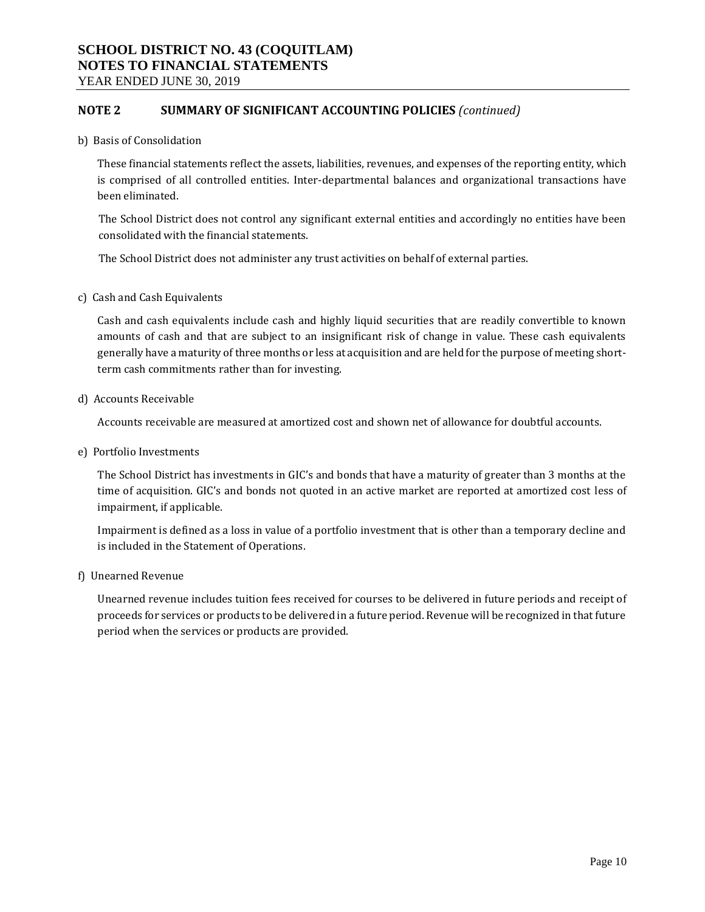YEAR ENDED JUNE 30, 2019

### **NOTE 2 SUMMARY OF SIGNIFICANT ACCOUNTING POLICIES** *(continued)*

b) Basis of Consolidation

These financial statements reflect the assets, liabilities, revenues, and expenses of the reporting entity, which is comprised of all controlled entities. Inter-departmental balances and organizational transactions have been eliminated.

The School District does not control any significant external entities and accordingly no entities have been consolidated with the financial statements.

The School District does not administer any trust activities on behalf of external parties.

c) Cash and Cash Equivalents

Cash and cash equivalents include cash and highly liquid securities that are readily convertible to known amounts of cash and that are subject to an insignificant risk of change in value. These cash equivalents generally have a maturity of three months or less at acquisition and are held for the purpose of meeting shortterm cash commitments rather than for investing.

d) Accounts Receivable

Accounts receivable are measured at amortized cost and shown net of allowance for doubtful accounts.

e) Portfolio Investments

The School District has investments in GIC's and bonds that have a maturity of greater than 3 months at the time of acquisition. GIC's and bonds not quoted in an active market are reported at amortized cost less of impairment, if applicable.

Impairment is defined as a loss in value of a portfolio investment that is other than a temporary decline and is included in the Statement of Operations.

f) Unearned Revenue

Unearned revenue includes tuition fees received for courses to be delivered in future periods and receipt of proceeds for services or products to be delivered in a future period. Revenue will be recognized in that future period when the services or products are provided.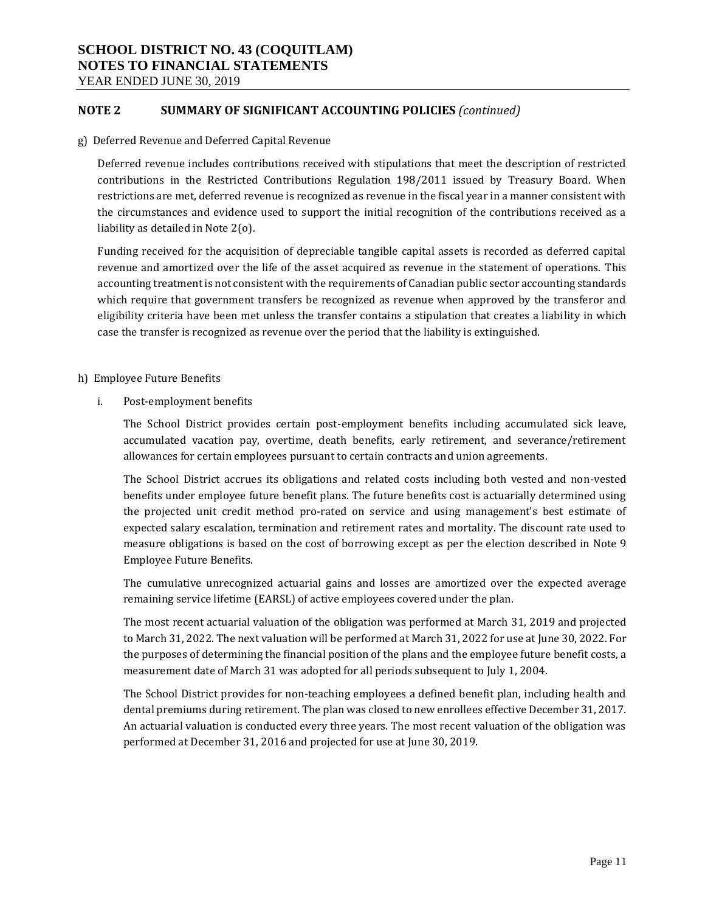YEAR ENDED JUNE 30, 2019

### **NOTE 2 SUMMARY OF SIGNIFICANT ACCOUNTING POLICIES** *(continued)*

g) Deferred Revenue and Deferred Capital Revenue

Deferred revenue includes contributions received with stipulations that meet the description of restricted contributions in the Restricted Contributions Regulation 198/2011 issued by Treasury Board. When restrictions are met, deferred revenue is recognized as revenue in the fiscal year in a manner consistent with the circumstances and evidence used to support the initial recognition of the contributions received as a liability as detailed in Note 2(o).

Funding received for the acquisition of depreciable tangible capital assets is recorded as deferred capital revenue and amortized over the life of the asset acquired as revenue in the statement of operations. This accounting treatment is not consistent with the requirements of Canadian public sector accounting standards which require that government transfers be recognized as revenue when approved by the transferor and eligibility criteria have been met unless the transfer contains a stipulation that creates a liability in which case the transfer is recognized as revenue over the period that the liability is extinguished.

- h) Employee Future Benefits
	- i. Post-employment benefits

The School District provides certain post-employment benefits including accumulated sick leave, accumulated vacation pay, overtime, death benefits, early retirement, and severance/retirement allowances for certain employees pursuant to certain contracts and union agreements.

The School District accrues its obligations and related costs including both vested and non-vested benefits under employee future benefit plans. The future benefits cost is actuarially determined using the projected unit credit method pro-rated on service and using management's best estimate of expected salary escalation, termination and retirement rates and mortality. The discount rate used to measure obligations is based on the cost of borrowing except as per the election described in Note 9 Employee Future Benefits.

The cumulative unrecognized actuarial gains and losses are amortized over the expected average remaining service lifetime (EARSL) of active employees covered under the plan.

The most recent actuarial valuation of the obligation was performed at March 31, 2019 and projected to March 31, 2022. The next valuation will be performed at March 31, 2022 for use at June 30, 2022. For the purposes of determining the financial position of the plans and the employee future benefit costs, a measurement date of March 31 was adopted for all periods subsequent to July 1, 2004.

The School District provides for non-teaching employees a defined benefit plan, including health and dental premiums during retirement. The plan was closed to new enrollees effective December 31, 2017. An actuarial valuation is conducted every three years. The most recent valuation of the obligation was performed at December 31, 2016 and projected for use at June 30, 2019.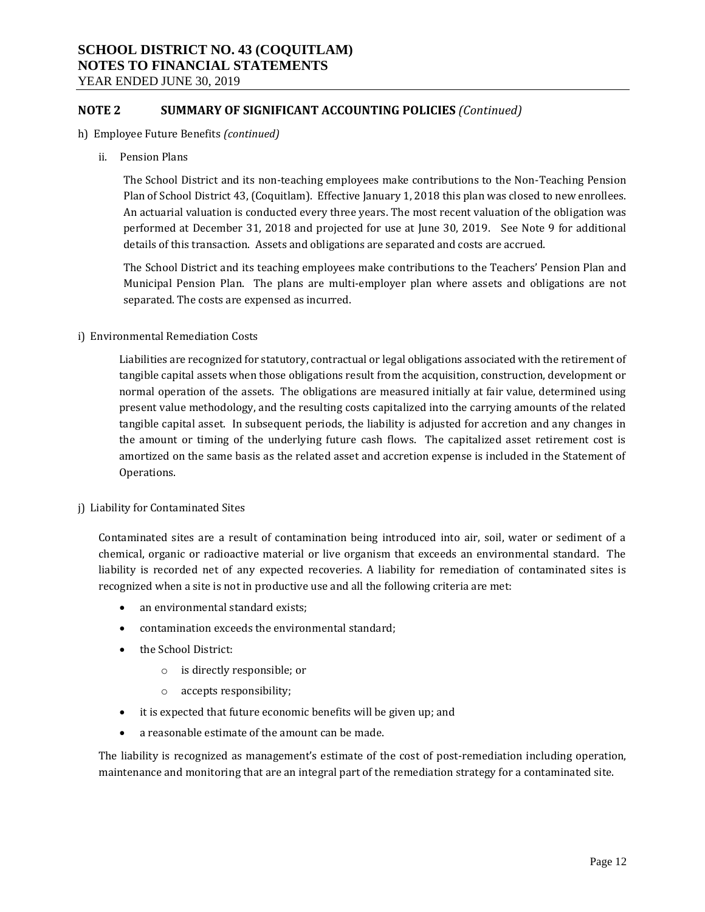YEAR ENDED JUNE 30, 2019

### **NOTE 2 SUMMARY OF SIGNIFICANT ACCOUNTING POLICIES** *(Continued)*

- h) Employee Future Benefits *(continued)*
	- ii. Pension Plans

The School District and its non-teaching employees make contributions to the Non-Teaching Pension Plan of School District 43, (Coquitlam). Effective January 1, 2018 this plan was closed to new enrollees. An actuarial valuation is conducted every three years. The most recent valuation of the obligation was performed at December 31, 2018 and projected for use at June 30, 2019. See Note 9 for additional details of this transaction. Assets and obligations are separated and costs are accrued.

The School District and its teaching employees make contributions to the Teachers' Pension Plan and Municipal Pension Plan. The plans are multi-employer plan where assets and obligations are not separated. The costs are expensed as incurred.

#### i) Environmental Remediation Costs

Liabilities are recognized for statutory, contractual or legal obligations associated with the retirement of tangible capital assets when those obligations result from the acquisition, construction, development or normal operation of the assets. The obligations are measured initially at fair value, determined using present value methodology, and the resulting costs capitalized into the carrying amounts of the related tangible capital asset. In subsequent periods, the liability is adjusted for accretion and any changes in the amount or timing of the underlying future cash flows. The capitalized asset retirement cost is amortized on the same basis as the related asset and accretion expense is included in the Statement of Operations.

#### j) Liability for Contaminated Sites

Contaminated sites are a result of contamination being introduced into air, soil, water or sediment of a chemical, organic or radioactive material or live organism that exceeds an environmental standard. The liability is recorded net of any expected recoveries. A liability for remediation of contaminated sites is recognized when a site is not in productive use and all the following criteria are met:

- an environmental standard exists;
- contamination exceeds the environmental standard;
- the School District:
	- o is directly responsible; or
	- o accepts responsibility;
- it is expected that future economic benefits will be given up; and
- a reasonable estimate of the amount can be made.

The liability is recognized as management's estimate of the cost of post-remediation including operation, maintenance and monitoring that are an integral part of the remediation strategy for a contaminated site.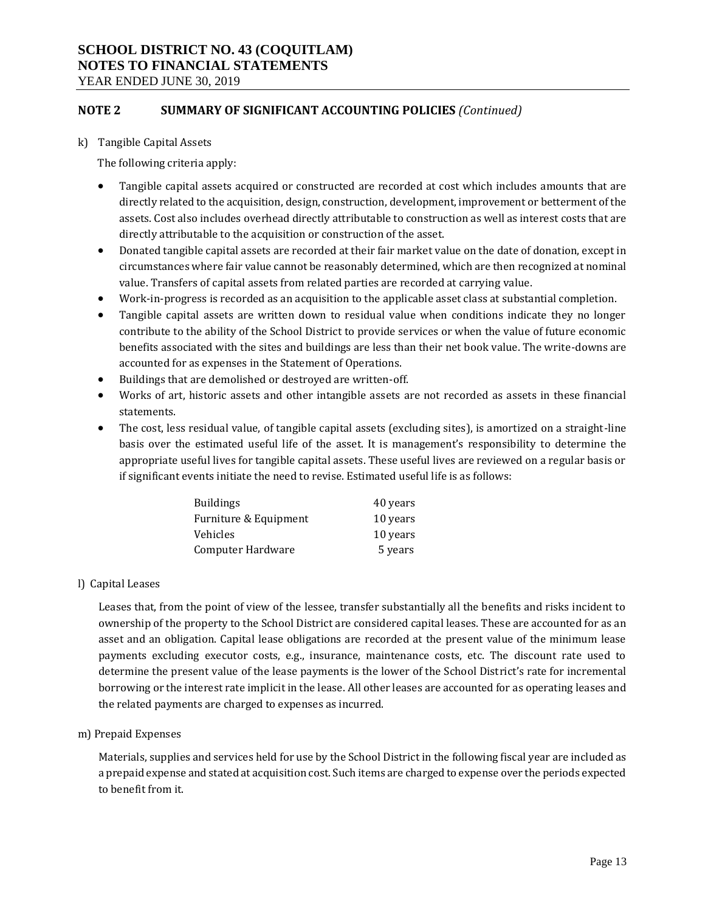YEAR ENDED JUNE 30, 2019

### **NOTE 2 SUMMARY OF SIGNIFICANT ACCOUNTING POLICIES** *(Continued)*

k) Tangible Capital Assets

The following criteria apply:

- Tangible capital assets acquired or constructed are recorded at cost which includes amounts that are directly related to the acquisition, design, construction, development, improvement or betterment of the assets. Cost also includes overhead directly attributable to construction as well as interest costs that are directly attributable to the acquisition or construction of the asset.
- Donated tangible capital assets are recorded at their fair market value on the date of donation, except in circumstances where fair value cannot be reasonably determined, which are then recognized at nominal value. Transfers of capital assets from related parties are recorded at carrying value.
- Work-in-progress is recorded as an acquisition to the applicable asset class at substantial completion.
- Tangible capital assets are written down to residual value when conditions indicate they no longer contribute to the ability of the School District to provide services or when the value of future economic benefits associated with the sites and buildings are less than their net book value. The write-downs are accounted for as expenses in the Statement of Operations.
- Buildings that are demolished or destroyed are written-off.
- Works of art, historic assets and other intangible assets are not recorded as assets in these financial statements.
- The cost, less residual value, of tangible capital assets (excluding sites), is amortized on a straight-line basis over the estimated useful life of the asset. It is management's responsibility to determine the appropriate useful lives for tangible capital assets. These useful lives are reviewed on a regular basis or if significant events initiate the need to revise. Estimated useful life is as follows:

| <b>Buildings</b>      | 40 years |
|-----------------------|----------|
| Furniture & Equipment | 10 years |
| Vehicles              | 10 years |
| Computer Hardware     | 5 years  |

l) Capital Leases

Leases that, from the point of view of the lessee, transfer substantially all the benefits and risks incident to ownership of the property to the School District are considered capital leases. These are accounted for as an asset and an obligation. Capital lease obligations are recorded at the present value of the minimum lease payments excluding executor costs, e.g., insurance, maintenance costs, etc. The discount rate used to determine the present value of the lease payments is the lower of the School District's rate for incremental borrowing or the interest rate implicit in the lease. All other leases are accounted for as operating leases and the related payments are charged to expenses as incurred.

m) Prepaid Expenses

Materials, supplies and services held for use by the School District in the following fiscal year are included as a prepaid expense and stated at acquisition cost. Such items are charged to expense over the periods expected to benefit from it.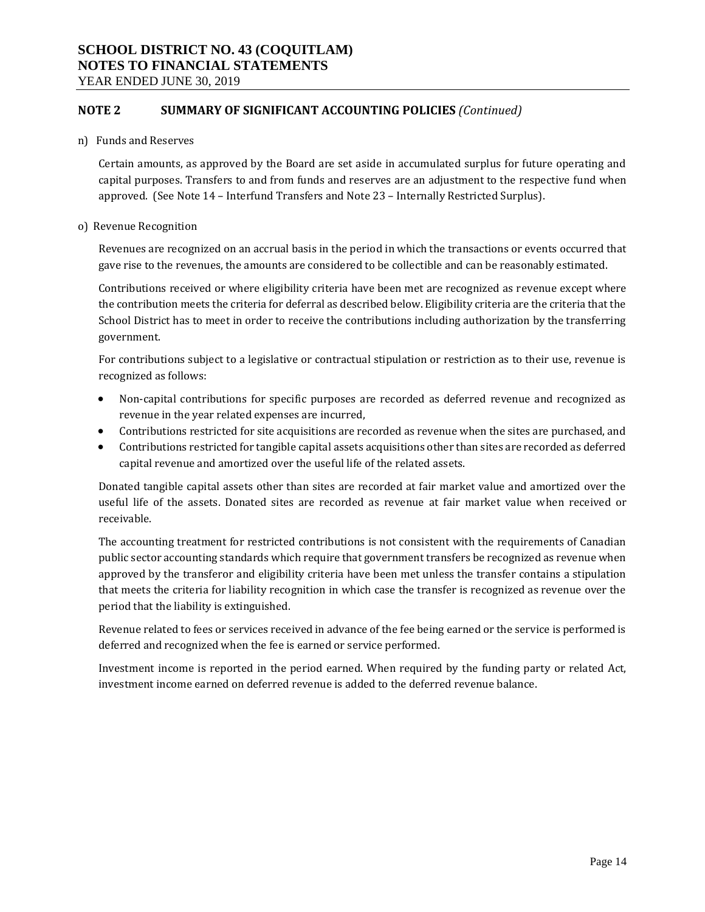YEAR ENDED JUNE 30, 2019

### **NOTE 2 SUMMARY OF SIGNIFICANT ACCOUNTING POLICIES** *(Continued)*

#### n) Funds and Reserves

Certain amounts, as approved by the Board are set aside in accumulated surplus for future operating and capital purposes. Transfers to and from funds and reserves are an adjustment to the respective fund when approved. (See Note 14 – Interfund Transfers and Note 23 – Internally Restricted Surplus).

#### o) Revenue Recognition

Revenues are recognized on an accrual basis in the period in which the transactions or events occurred that gave rise to the revenues, the amounts are considered to be collectible and can be reasonably estimated.

Contributions received or where eligibility criteria have been met are recognized as revenue except where the contribution meets the criteria for deferral as described below. Eligibility criteria are the criteria that the School District has to meet in order to receive the contributions including authorization by the transferring government.

For contributions subject to a legislative or contractual stipulation or restriction as to their use, revenue is recognized as follows:

- Non-capital contributions for specific purposes are recorded as deferred revenue and recognized as revenue in the year related expenses are incurred,
- Contributions restricted for site acquisitions are recorded as revenue when the sites are purchased, and
- Contributions restricted for tangible capital assets acquisitions other than sites are recorded as deferred capital revenue and amortized over the useful life of the related assets.

Donated tangible capital assets other than sites are recorded at fair market value and amortized over the useful life of the assets. Donated sites are recorded as revenue at fair market value when received or receivable.

The accounting treatment for restricted contributions is not consistent with the requirements of Canadian public sector accounting standards which require that government transfers be recognized as revenue when approved by the transferor and eligibility criteria have been met unless the transfer contains a stipulation that meets the criteria for liability recognition in which case the transfer is recognized as revenue over the period that the liability is extinguished.

Revenue related to fees or services received in advance of the fee being earned or the service is performed is deferred and recognized when the fee is earned or service performed.

Investment income is reported in the period earned. When required by the funding party or related Act, investment income earned on deferred revenue is added to the deferred revenue balance.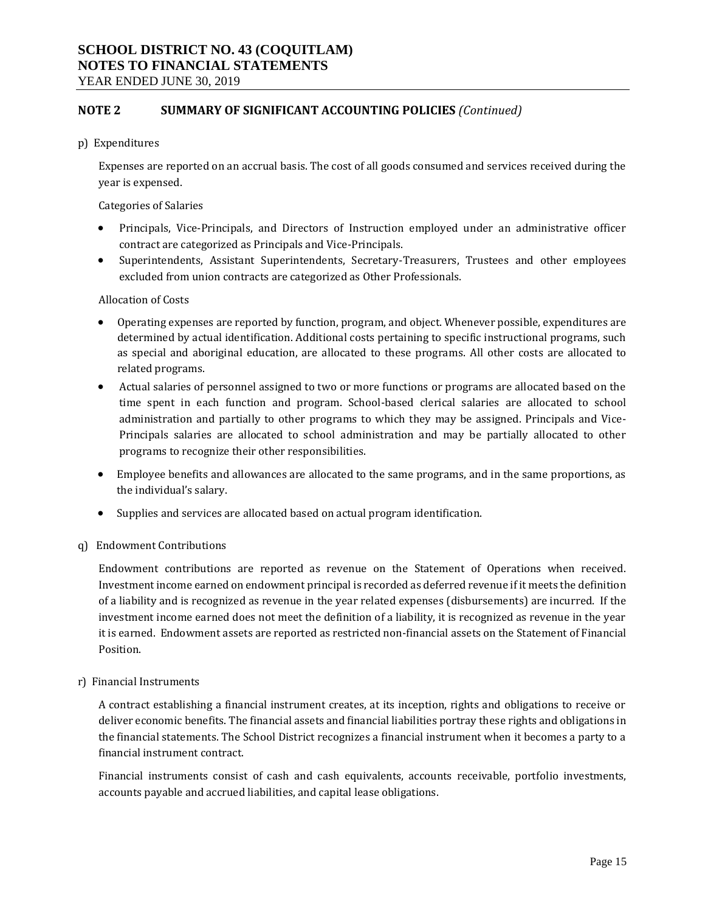YEAR ENDED JUNE 30, 2019

### **NOTE 2 SUMMARY OF SIGNIFICANT ACCOUNTING POLICIES** *(Continued)*

p) Expenditures

Expenses are reported on an accrual basis. The cost of all goods consumed and services received during the year is expensed.

Categories of Salaries

- Principals, Vice-Principals, and Directors of Instruction employed under an administrative officer contract are categorized as Principals and Vice-Principals.
- Superintendents, Assistant Superintendents, Secretary-Treasurers, Trustees and other employees excluded from union contracts are categorized as Other Professionals.

#### Allocation of Costs

- Operating expenses are reported by function, program, and object. Whenever possible, expenditures are determined by actual identification. Additional costs pertaining to specific instructional programs, such as special and aboriginal education, are allocated to these programs. All other costs are allocated to related programs.
- Actual salaries of personnel assigned to two or more functions or programs are allocated based on the time spent in each function and program. School-based clerical salaries are allocated to school administration and partially to other programs to which they may be assigned. Principals and Vice-Principals salaries are allocated to school administration and may be partially allocated to other programs to recognize their other responsibilities.
- Employee benefits and allowances are allocated to the same programs, and in the same proportions, as the individual's salary.
- Supplies and services are allocated based on actual program identification.
- q) Endowment Contributions

Endowment contributions are reported as revenue on the Statement of Operations when received. Investment income earned on endowment principal is recorded as deferred revenue if it meets the definition of a liability and is recognized as revenue in the year related expenses (disbursements) are incurred. If the investment income earned does not meet the definition of a liability, it is recognized as revenue in the year it is earned. Endowment assets are reported as restricted non-financial assets on the Statement of Financial Position.

#### r) Financial Instruments

A contract establishing a financial instrument creates, at its inception, rights and obligations to receive or deliver economic benefits. The financial assets and financial liabilities portray these rights and obligations in the financial statements. The School District recognizes a financial instrument when it becomes a party to a financial instrument contract.

Financial instruments consist of cash and cash equivalents, accounts receivable, portfolio investments, accounts payable and accrued liabilities, and capital lease obligations.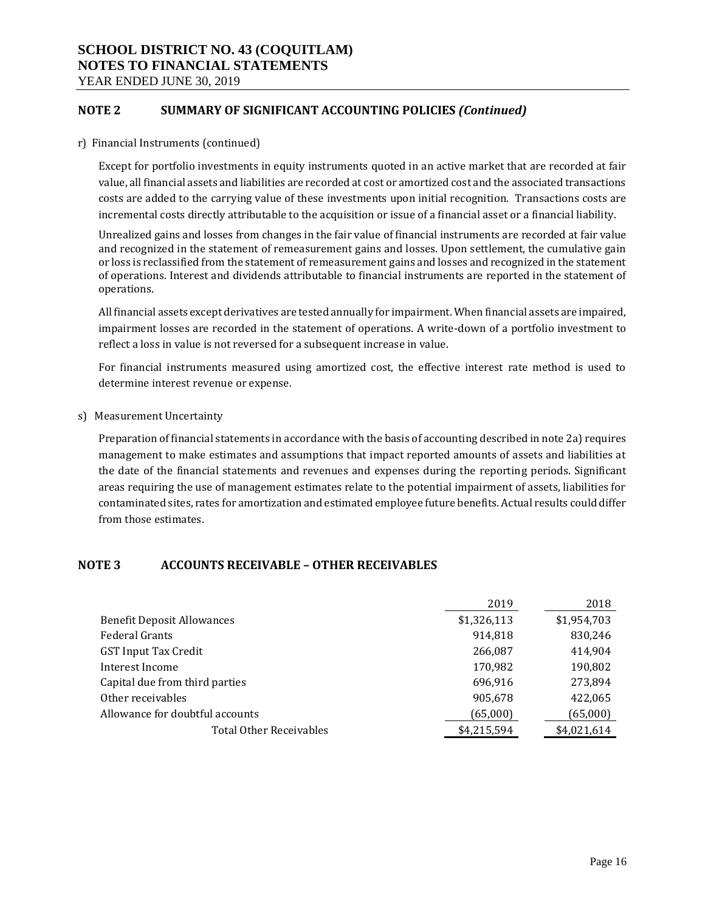YEAR ENDED JUNE 30, 2019

### **NOTE 2 SUMMARY OF SIGNIFICANT ACCOUNTING POLICIES** *(Continued)*

r) Financial Instruments (continued)

Except for portfolio investments in equity instruments quoted in an active market that are recorded at fair value, all financial assets and liabilities are recorded at cost or amortized cost and the associated transactions costs are added to the carrying value of these investments upon initial recognition. Transactions costs are incremental costs directly attributable to the acquisition or issue of a financial asset or a financial liability.

Unrealized gains and losses from changes in the fair value of financial instruments are recorded at fair value and recognized in the statement of remeasurement gains and losses. Upon settlement, the cumulative gain or loss is reclassified from the statement of remeasurement gains and losses and recognized in the statement of operations. Interest and dividends attributable to financial instruments are reported in the statement of operations.

All financial assets except derivatives are tested annually for impairment. When financial assets are impaired, impairment losses are recorded in the statement of operations. A write-down of a portfolio investment to reflect a loss in value is not reversed for a subsequent increase in value.

For financial instruments measured using amortized cost, the effective interest rate method is used to determine interest revenue or expense.

s) Measurement Uncertainty

Preparation of financial statements in accordance with the basis of accounting described in note 2a) requires management to make estimates and assumptions that impact reported amounts of assets and liabilities at the date of the financial statements and revenues and expenses during the reporting periods. Significant areas requiring the use of management estimates relate to the potential impairment of assets, liabilities for contaminated sites, rates for amortization and estimated employee future benefits. Actual results could differ from those estimates.

### **NOTE 3 ACCOUNTS RECEIVABLE – OTHER RECEIVABLES**

|                                   | 2019        | 2018        |
|-----------------------------------|-------------|-------------|
| <b>Benefit Deposit Allowances</b> | \$1,326,113 | \$1,954,703 |
| <b>Federal Grants</b>             | 914,818     | 830,246     |
| <b>GST Input Tax Credit</b>       | 266,087     | 414,904     |
| Interest Income                   | 170,982     | 190,802     |
| Capital due from third parties    | 696,916     | 273,894     |
| Other receivables                 | 905,678     | 422,065     |
| Allowance for doubtful accounts   | (65,000)    | (65,000)    |
| <b>Total Other Receivables</b>    | \$4,215,594 | \$4,021,614 |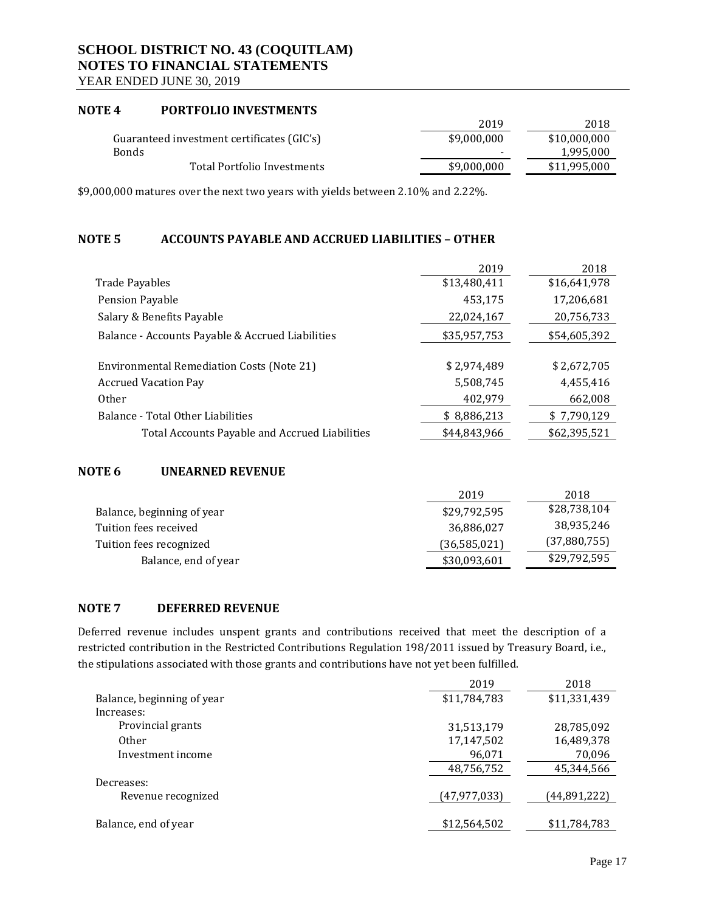YEAR ENDED JUNE 30, 2019

### **NOTE 4 PORTFOLIO INVESTMENTS**

|                                            | 2019                     | 2018         |
|--------------------------------------------|--------------------------|--------------|
| Guaranteed investment certificates (GIC's) | \$9,000,000              | \$10,000,000 |
| <b>Bonds</b>                               | $\overline{\phantom{0}}$ | 1,995,000    |
| Total Portfolio Investments                | \$9,000,000              | \$11,995,000 |

\$9,000,000 matures over the next two years with yields between 2.10% and 2.22%.

### **NOTE 5 ACCOUNTS PAYABLE AND ACCRUED LIABILITIES – OTHER**

|                                                  | 2019         | 2018         |
|--------------------------------------------------|--------------|--------------|
| <b>Trade Payables</b>                            | \$13,480,411 | \$16,641,978 |
| Pension Payable                                  | 453,175      | 17,206,681   |
| Salary & Benefits Payable                        | 22,024,167   | 20,756,733   |
| Balance - Accounts Payable & Accrued Liabilities | \$35,957,753 | \$54,605,392 |
|                                                  |              |              |
| <b>Environmental Remediation Costs (Note 21)</b> | \$2,974,489  | \$2,672,705  |
| <b>Accrued Vacation Pay</b>                      | 5,508,745    | 4,455,416    |
| <b>Other</b>                                     | 402,979      | 662,008      |
| Balance - Total Other Liabilities                | \$8,886,213  | \$7,790,129  |
| Total Accounts Payable and Accrued Liabilities   | \$44,843,966 | \$62,395,521 |

### **NOTE 6 UNEARNED REVENUE**

|                            | 2019           | 2018         |
|----------------------------|----------------|--------------|
| Balance, beginning of year | \$29,792,595   | \$28,738,104 |
| Tuition fees received      | 36,886,027     | 38,935,246   |
| Tuition fees recognized    | (36, 585, 021) | (37,880,755) |
| Balance, end of year       | \$30,093,601   | \$29,792,595 |

### **NOTE 7 DEFERRED REVENUE**

Deferred revenue includes unspent grants and contributions received that meet the description of a restricted contribution in the Restricted Contributions Regulation 198/2011 issued by Treasury Board, i.e., the stipulations associated with those grants and contributions have not yet been fulfilled.

|                            | 2019           | 2018         |
|----------------------------|----------------|--------------|
| Balance, beginning of year | \$11,784,783   | \$11,331,439 |
| Increases:                 |                |              |
| Provincial grants          | 31,513,179     | 28,785,092   |
| <b>Other</b>               | 17,147,502     | 16,489,378   |
| Investment income          | 96,071         | 70,096       |
|                            | 48,756,752     | 45,344,566   |
| Decreases:                 |                |              |
| Revenue recognized         | (47, 977, 033) | (44,891,222) |
|                            |                |              |
| Balance, end of year       | \$12,564,502   | \$11,784,783 |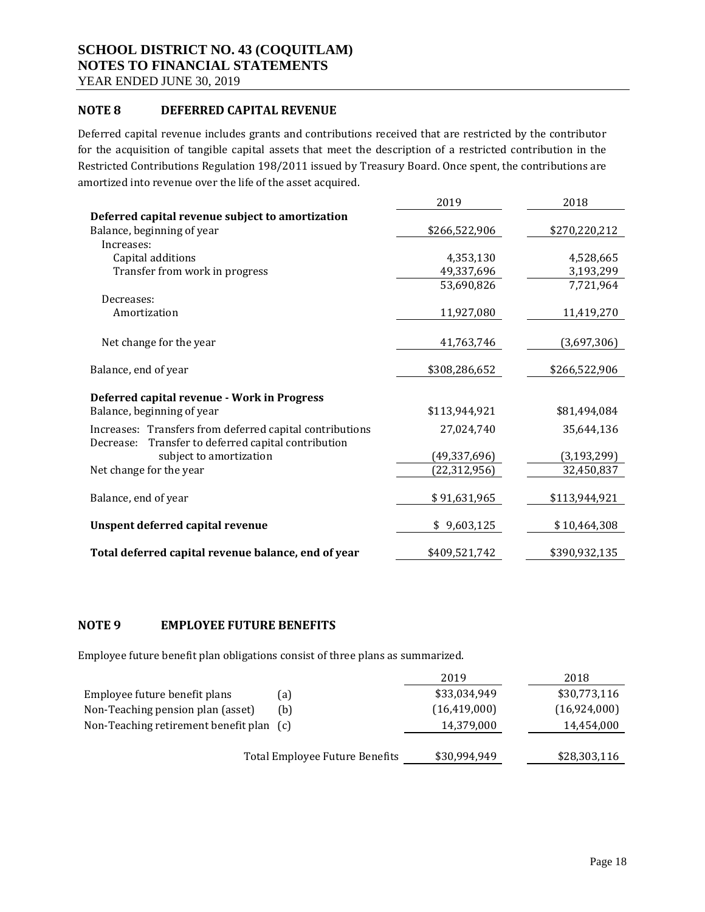YEAR ENDED JUNE 30, 2019

### **NOTE 8 DEFERRED CAPITAL REVENUE**

Deferred capital revenue includes grants and contributions received that are restricted by the contributor for the acquisition of tangible capital assets that meet the description of a restricted contribution in the Restricted Contributions Regulation 198/2011 issued by Treasury Board. Once spent, the contributions are amortized into revenue over the life of the asset acquired.

|                                                          | 2019           | 2018          |
|----------------------------------------------------------|----------------|---------------|
| Deferred capital revenue subject to amortization         |                |               |
| Balance, beginning of year                               | \$266,522,906  | \$270,220,212 |
| Increases:                                               |                |               |
| Capital additions                                        | 4,353,130      | 4,528,665     |
| Transfer from work in progress                           | 49,337,696     | 3,193,299     |
|                                                          | 53,690,826     | 7,721,964     |
| Decreases:                                               |                |               |
| Amortization                                             | 11,927,080     | 11,419,270    |
|                                                          |                |               |
| Net change for the year                                  | 41,763,746     | (3,697,306)   |
|                                                          |                |               |
| Balance, end of year                                     | \$308,286,652  | \$266,522,906 |
|                                                          |                |               |
| Deferred capital revenue - Work in Progress              |                |               |
| Balance, beginning of year                               | \$113,944,921  | \$81,494,084  |
| Increases: Transfers from deferred capital contributions | 27,024,740     | 35,644,136    |
| Transfer to deferred capital contribution<br>Decrease:   |                |               |
| subject to amortization                                  | (49, 337, 696) | (3, 193, 299) |
| Net change for the year                                  | (22, 312, 956) | 32,450,837    |
|                                                          |                |               |
| Balance, end of year                                     | \$91,631,965   | \$113,944,921 |
|                                                          |                |               |
| Unspent deferred capital revenue                         | \$9,603,125    | \$10,464,308  |
|                                                          |                |               |
| Total deferred capital revenue balance, end of year      | \$409,521,742  | \$390,932,135 |

### **NOTE 9 EMPLOYEE FUTURE BENEFITS**

Employee future benefit plan obligations consist of three plans as summarized.

|                                          |                                | 2019           | 2018         |
|------------------------------------------|--------------------------------|----------------|--------------|
| Employee future benefit plans            | (a)                            | \$33,034,949   | \$30,773,116 |
| Non-Teaching pension plan (asset)        | (b)                            | (16, 419, 000) | (16,924,000) |
| Non-Teaching retirement benefit plan (c) |                                | 14,379,000     | 14,454,000   |
|                                          | Total Employee Future Benefits | \$30,994,949   | \$28,303,116 |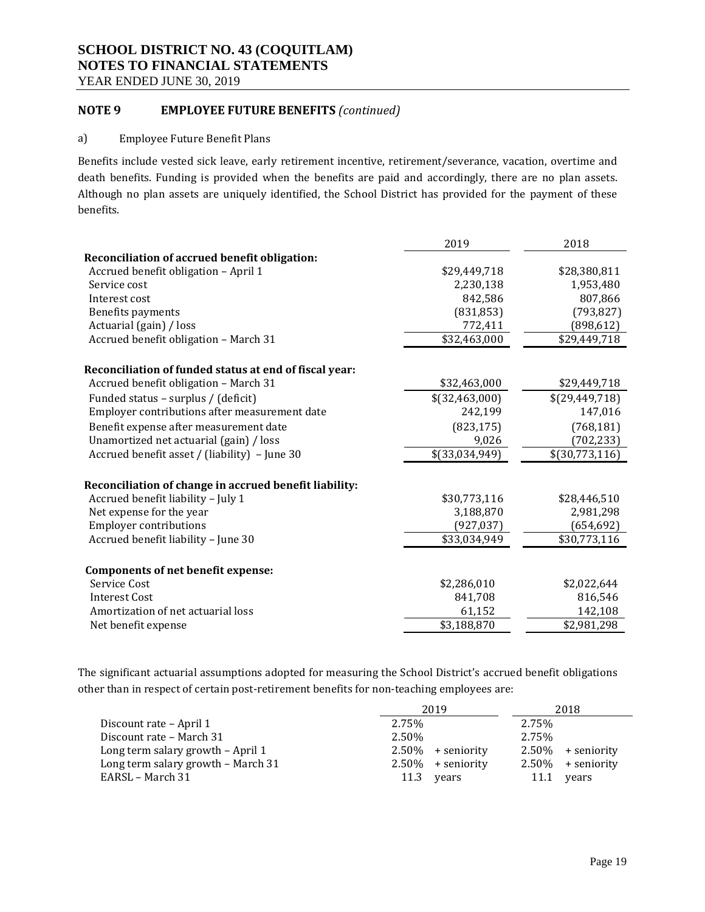YEAR ENDED JUNE 30, 2019

### **NOTE 9 EMPLOYEE FUTURE BENEFITS** *(continued)*

#### a) Employee Future Benefit Plans

Benefits include vested sick leave, early retirement incentive, retirement/severance, vacation, overtime and death benefits. Funding is provided when the benefits are paid and accordingly, there are no plan assets. Although no plan assets are uniquely identified, the School District has provided for the payment of these benefits.

|                                                        | 2019             | 2018           |
|--------------------------------------------------------|------------------|----------------|
| Reconciliation of accrued benefit obligation:          |                  |                |
| Accrued benefit obligation - April 1                   | \$29,449,718     | \$28,380,811   |
| Service cost                                           | 2,230,138        | 1,953,480      |
| Interest cost                                          | 842,586          | 807,866        |
| Benefits payments                                      | (831, 853)       | (793, 827)     |
| Actuarial (gain) / loss                                | 772,411          | (898, 612)     |
| Accrued benefit obligation - March 31                  | \$32,463,000     | \$29,449,718   |
| Reconciliation of funded status at end of fiscal year: |                  |                |
| Accrued benefit obligation - March 31                  | \$32,463,000     | \$29,449,718   |
| Funded status - surplus / (deficit)                    | \$(32,463,000)   | \$(29,449,718) |
| Employer contributions after measurement date          | 242,199          | 147,016        |
| Benefit expense after measurement date                 | (823, 175)       | (768, 181)     |
| Unamortized net actuarial (gain) / loss                | 9,026            | (702, 233)     |
| Accrued benefit asset / (liability) - June 30          | $$$ (33,034,949) | \$(30,773,116) |
| Reconciliation of change in accrued benefit liability: |                  |                |
| Accrued benefit liability - July 1                     | \$30,773,116     | \$28,446,510   |
| Net expense for the year                               | 3,188,870        | 2,981,298      |
| <b>Employer contributions</b>                          | (927, 037)       | (654,692)      |
| Accrued benefit liability - June 30                    | \$33,034,949     | \$30,773,116   |
| <b>Components of net benefit expense:</b>              |                  |                |
| Service Cost                                           | \$2,286,010      | \$2,022,644    |
| <b>Interest Cost</b>                                   | 841,708          | 816,546        |
| Amortization of net actuarial loss                     | 61,152           | 142,108        |
| Net benefit expense                                    | \$3,188,870      | \$2,981,298    |
|                                                        |                  |                |

The significant actuarial assumptions adopted for measuring the School District's accrued benefit obligations other than in respect of certain post-retirement benefits for non-teaching employees are:

|                                    | 2019                 |       | 2018  |                      |
|------------------------------------|----------------------|-------|-------|----------------------|
| Discount rate – April 1            | 2.75%                |       | 2.75% |                      |
| Discount rate – March 31           | 2.50%                |       | 2.75% |                      |
| Long term salary growth - April 1  | $2.50\%$ + seniority |       |       | $2.50\%$ + seniority |
| Long term salary growth - March 31 | $2.50\%$ + seniority |       |       | $2.50\%$ + seniority |
| EARSL – March 31                   | 11.3                 | vears | 11.1  | vears                |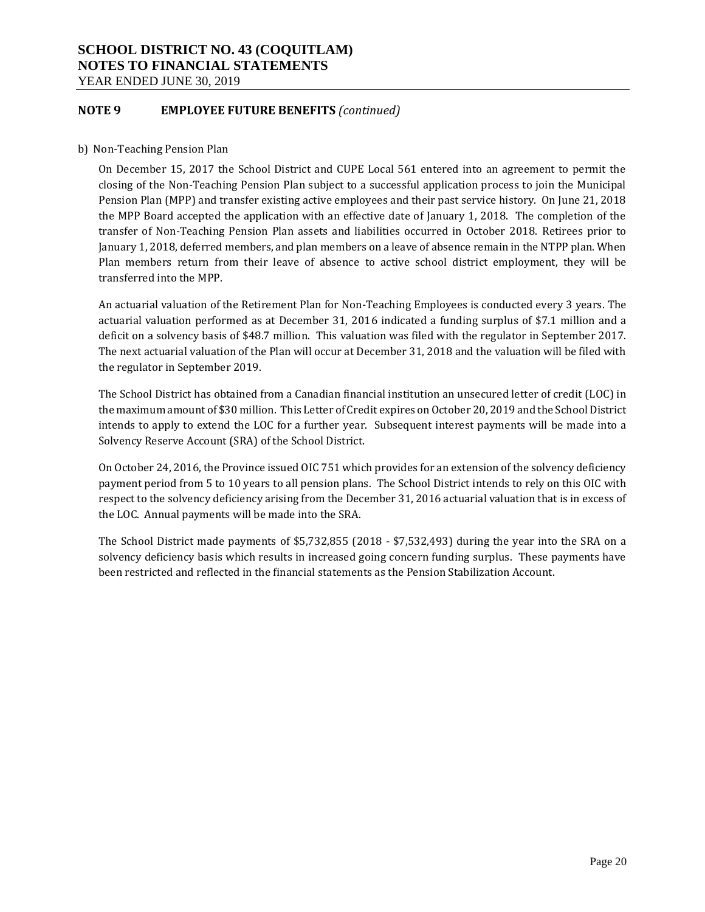### **SCHOOL DISTRICT NO. 43 (COQUITLAM) NOTES TO FINANCIAL STATEMENTS**  YEAR ENDED JUNE 30, 2019

### **NOTE 9 EMPLOYEE FUTURE BENEFITS** *(continued)*

b) Non-Teaching Pension Plan

On December 15, 2017 the School District and CUPE Local 561 entered into an agreement to permit the closing of the Non-Teaching Pension Plan subject to a successful application process to join the Municipal Pension Plan (MPP) and transfer existing active employees and their past service history. On June 21, 2018 the MPP Board accepted the application with an effective date of January 1, 2018. The completion of the transfer of Non-Teaching Pension Plan assets and liabilities occurred in October 2018. Retirees prior to January 1, 2018, deferred members, and plan members on a leave of absence remain in the NTPP plan. When Plan members return from their leave of absence to active school district employment, they will be transferred into the MPP.

An actuarial valuation of the Retirement Plan for Non-Teaching Employees is conducted every 3 years. The actuarial valuation performed as at December 31, 2016 indicated a funding surplus of \$7.1 million and a deficit on a solvency basis of \$48.7 million. This valuation was filed with the regulator in September 2017. The next actuarial valuation of the Plan will occur at December 31, 2018 and the valuation will be filed with the regulator in September 2019.

The School District has obtained from a Canadian financial institution an unsecured letter of credit (LOC) in the maximum amount of \$30 million. This Letter of Credit expires on October 20, 2019 and the School District intends to apply to extend the LOC for a further year. Subsequent interest payments will be made into a Solvency Reserve Account (SRA) of the School District.

On October 24, 2016, the Province issued OIC 751 which provides for an extension of the solvency deficiency payment period from 5 to 10 years to all pension plans. The School District intends to rely on this OIC with respect to the solvency deficiency arising from the December 31, 2016 actuarial valuation that is in excess of the LOC. Annual payments will be made into the SRA.

The School District made payments of \$5,732,855 (2018 - \$7,532,493) during the year into the SRA on a solvency deficiency basis which results in increased going concern funding surplus. These payments have been restricted and reflected in the financial statements as the Pension Stabilization Account.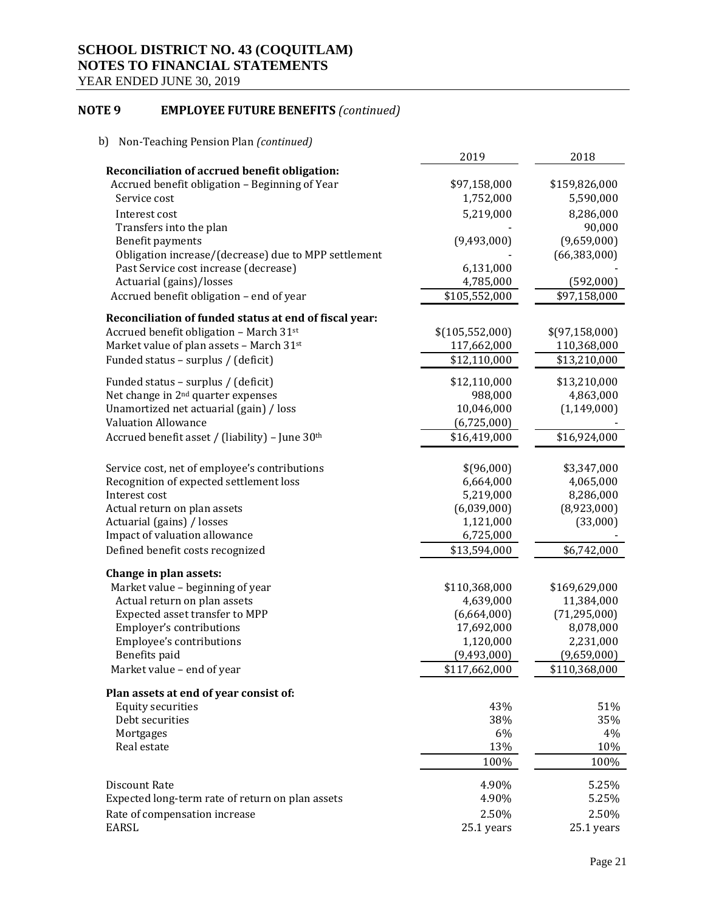YEAR ENDED JUNE 30, 2019

### **NOTE 9 EMPLOYEE FUTURE BENEFITS** *(continued)*

| 2019<br>2018<br>Reconciliation of accrued benefit obligation:<br>Accrued benefit obligation - Beginning of Year<br>\$97,158,000<br>\$159,826,000<br>Service cost<br>1,752,000<br>5,590,000<br>5,219,000<br>8,286,000<br>Interest cost<br>90,000<br>Transfers into the plan<br>(9,659,000)<br>Benefit payments<br>(9,493,000)<br>Obligation increase/(decrease) due to MPP settlement<br>(66, 383, 000)<br>Past Service cost increase (decrease)<br>6,131,000<br>Actuarial (gains)/losses<br>4,785,000<br>(592,000)<br>Accrued benefit obligation - end of year<br>\$105,552,000<br>\$97,158,000<br>Reconciliation of funded status at end of fiscal year:<br>Accrued benefit obligation - March 31st<br>\$(105, 552, 000)<br>\$(97,158,000)<br>Market value of plan assets - March 31st<br>117,662,000<br>110,368,000<br>Funded status - surplus / (deficit)<br>\$12,110,000<br>\$13,210,000<br>Funded status - surplus / (deficit)<br>\$12,110,000<br>\$13,210,000<br>Net change in 2 <sup>nd</sup> quarter expenses<br>988,000<br>4,863,000<br>Unamortized net actuarial (gain) / loss<br>10,046,000<br>(1, 149, 000)<br><b>Valuation Allowance</b><br>(6,725,000)<br>Accrued benefit asset / (liability) - June 30th<br>\$16,419,000<br>\$16,924,000<br>Service cost, net of employee's contributions<br>\$(96,000)<br>\$3,347,000<br>Recognition of expected settlement loss<br>6,664,000<br>4,065,000<br>Interest cost<br>5,219,000<br>8,286,000<br>Actual return on plan assets<br>(8,923,000)<br>(6,039,000)<br>Actuarial (gains) / losses<br>1,121,000<br>(33,000)<br>Impact of valuation allowance<br>6,725,000<br>Defined benefit costs recognized<br>\$6,742,000<br>\$13,594,000<br>Change in plan assets:<br>Market value - beginning of year<br>\$110,368,000<br>\$169,629,000<br>Actual return on plan assets<br>4,639,000<br>11,384,000<br>Expected asset transfer to MPP<br>(71, 295, 000)<br>(6,664,000)<br>Employer's contributions<br>17,692,000<br>8,078,000<br>Employee's contributions<br>1,120,000<br>2,231,000<br>Benefits paid<br>(9,493,000)<br>(9,659,000)<br>Market value - end of year<br>\$117,662,000<br>\$110,368,000<br>Plan assets at end of year consist of:<br><b>Equity securities</b><br>43%<br>51%<br>Debt securities<br>38%<br>35%<br>6%<br>Mortgages<br>4%<br>13%<br>10%<br>Real estate<br>100%<br>100%<br>4.90%<br>5.25%<br>Discount Rate<br>Expected long-term rate of return on plan assets<br>4.90%<br>5.25%<br>Rate of compensation increase<br>2.50%<br>2.50%<br>EARSL<br>25.1 years<br>25.1 years | b)<br>Non-Teaching Pension Plan (continued) |  |
|---------------------------------------------------------------------------------------------------------------------------------------------------------------------------------------------------------------------------------------------------------------------------------------------------------------------------------------------------------------------------------------------------------------------------------------------------------------------------------------------------------------------------------------------------------------------------------------------------------------------------------------------------------------------------------------------------------------------------------------------------------------------------------------------------------------------------------------------------------------------------------------------------------------------------------------------------------------------------------------------------------------------------------------------------------------------------------------------------------------------------------------------------------------------------------------------------------------------------------------------------------------------------------------------------------------------------------------------------------------------------------------------------------------------------------------------------------------------------------------------------------------------------------------------------------------------------------------------------------------------------------------------------------------------------------------------------------------------------------------------------------------------------------------------------------------------------------------------------------------------------------------------------------------------------------------------------------------------------------------------------------------------------------------------------------------------------------------------------------------------------------------------------------------------------------------------------------------------------------------------------------------------------------------------------------------------------------------------------------------------------------------------------------------------------------------------------------------------------------------------------------------------------------------------------|---------------------------------------------|--|
|                                                                                                                                                                                                                                                                                                                                                                                                                                                                                                                                                                                                                                                                                                                                                                                                                                                                                                                                                                                                                                                                                                                                                                                                                                                                                                                                                                                                                                                                                                                                                                                                                                                                                                                                                                                                                                                                                                                                                                                                                                                                                                                                                                                                                                                                                                                                                                                                                                                                                                                                                   |                                             |  |
|                                                                                                                                                                                                                                                                                                                                                                                                                                                                                                                                                                                                                                                                                                                                                                                                                                                                                                                                                                                                                                                                                                                                                                                                                                                                                                                                                                                                                                                                                                                                                                                                                                                                                                                                                                                                                                                                                                                                                                                                                                                                                                                                                                                                                                                                                                                                                                                                                                                                                                                                                   |                                             |  |
|                                                                                                                                                                                                                                                                                                                                                                                                                                                                                                                                                                                                                                                                                                                                                                                                                                                                                                                                                                                                                                                                                                                                                                                                                                                                                                                                                                                                                                                                                                                                                                                                                                                                                                                                                                                                                                                                                                                                                                                                                                                                                                                                                                                                                                                                                                                                                                                                                                                                                                                                                   |                                             |  |
|                                                                                                                                                                                                                                                                                                                                                                                                                                                                                                                                                                                                                                                                                                                                                                                                                                                                                                                                                                                                                                                                                                                                                                                                                                                                                                                                                                                                                                                                                                                                                                                                                                                                                                                                                                                                                                                                                                                                                                                                                                                                                                                                                                                                                                                                                                                                                                                                                                                                                                                                                   |                                             |  |
|                                                                                                                                                                                                                                                                                                                                                                                                                                                                                                                                                                                                                                                                                                                                                                                                                                                                                                                                                                                                                                                                                                                                                                                                                                                                                                                                                                                                                                                                                                                                                                                                                                                                                                                                                                                                                                                                                                                                                                                                                                                                                                                                                                                                                                                                                                                                                                                                                                                                                                                                                   |                                             |  |
|                                                                                                                                                                                                                                                                                                                                                                                                                                                                                                                                                                                                                                                                                                                                                                                                                                                                                                                                                                                                                                                                                                                                                                                                                                                                                                                                                                                                                                                                                                                                                                                                                                                                                                                                                                                                                                                                                                                                                                                                                                                                                                                                                                                                                                                                                                                                                                                                                                                                                                                                                   |                                             |  |
|                                                                                                                                                                                                                                                                                                                                                                                                                                                                                                                                                                                                                                                                                                                                                                                                                                                                                                                                                                                                                                                                                                                                                                                                                                                                                                                                                                                                                                                                                                                                                                                                                                                                                                                                                                                                                                                                                                                                                                                                                                                                                                                                                                                                                                                                                                                                                                                                                                                                                                                                                   |                                             |  |
|                                                                                                                                                                                                                                                                                                                                                                                                                                                                                                                                                                                                                                                                                                                                                                                                                                                                                                                                                                                                                                                                                                                                                                                                                                                                                                                                                                                                                                                                                                                                                                                                                                                                                                                                                                                                                                                                                                                                                                                                                                                                                                                                                                                                                                                                                                                                                                                                                                                                                                                                                   |                                             |  |
|                                                                                                                                                                                                                                                                                                                                                                                                                                                                                                                                                                                                                                                                                                                                                                                                                                                                                                                                                                                                                                                                                                                                                                                                                                                                                                                                                                                                                                                                                                                                                                                                                                                                                                                                                                                                                                                                                                                                                                                                                                                                                                                                                                                                                                                                                                                                                                                                                                                                                                                                                   |                                             |  |
|                                                                                                                                                                                                                                                                                                                                                                                                                                                                                                                                                                                                                                                                                                                                                                                                                                                                                                                                                                                                                                                                                                                                                                                                                                                                                                                                                                                                                                                                                                                                                                                                                                                                                                                                                                                                                                                                                                                                                                                                                                                                                                                                                                                                                                                                                                                                                                                                                                                                                                                                                   |                                             |  |
|                                                                                                                                                                                                                                                                                                                                                                                                                                                                                                                                                                                                                                                                                                                                                                                                                                                                                                                                                                                                                                                                                                                                                                                                                                                                                                                                                                                                                                                                                                                                                                                                                                                                                                                                                                                                                                                                                                                                                                                                                                                                                                                                                                                                                                                                                                                                                                                                                                                                                                                                                   |                                             |  |
|                                                                                                                                                                                                                                                                                                                                                                                                                                                                                                                                                                                                                                                                                                                                                                                                                                                                                                                                                                                                                                                                                                                                                                                                                                                                                                                                                                                                                                                                                                                                                                                                                                                                                                                                                                                                                                                                                                                                                                                                                                                                                                                                                                                                                                                                                                                                                                                                                                                                                                                                                   |                                             |  |
|                                                                                                                                                                                                                                                                                                                                                                                                                                                                                                                                                                                                                                                                                                                                                                                                                                                                                                                                                                                                                                                                                                                                                                                                                                                                                                                                                                                                                                                                                                                                                                                                                                                                                                                                                                                                                                                                                                                                                                                                                                                                                                                                                                                                                                                                                                                                                                                                                                                                                                                                                   |                                             |  |
|                                                                                                                                                                                                                                                                                                                                                                                                                                                                                                                                                                                                                                                                                                                                                                                                                                                                                                                                                                                                                                                                                                                                                                                                                                                                                                                                                                                                                                                                                                                                                                                                                                                                                                                                                                                                                                                                                                                                                                                                                                                                                                                                                                                                                                                                                                                                                                                                                                                                                                                                                   |                                             |  |
|                                                                                                                                                                                                                                                                                                                                                                                                                                                                                                                                                                                                                                                                                                                                                                                                                                                                                                                                                                                                                                                                                                                                                                                                                                                                                                                                                                                                                                                                                                                                                                                                                                                                                                                                                                                                                                                                                                                                                                                                                                                                                                                                                                                                                                                                                                                                                                                                                                                                                                                                                   |                                             |  |
|                                                                                                                                                                                                                                                                                                                                                                                                                                                                                                                                                                                                                                                                                                                                                                                                                                                                                                                                                                                                                                                                                                                                                                                                                                                                                                                                                                                                                                                                                                                                                                                                                                                                                                                                                                                                                                                                                                                                                                                                                                                                                                                                                                                                                                                                                                                                                                                                                                                                                                                                                   |                                             |  |
|                                                                                                                                                                                                                                                                                                                                                                                                                                                                                                                                                                                                                                                                                                                                                                                                                                                                                                                                                                                                                                                                                                                                                                                                                                                                                                                                                                                                                                                                                                                                                                                                                                                                                                                                                                                                                                                                                                                                                                                                                                                                                                                                                                                                                                                                                                                                                                                                                                                                                                                                                   |                                             |  |
|                                                                                                                                                                                                                                                                                                                                                                                                                                                                                                                                                                                                                                                                                                                                                                                                                                                                                                                                                                                                                                                                                                                                                                                                                                                                                                                                                                                                                                                                                                                                                                                                                                                                                                                                                                                                                                                                                                                                                                                                                                                                                                                                                                                                                                                                                                                                                                                                                                                                                                                                                   |                                             |  |
|                                                                                                                                                                                                                                                                                                                                                                                                                                                                                                                                                                                                                                                                                                                                                                                                                                                                                                                                                                                                                                                                                                                                                                                                                                                                                                                                                                                                                                                                                                                                                                                                                                                                                                                                                                                                                                                                                                                                                                                                                                                                                                                                                                                                                                                                                                                                                                                                                                                                                                                                                   |                                             |  |
|                                                                                                                                                                                                                                                                                                                                                                                                                                                                                                                                                                                                                                                                                                                                                                                                                                                                                                                                                                                                                                                                                                                                                                                                                                                                                                                                                                                                                                                                                                                                                                                                                                                                                                                                                                                                                                                                                                                                                                                                                                                                                                                                                                                                                                                                                                                                                                                                                                                                                                                                                   |                                             |  |
|                                                                                                                                                                                                                                                                                                                                                                                                                                                                                                                                                                                                                                                                                                                                                                                                                                                                                                                                                                                                                                                                                                                                                                                                                                                                                                                                                                                                                                                                                                                                                                                                                                                                                                                                                                                                                                                                                                                                                                                                                                                                                                                                                                                                                                                                                                                                                                                                                                                                                                                                                   |                                             |  |
|                                                                                                                                                                                                                                                                                                                                                                                                                                                                                                                                                                                                                                                                                                                                                                                                                                                                                                                                                                                                                                                                                                                                                                                                                                                                                                                                                                                                                                                                                                                                                                                                                                                                                                                                                                                                                                                                                                                                                                                                                                                                                                                                                                                                                                                                                                                                                                                                                                                                                                                                                   |                                             |  |
|                                                                                                                                                                                                                                                                                                                                                                                                                                                                                                                                                                                                                                                                                                                                                                                                                                                                                                                                                                                                                                                                                                                                                                                                                                                                                                                                                                                                                                                                                                                                                                                                                                                                                                                                                                                                                                                                                                                                                                                                                                                                                                                                                                                                                                                                                                                                                                                                                                                                                                                                                   |                                             |  |
|                                                                                                                                                                                                                                                                                                                                                                                                                                                                                                                                                                                                                                                                                                                                                                                                                                                                                                                                                                                                                                                                                                                                                                                                                                                                                                                                                                                                                                                                                                                                                                                                                                                                                                                                                                                                                                                                                                                                                                                                                                                                                                                                                                                                                                                                                                                                                                                                                                                                                                                                                   |                                             |  |
|                                                                                                                                                                                                                                                                                                                                                                                                                                                                                                                                                                                                                                                                                                                                                                                                                                                                                                                                                                                                                                                                                                                                                                                                                                                                                                                                                                                                                                                                                                                                                                                                                                                                                                                                                                                                                                                                                                                                                                                                                                                                                                                                                                                                                                                                                                                                                                                                                                                                                                                                                   |                                             |  |
|                                                                                                                                                                                                                                                                                                                                                                                                                                                                                                                                                                                                                                                                                                                                                                                                                                                                                                                                                                                                                                                                                                                                                                                                                                                                                                                                                                                                                                                                                                                                                                                                                                                                                                                                                                                                                                                                                                                                                                                                                                                                                                                                                                                                                                                                                                                                                                                                                                                                                                                                                   |                                             |  |
|                                                                                                                                                                                                                                                                                                                                                                                                                                                                                                                                                                                                                                                                                                                                                                                                                                                                                                                                                                                                                                                                                                                                                                                                                                                                                                                                                                                                                                                                                                                                                                                                                                                                                                                                                                                                                                                                                                                                                                                                                                                                                                                                                                                                                                                                                                                                                                                                                                                                                                                                                   |                                             |  |
|                                                                                                                                                                                                                                                                                                                                                                                                                                                                                                                                                                                                                                                                                                                                                                                                                                                                                                                                                                                                                                                                                                                                                                                                                                                                                                                                                                                                                                                                                                                                                                                                                                                                                                                                                                                                                                                                                                                                                                                                                                                                                                                                                                                                                                                                                                                                                                                                                                                                                                                                                   |                                             |  |
|                                                                                                                                                                                                                                                                                                                                                                                                                                                                                                                                                                                                                                                                                                                                                                                                                                                                                                                                                                                                                                                                                                                                                                                                                                                                                                                                                                                                                                                                                                                                                                                                                                                                                                                                                                                                                                                                                                                                                                                                                                                                                                                                                                                                                                                                                                                                                                                                                                                                                                                                                   |                                             |  |
|                                                                                                                                                                                                                                                                                                                                                                                                                                                                                                                                                                                                                                                                                                                                                                                                                                                                                                                                                                                                                                                                                                                                                                                                                                                                                                                                                                                                                                                                                                                                                                                                                                                                                                                                                                                                                                                                                                                                                                                                                                                                                                                                                                                                                                                                                                                                                                                                                                                                                                                                                   |                                             |  |
|                                                                                                                                                                                                                                                                                                                                                                                                                                                                                                                                                                                                                                                                                                                                                                                                                                                                                                                                                                                                                                                                                                                                                                                                                                                                                                                                                                                                                                                                                                                                                                                                                                                                                                                                                                                                                                                                                                                                                                                                                                                                                                                                                                                                                                                                                                                                                                                                                                                                                                                                                   |                                             |  |
|                                                                                                                                                                                                                                                                                                                                                                                                                                                                                                                                                                                                                                                                                                                                                                                                                                                                                                                                                                                                                                                                                                                                                                                                                                                                                                                                                                                                                                                                                                                                                                                                                                                                                                                                                                                                                                                                                                                                                                                                                                                                                                                                                                                                                                                                                                                                                                                                                                                                                                                                                   |                                             |  |
|                                                                                                                                                                                                                                                                                                                                                                                                                                                                                                                                                                                                                                                                                                                                                                                                                                                                                                                                                                                                                                                                                                                                                                                                                                                                                                                                                                                                                                                                                                                                                                                                                                                                                                                                                                                                                                                                                                                                                                                                                                                                                                                                                                                                                                                                                                                                                                                                                                                                                                                                                   |                                             |  |
|                                                                                                                                                                                                                                                                                                                                                                                                                                                                                                                                                                                                                                                                                                                                                                                                                                                                                                                                                                                                                                                                                                                                                                                                                                                                                                                                                                                                                                                                                                                                                                                                                                                                                                                                                                                                                                                                                                                                                                                                                                                                                                                                                                                                                                                                                                                                                                                                                                                                                                                                                   |                                             |  |
|                                                                                                                                                                                                                                                                                                                                                                                                                                                                                                                                                                                                                                                                                                                                                                                                                                                                                                                                                                                                                                                                                                                                                                                                                                                                                                                                                                                                                                                                                                                                                                                                                                                                                                                                                                                                                                                                                                                                                                                                                                                                                                                                                                                                                                                                                                                                                                                                                                                                                                                                                   |                                             |  |
|                                                                                                                                                                                                                                                                                                                                                                                                                                                                                                                                                                                                                                                                                                                                                                                                                                                                                                                                                                                                                                                                                                                                                                                                                                                                                                                                                                                                                                                                                                                                                                                                                                                                                                                                                                                                                                                                                                                                                                                                                                                                                                                                                                                                                                                                                                                                                                                                                                                                                                                                                   |                                             |  |
|                                                                                                                                                                                                                                                                                                                                                                                                                                                                                                                                                                                                                                                                                                                                                                                                                                                                                                                                                                                                                                                                                                                                                                                                                                                                                                                                                                                                                                                                                                                                                                                                                                                                                                                                                                                                                                                                                                                                                                                                                                                                                                                                                                                                                                                                                                                                                                                                                                                                                                                                                   |                                             |  |
|                                                                                                                                                                                                                                                                                                                                                                                                                                                                                                                                                                                                                                                                                                                                                                                                                                                                                                                                                                                                                                                                                                                                                                                                                                                                                                                                                                                                                                                                                                                                                                                                                                                                                                                                                                                                                                                                                                                                                                                                                                                                                                                                                                                                                                                                                                                                                                                                                                                                                                                                                   |                                             |  |
|                                                                                                                                                                                                                                                                                                                                                                                                                                                                                                                                                                                                                                                                                                                                                                                                                                                                                                                                                                                                                                                                                                                                                                                                                                                                                                                                                                                                                                                                                                                                                                                                                                                                                                                                                                                                                                                                                                                                                                                                                                                                                                                                                                                                                                                                                                                                                                                                                                                                                                                                                   |                                             |  |
|                                                                                                                                                                                                                                                                                                                                                                                                                                                                                                                                                                                                                                                                                                                                                                                                                                                                                                                                                                                                                                                                                                                                                                                                                                                                                                                                                                                                                                                                                                                                                                                                                                                                                                                                                                                                                                                                                                                                                                                                                                                                                                                                                                                                                                                                                                                                                                                                                                                                                                                                                   |                                             |  |
|                                                                                                                                                                                                                                                                                                                                                                                                                                                                                                                                                                                                                                                                                                                                                                                                                                                                                                                                                                                                                                                                                                                                                                                                                                                                                                                                                                                                                                                                                                                                                                                                                                                                                                                                                                                                                                                                                                                                                                                                                                                                                                                                                                                                                                                                                                                                                                                                                                                                                                                                                   |                                             |  |
|                                                                                                                                                                                                                                                                                                                                                                                                                                                                                                                                                                                                                                                                                                                                                                                                                                                                                                                                                                                                                                                                                                                                                                                                                                                                                                                                                                                                                                                                                                                                                                                                                                                                                                                                                                                                                                                                                                                                                                                                                                                                                                                                                                                                                                                                                                                                                                                                                                                                                                                                                   |                                             |  |
|                                                                                                                                                                                                                                                                                                                                                                                                                                                                                                                                                                                                                                                                                                                                                                                                                                                                                                                                                                                                                                                                                                                                                                                                                                                                                                                                                                                                                                                                                                                                                                                                                                                                                                                                                                                                                                                                                                                                                                                                                                                                                                                                                                                                                                                                                                                                                                                                                                                                                                                                                   |                                             |  |
|                                                                                                                                                                                                                                                                                                                                                                                                                                                                                                                                                                                                                                                                                                                                                                                                                                                                                                                                                                                                                                                                                                                                                                                                                                                                                                                                                                                                                                                                                                                                                                                                                                                                                                                                                                                                                                                                                                                                                                                                                                                                                                                                                                                                                                                                                                                                                                                                                                                                                                                                                   |                                             |  |
|                                                                                                                                                                                                                                                                                                                                                                                                                                                                                                                                                                                                                                                                                                                                                                                                                                                                                                                                                                                                                                                                                                                                                                                                                                                                                                                                                                                                                                                                                                                                                                                                                                                                                                                                                                                                                                                                                                                                                                                                                                                                                                                                                                                                                                                                                                                                                                                                                                                                                                                                                   |                                             |  |
|                                                                                                                                                                                                                                                                                                                                                                                                                                                                                                                                                                                                                                                                                                                                                                                                                                                                                                                                                                                                                                                                                                                                                                                                                                                                                                                                                                                                                                                                                                                                                                                                                                                                                                                                                                                                                                                                                                                                                                                                                                                                                                                                                                                                                                                                                                                                                                                                                                                                                                                                                   |                                             |  |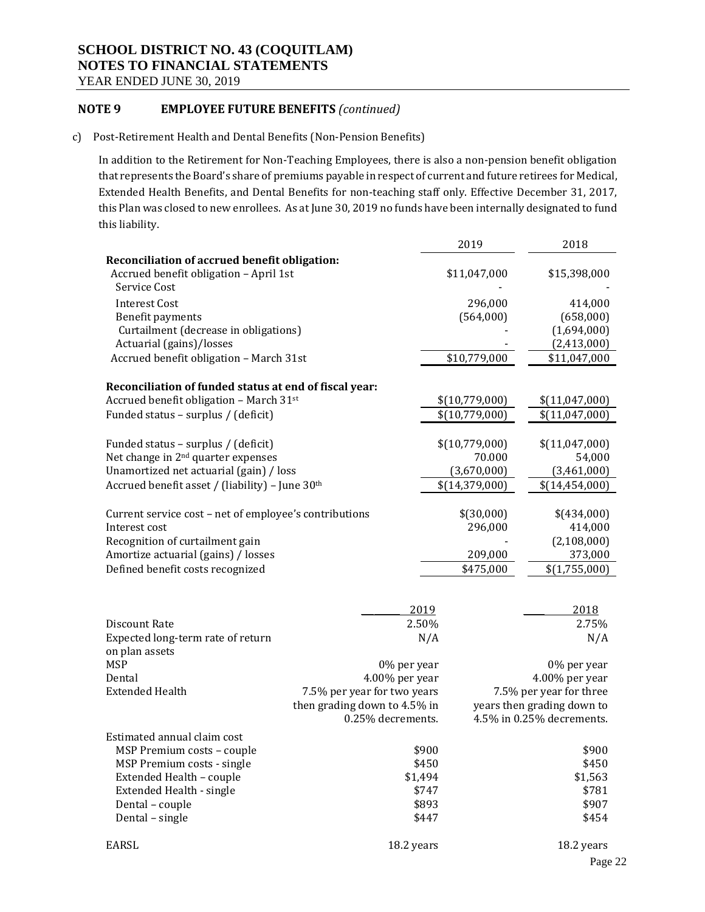### **NOTE 9 EMPLOYEE FUTURE BENEFITS** *(continued)*

c) Post-Retirement Health and Dental Benefits (Non-Pension Benefits)

In addition to the Retirement for Non-Teaching Employees, there is also a non-pension benefit obligation that represents the Board's share of premiums payable in respect of current and future retirees for Medical, Extended Health Benefits, and Dental Benefits for non-teaching staff only. Effective December 31, 2017, this Plan was closed to new enrollees. As at June 30, 2019 no funds have been internally designated to fund this liability.

|                                                             |                              | 2019             | 2018                       |
|-------------------------------------------------------------|------------------------------|------------------|----------------------------|
| Reconciliation of accrued benefit obligation:               |                              |                  |                            |
| Accrued benefit obligation - April 1st                      |                              | \$11,047,000     | \$15,398,000               |
| Service Cost                                                |                              |                  |                            |
| <b>Interest Cost</b>                                        |                              | 296,000          | 414,000                    |
| Benefit payments                                            |                              | (564,000)        | (658,000)                  |
| Curtailment (decrease in obligations)                       |                              |                  | (1,694,000)                |
| Actuarial (gains)/losses                                    |                              |                  | (2,413,000)                |
| Accrued benefit obligation - March 31st                     |                              | \$10,779,000     | \$11,047,000               |
| Reconciliation of funded status at end of fiscal year:      |                              |                  |                            |
| Accrued benefit obligation - March 31st                     |                              | \$(10,779,000)   | \$(11,047,000)             |
| Funded status - surplus / (deficit)                         |                              | \$(10,779,000)   | \$(11,047,000)             |
|                                                             |                              |                  |                            |
| Funded status - surplus / (deficit)                         |                              | \$(10,779,000)   | \$(11,047,000)             |
| Net change in 2 <sup>nd</sup> quarter expenses              |                              | 70.000           | 54,000                     |
| Unamortized net actuarial (gain) / loss                     |                              | (3,670,000)      | (3,461,000)                |
| Accrued benefit asset / (liability) - June 30 <sup>th</sup> |                              | \$(14, 379, 000) | \$(14, 454, 000)           |
|                                                             |                              |                  |                            |
| Current service cost - net of employee's contributions      |                              | \$(30,000)       | \$(434,000)                |
| Interest cost                                               |                              | 296,000          | 414,000                    |
| Recognition of curtailment gain                             |                              |                  | (2,108,000)                |
| Amortize actuarial (gains) / losses                         |                              | 209,000          | 373,000                    |
| Defined benefit costs recognized                            |                              | \$475,000        | \$(1,755,000)              |
|                                                             |                              |                  |                            |
|                                                             |                              |                  |                            |
|                                                             | 2019                         |                  | 2018                       |
| Discount Rate                                               | 2.50%                        |                  | 2.75%                      |
| Expected long-term rate of return                           |                              | N/A              | N/A                        |
| on plan assets                                              |                              |                  |                            |
| <b>MSP</b>                                                  | 0% per year                  |                  | 0% per year                |
| Dental                                                      | 4.00% per year               |                  | 4.00% per year             |
| <b>Extended Health</b>                                      | 7.5% per year for two years  |                  | 7.5% per year for three    |
|                                                             | then grading down to 4.5% in |                  | years then grading down to |
|                                                             | 0.25% decrements.            |                  | 4.5% in 0.25% decrements.  |
| Estimated annual claim cost                                 |                              |                  |                            |
| MSP Premium costs - couple                                  | \$900                        |                  | \$900                      |
| MSP Premium costs - single                                  | \$450                        |                  | \$450                      |
| Extended Health - couple                                    | \$1,494                      |                  | \$1,563                    |
| <b>Extended Health - single</b>                             | \$747                        |                  | \$781                      |
| Dental - couple                                             |                              | \$893            | \$907                      |
| Dental - single                                             | \$447                        |                  | \$454                      |
| EARSL                                                       | 18.2 years                   |                  | 18.2 years                 |
|                                                             |                              |                  |                            |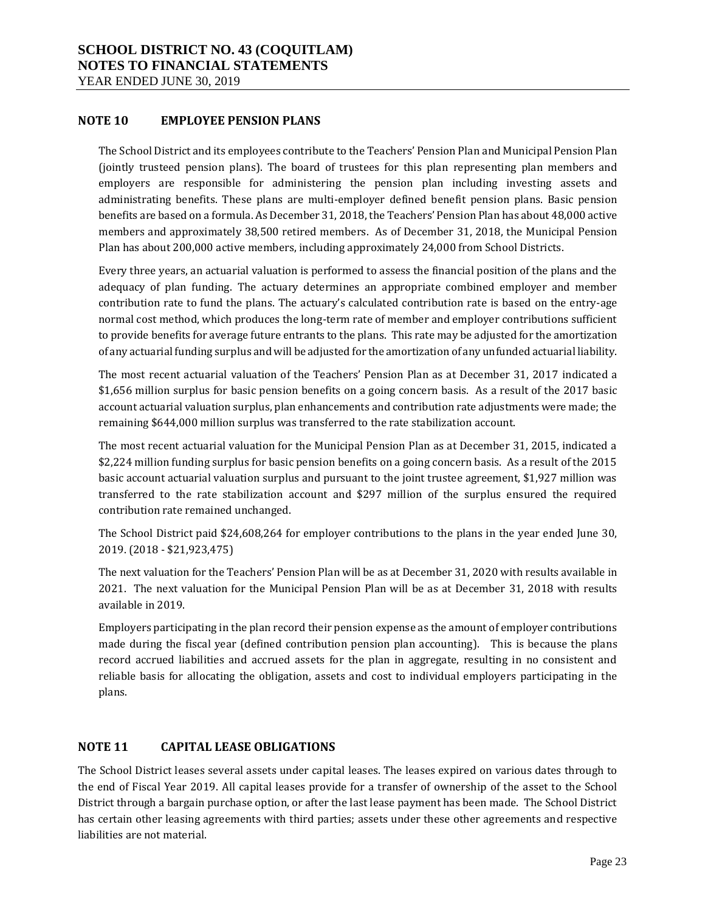### **NOTE 10 EMPLOYEE PENSION PLANS**

The School District and its employees contribute to the Teachers' Pension Plan and Municipal Pension Plan (jointly trusteed pension plans). The board of trustees for this plan representing plan members and employers are responsible for administering the pension plan including investing assets and administrating benefits. These plans are multi-employer defined benefit pension plans. Basic pension benefits are based on a formula. As December 31, 2018, the Teachers' Pension Plan has about 48,000 active members and approximately 38,500 retired members. As of December 31, 2018, the Municipal Pension Plan has about 200,000 active members, including approximately 24,000 from School Districts.

Every three years, an actuarial valuation is performed to assess the financial position of the plans and the adequacy of plan funding. The actuary determines an appropriate combined employer and member contribution rate to fund the plans. The actuary's calculated contribution rate is based on the entry-age normal cost method, which produces the long-term rate of member and employer contributions sufficient to provide benefits for average future entrants to the plans. This rate may be adjusted for the amortization of any actuarial funding surplus and will be adjusted for the amortization of any unfunded actuarial liability.

The most recent actuarial valuation of the Teachers' Pension Plan as at December 31, 2017 indicated a \$1,656 million surplus for basic pension benefits on a going concern basis. As a result of the 2017 basic account actuarial valuation surplus, plan enhancements and contribution rate adjustments were made; the remaining \$644,000 million surplus was transferred to the rate stabilization account.

The most recent actuarial valuation for the Municipal Pension Plan as at December 31, 2015, indicated a \$2,224 million funding surplus for basic pension benefits on a going concern basis. As a result of the 2015 basic account actuarial valuation surplus and pursuant to the joint trustee agreement, \$1,927 million was transferred to the rate stabilization account and \$297 million of the surplus ensured the required contribution rate remained unchanged.

The School District paid \$24,608,264 for employer contributions to the plans in the year ended June 30, 2019. (2018 - \$21,923,475)

The next valuation for the Teachers' Pension Plan will be as at December 31, 2020 with results available in 2021. The next valuation for the Municipal Pension Plan will be as at December 31, 2018 with results available in 2019.

Employers participating in the plan record their pension expense as the amount of employer contributions made during the fiscal year (defined contribution pension plan accounting). This is because the plans record accrued liabilities and accrued assets for the plan in aggregate, resulting in no consistent and reliable basis for allocating the obligation, assets and cost to individual employers participating in the plans.

### **NOTE 11 CAPITAL LEASE OBLIGATIONS**

The School District leases several assets under capital leases. The leases expired on various dates through to the end of Fiscal Year 2019. All capital leases provide for a transfer of ownership of the asset to the School District through a bargain purchase option, or after the last lease payment has been made. The School District has certain other leasing agreements with third parties; assets under these other agreements and respective liabilities are not material.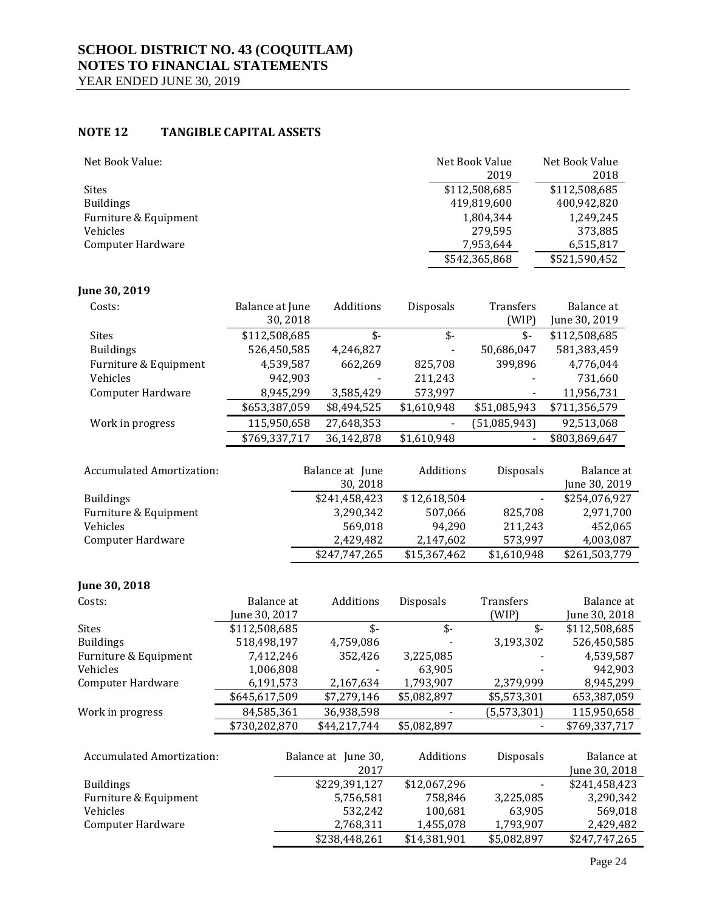### **NOTE 12 TANGIBLE CAPITAL ASSETS**

| Net Book Value:       | Net Book Value<br>2019 | Net Book Value<br>2018 |
|-----------------------|------------------------|------------------------|
| <b>Sites</b>          | \$112,508,685          | \$112,508,685          |
| <b>Buildings</b>      | 419,819,600            | 400,942,820            |
| Furniture & Equipment | 1,804,344              | 1.249.245              |
| Vehicles              | 279,595                | 373,885                |
| Computer Hardware     | 7,953,644              | 6,515,817              |
|                       | \$542,365,868          | \$521,590,452          |

### **June 30, 2019**

| Costs:                | Balance at June | Additions   | Disposals   | <b>Transfers</b> | Balance at    |
|-----------------------|-----------------|-------------|-------------|------------------|---------------|
|                       | 30,2018         |             |             | (WIP)            | June 30, 2019 |
| <b>Sites</b>          | \$112,508,685   | \$-         | \$-         | \$-              | \$112,508,685 |
| <b>Buildings</b>      | 526,450,585     | 4,246,827   |             | 50,686,047       | 581,383,459   |
| Furniture & Equipment | 4,539,587       | 662,269     | 825,708     | 399.896          | 4,776,044     |
| Vehicles              | 942,903         |             | 211,243     |                  | 731,660       |
| Computer Hardware     | 8,945,299       | 3,585,429   | 573,997     |                  | 11,956,731    |
|                       | \$653,387,059   | \$8,494,525 | \$1,610,948 | \$51,085,943     | \$711,356,579 |
| Work in progress      | 115,950,658     | 27,648,353  |             | (51,085,943)     | 92,513,068    |
|                       | \$769,337,717   | 36,142,878  | \$1,610,948 |                  | \$803,869,647 |
|                       |                 |             |             |                  |               |

| <b>Accumulated Amortization:</b> | Balance at June | Additions    | <b>Disposals</b> | Balance at    |
|----------------------------------|-----------------|--------------|------------------|---------------|
|                                  | 30, 2018        |              |                  | June 30, 2019 |
| <b>Buildings</b>                 | \$241,458,423   | \$12,618,504 |                  | \$254,076,927 |
| Furniture & Equipment            | 3,290,342       | 507.066      | 825.708          | 2,971,700     |
| Vehicles                         | 569.018         | 94.290       | 211.243          | 452,065       |
| <b>Computer Hardware</b>         | 2,429,482       | 2,147,602    | 573,997          | 4,003,087     |
|                                  | \$247,747,265   | \$15,367,462 | \$1,610,948      | \$261,503,779 |

### **June 30, 2018**

| Costs:                           | Balance at    | Additions           | Disposals    | <b>Transfers</b> | Balance at    |
|----------------------------------|---------------|---------------------|--------------|------------------|---------------|
|                                  | June 30, 2017 |                     |              | (WIP)            | June 30, 2018 |
| <b>Sites</b>                     | \$112,508,685 | $$-$                | \$-          | $$-$             | \$112,508,685 |
| <b>Buildings</b>                 | 518,498,197   | 4,759,086           |              | 3,193,302        | 526,450,585   |
| Furniture & Equipment            | 7,412,246     | 352,426             | 3,225,085    |                  | 4,539,587     |
| Vehicles                         | 1,006,808     |                     | 63,905       |                  | 942,903       |
| Computer Hardware                | 6,191,573     | 2,167,634           | 1,793,907    | 2,379,999        | 8,945,299     |
|                                  | \$645,617,509 | \$7,279,146         | \$5,082,897  | \$5,573,301      | 653,387,059   |
| Work in progress                 | 84,585,361    | 36,938,598          |              | (5, 573, 301)    | 115,950,658   |
|                                  | \$730,202,870 | \$44,217,744        | \$5,082,897  |                  | \$769,337,717 |
|                                  |               |                     |              |                  |               |
| <b>Accumulated Amortization:</b> |               | Balance at June 30, | Additions    | Disposals        | Balance at    |
|                                  |               | 2017                |              |                  | June 30, 2018 |
| <b>Buildings</b>                 |               | \$229,391,127       | \$12,067,296 |                  | \$241,458,423 |
| Furniture & Equipment            |               | 5,756,581           | 758.846      | 3,225,085        | 3,290,342     |
| Vehicles                         |               | 532,242             | 100,681      | 63,905           | 569,018       |
| <b>Computer Hardware</b>         |               | 2,768,311           | 1,455,078    | 1,793,907        | 2,429,482     |
|                                  |               | \$238,448,261       | \$14,381,901 | \$5,082,897      | \$247,747,265 |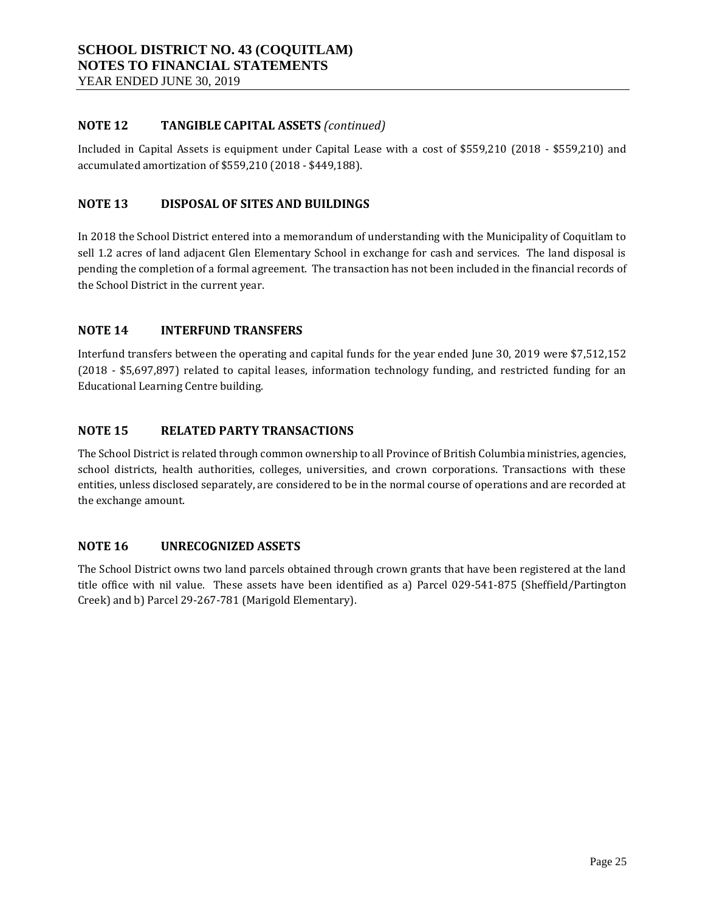### **NOTE 12 TANGIBLE CAPITAL ASSETS** *(continued)*

Included in Capital Assets is equipment under Capital Lease with a cost of \$559,210 (2018 - \$559,210) and accumulated amortization of \$559,210 (2018 - \$449,188).

### **NOTE 13 DISPOSAL OF SITES AND BUILDINGS**

In 2018 the School District entered into a memorandum of understanding with the Municipality of Coquitlam to sell 1.2 acres of land adjacent Glen Elementary School in exchange for cash and services. The land disposal is pending the completion of a formal agreement. The transaction has not been included in the financial records of the School District in the current year.

### **NOTE 14 INTERFUND TRANSFERS**

Interfund transfers between the operating and capital funds for the year ended June 30, 2019 were \$7,512,152 (2018 - \$5,697,897) related to capital leases, information technology funding, and restricted funding for an Educational Learning Centre building.

### **NOTE 15 RELATED PARTY TRANSACTIONS**

The School District is related through common ownership to all Province of British Columbia ministries, agencies, school districts, health authorities, colleges, universities, and crown corporations. Transactions with these entities, unless disclosed separately, are considered to be in the normal course of operations and are recorded at the exchange amount.

### **NOTE 16 UNRECOGNIZED ASSETS**

The School District owns two land parcels obtained through crown grants that have been registered at the land title office with nil value. These assets have been identified as a) Parcel 029-541-875 (Sheffield/Partington Creek) and b) Parcel 29-267-781 (Marigold Elementary).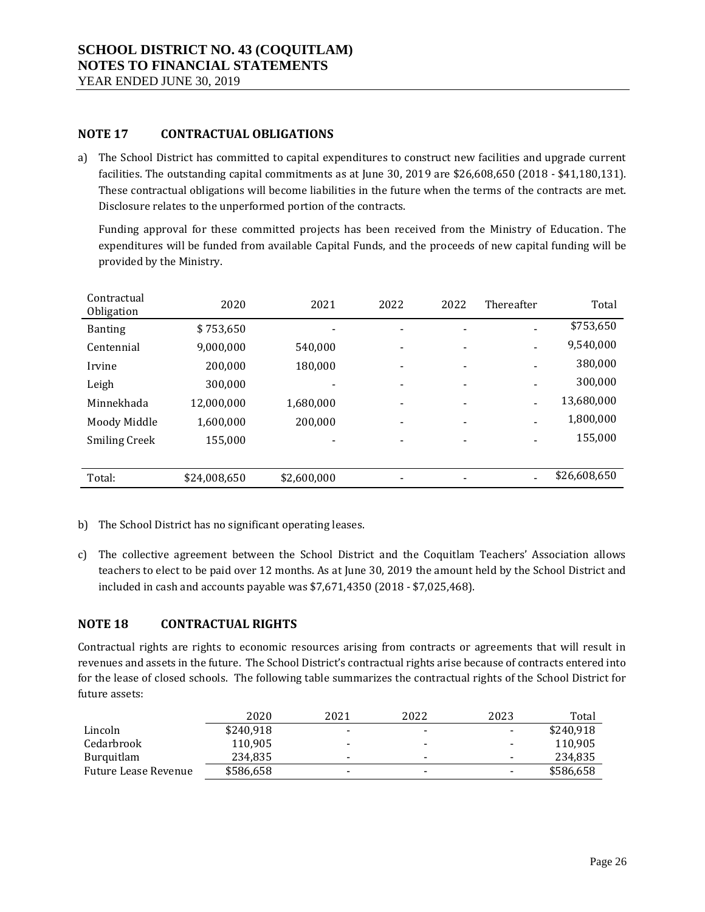### **NOTE 17 CONTRACTUAL OBLIGATIONS**

a) The School District has committed to capital expenditures to construct new facilities and upgrade current facilities. The outstanding capital commitments as at June 30, 2019 are \$26,608,650 (2018 - \$41,180,131). These contractual obligations will become liabilities in the future when the terms of the contracts are met. Disclosure relates to the unperformed portion of the contracts.

Funding approval for these committed projects has been received from the Ministry of Education. The expenditures will be funded from available Capital Funds, and the proceeds of new capital funding will be provided by the Ministry.

| Contractual<br>Obligation | 2020         | 2021        | 2022                     | 2022 | Thereafter | Total        |
|---------------------------|--------------|-------------|--------------------------|------|------------|--------------|
| <b>Banting</b>            | \$753,650    |             |                          |      |            | \$753,650    |
| Centennial                | 9,000,000    | 540.000     |                          |      |            | 9,540,000    |
| Irvine                    | 200,000      | 180,000     |                          |      |            | 380,000      |
| Leigh                     | 300,000      |             |                          |      |            | 300,000      |
| Minnekhada                | 12,000,000   | 1,680,000   |                          |      |            | 13,680,000   |
| Moody Middle              | 1,600,000    | 200,000     | $\overline{\phantom{0}}$ | -    |            | 1,800,000    |
| <b>Smiling Creek</b>      | 155,000      |             |                          |      |            | 155,000      |
|                           |              |             |                          |      |            |              |
| Total:                    | \$24,008,650 | \$2,600,000 |                          |      |            | \$26,608,650 |

- b) The School District has no significant operating leases.
- c) The collective agreement between the School District and the Coquitlam Teachers' Association allows teachers to elect to be paid over 12 months. As at June 30, 2019 the amount held by the School District and included in cash and accounts payable was \$7,671,4350 (2018 - \$7,025,468).

### **NOTE 18 CONTRACTUAL RIGHTS**

Contractual rights are rights to economic resources arising from contracts or agreements that will result in revenues and assets in the future. The School District's contractual rights arise because of contracts entered into for the lease of closed schools. The following table summarizes the contractual rights of the School District for future assets:

|                      | 2020      | 2021                     | 2022                     | 2023 | Total     |
|----------------------|-----------|--------------------------|--------------------------|------|-----------|
| Lincoln              | \$240.918 | $\overline{\phantom{a}}$ | $\overline{\phantom{a}}$ | -    | \$240.918 |
| Cedarbrook           | 110.905   | $\overline{\phantom{a}}$ | $\overline{\phantom{a}}$ | -    | 110.905   |
| Burguitlam           | 234,835   | $\overline{\phantom{a}}$ | $\overline{\phantom{a}}$ | -    | 234,835   |
| Future Lease Revenue | \$586,658 | $\overline{\phantom{0}}$ |                          | -    | \$586,658 |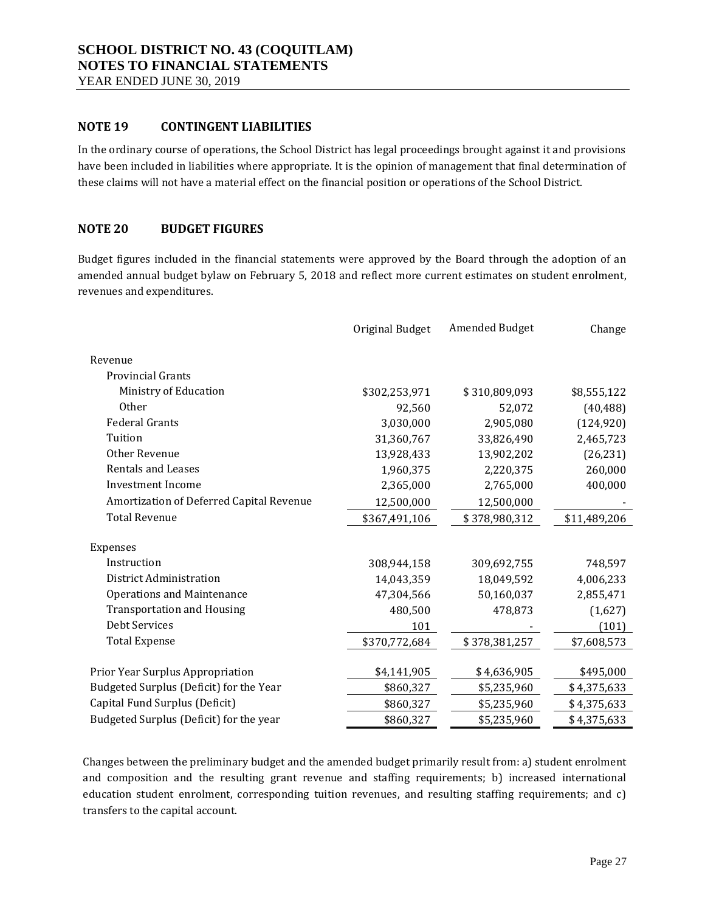YEAR ENDED JUNE 30, 2019

### **NOTE 19 CONTINGENT LIABILITIES**

In the ordinary course of operations, the School District has legal proceedings brought against it and provisions have been included in liabilities where appropriate. It is the opinion of management that final determination of these claims will not have a material effect on the financial position or operations of the School District.

### **NOTE 20 BUDGET FIGURES**

Budget figures included in the financial statements were approved by the Board through the adoption of an amended annual budget bylaw on February 5, 2018 and reflect more current estimates on student enrolment, revenues and expenditures.

|                                          | Original Budget | Amended Budget | Change       |
|------------------------------------------|-----------------|----------------|--------------|
| Revenue                                  |                 |                |              |
| <b>Provincial Grants</b>                 |                 |                |              |
| Ministry of Education                    | \$302,253,971   | \$310,809,093  | \$8,555,122  |
| Other                                    | 92,560          | 52,072         | (40, 488)    |
| <b>Federal Grants</b>                    | 3,030,000       | 2,905,080      | (124, 920)   |
| Tuition                                  | 31,360,767      | 33,826,490     | 2,465,723    |
| Other Revenue                            | 13,928,433      | 13,902,202     | (26, 231)    |
| <b>Rentals and Leases</b>                | 1,960,375       | 2,220,375      | 260,000      |
| Investment Income                        | 2,365,000       | 2,765,000      | 400,000      |
| Amortization of Deferred Capital Revenue | 12,500,000      | 12,500,000     |              |
| <b>Total Revenue</b>                     | \$367,491,106   | \$378,980,312  | \$11,489,206 |
|                                          |                 |                |              |
| Expenses                                 |                 |                |              |
| Instruction                              | 308,944,158     | 309,692,755    | 748,597      |
| District Administration                  | 14,043,359      | 18,049,592     | 4,006,233    |
| <b>Operations and Maintenance</b>        | 47,304,566      | 50,160,037     | 2,855,471    |
| <b>Transportation and Housing</b>        | 480,500         | 478,873        | (1,627)      |
| <b>Debt Services</b>                     | 101             |                | (101)        |
| <b>Total Expense</b>                     | \$370,772,684   | \$378,381,257  | \$7,608,573  |
|                                          |                 |                |              |
| Prior Year Surplus Appropriation         | \$4,141,905     | \$4,636,905    | \$495,000    |
| Budgeted Surplus (Deficit) for the Year  | \$860,327       | \$5,235,960    | \$4,375,633  |
| Capital Fund Surplus (Deficit)           | \$860,327       | \$5,235,960    | \$4,375,633  |
| Budgeted Surplus (Deficit) for the year  | \$860,327       | \$5,235,960    | \$4,375,633  |

Changes between the preliminary budget and the amended budget primarily result from: a) student enrolment and composition and the resulting grant revenue and staffing requirements; b) increased international education student enrolment, corresponding tuition revenues, and resulting staffing requirements; and c) transfers to the capital account.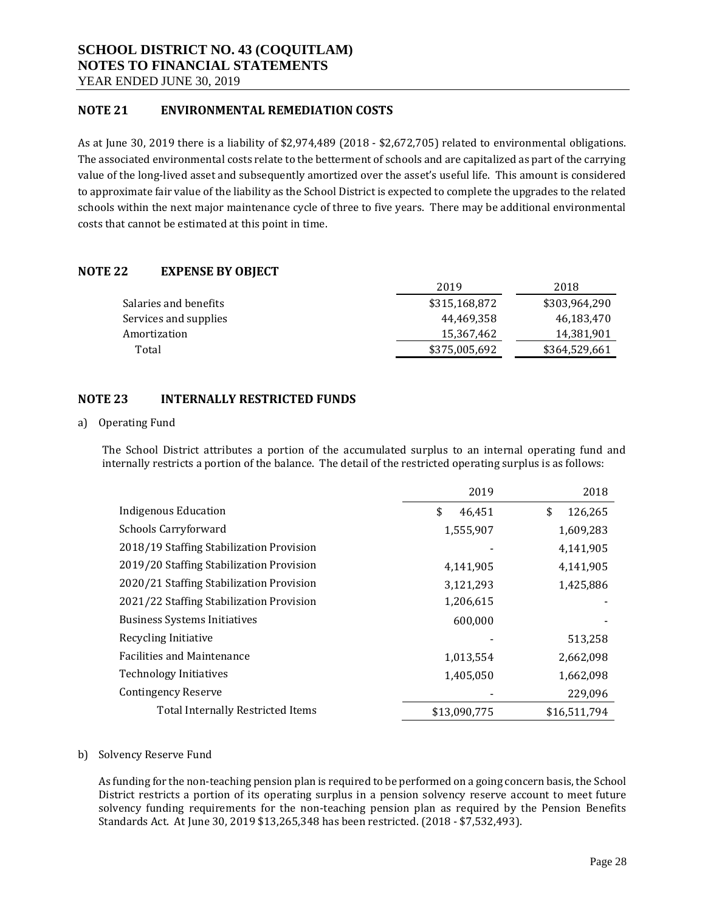YEAR ENDED JUNE 30, 2019

### **NOTE 21 ENVIRONMENTAL REMEDIATION COSTS**

As at June 30, 2019 there is a liability of \$2,974,489 (2018 - \$2,672,705) related to environmental obligations. The associated environmental costs relate to the betterment of schools and are capitalized as part of the carrying value of the long-lived asset and subsequently amortized over the asset's useful life. This amount is considered to approximate fair value of the liability as the School District is expected to complete the upgrades to the related schools within the next major maintenance cycle of three to five years. There may be additional environmental costs that cannot be estimated at this point in time.

### **NOTE 22 EXPENSE BY OBJECT**

|                       | 2019          | 2018          |
|-----------------------|---------------|---------------|
| Salaries and benefits | \$315,168,872 | \$303,964,290 |
| Services and supplies | 44.469.358    | 46.183.470    |
| Amortization          | 15,367,462    | 14,381,901    |
| Total                 | \$375,005,692 | \$364.529.661 |

### **NOTE 23 INTERNALLY RESTRICTED FUNDS**

#### a) Operating Fund

The School District attributes a portion of the accumulated surplus to an internal operating fund and internally restricts a portion of the balance. The detail of the restricted operating surplus is as follows:

|                                          | 2019         | 2018          |
|------------------------------------------|--------------|---------------|
| Indigenous Education                     | \$<br>46,451 | \$<br>126,265 |
| Schools Carryforward                     | 1,555,907    | 1,609,283     |
| 2018/19 Staffing Stabilization Provision |              | 4,141,905     |
| 2019/20 Staffing Stabilization Provision | 4,141,905    | 4,141,905     |
| 2020/21 Staffing Stabilization Provision | 3,121,293    | 1,425,886     |
| 2021/22 Staffing Stabilization Provision | 1,206,615    |               |
| <b>Business Systems Initiatives</b>      | 600,000      |               |
| Recycling Initiative                     |              | 513,258       |
| <b>Facilities and Maintenance</b>        | 1,013,554    | 2,662,098     |
| <b>Technology Initiatives</b>            | 1,405,050    | 1,662,098     |
| <b>Contingency Reserve</b>               |              | 229,096       |
| Total Internally Restricted Items        | \$13,090,775 | \$16,511,794  |

#### b) Solvency Reserve Fund

As funding for the non-teaching pension plan is required to be performed on a going concern basis, the School District restricts a portion of its operating surplus in a pension solvency reserve account to meet future solvency funding requirements for the non-teaching pension plan as required by the Pension Benefits Standards Act. At June 30, 2019 \$13,265,348 has been restricted. (2018 - \$7,532,493).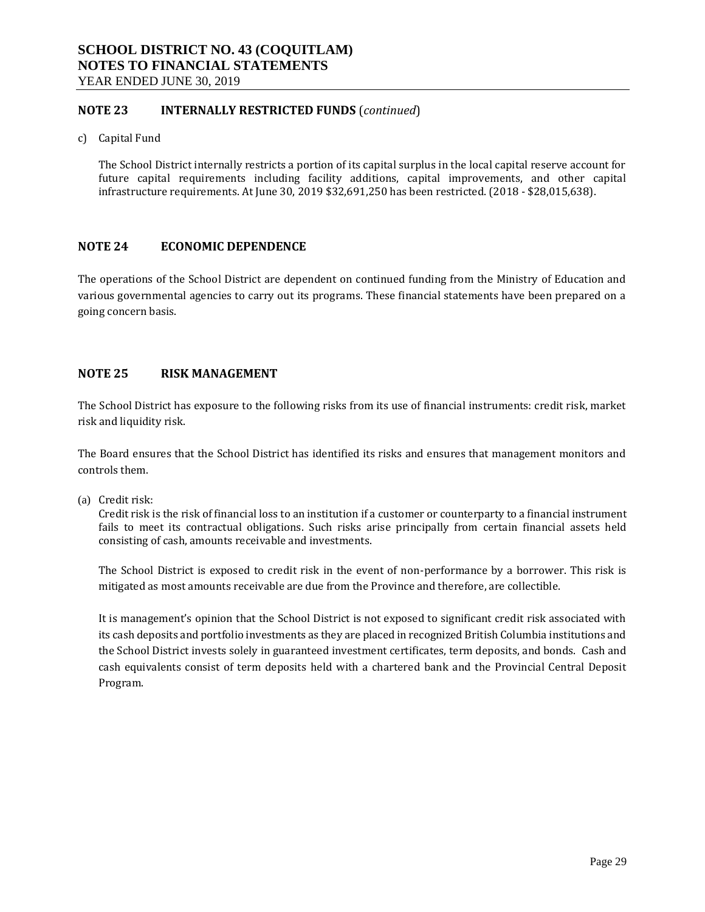### **NOTE 23 INTERNALLY RESTRICTED FUNDS** (*continued*)

c) Capital Fund

The School District internally restricts a portion of its capital surplus in the local capital reserve account for future capital requirements including facility additions, capital improvements, and other capital infrastructure requirements. At June 30, 2019 \$32,691,250 has been restricted. (2018 - \$28,015,638).

### **NOTE 24 ECONOMIC DEPENDENCE**

The operations of the School District are dependent on continued funding from the Ministry of Education and various governmental agencies to carry out its programs. These financial statements have been prepared on a going concern basis.

### **NOTE 25 RISK MANAGEMENT**

The School District has exposure to the following risks from its use of financial instruments: credit risk, market risk and liquidity risk.

The Board ensures that the School District has identified its risks and ensures that management monitors and controls them.

(a) Credit risk:

Credit risk is the risk of financial loss to an institution if a customer or counterparty to a financial instrument fails to meet its contractual obligations. Such risks arise principally from certain financial assets held consisting of cash, amounts receivable and investments.

The School District is exposed to credit risk in the event of non-performance by a borrower. This risk is mitigated as most amounts receivable are due from the Province and therefore, are collectible.

It is management's opinion that the School District is not exposed to significant credit risk associated with its cash deposits and portfolio investments as they are placed in recognized British Columbia institutions and the School District invests solely in guaranteed investment certificates, term deposits, and bonds. Cash and cash equivalents consist of term deposits held with a chartered bank and the Provincial Central Deposit Program.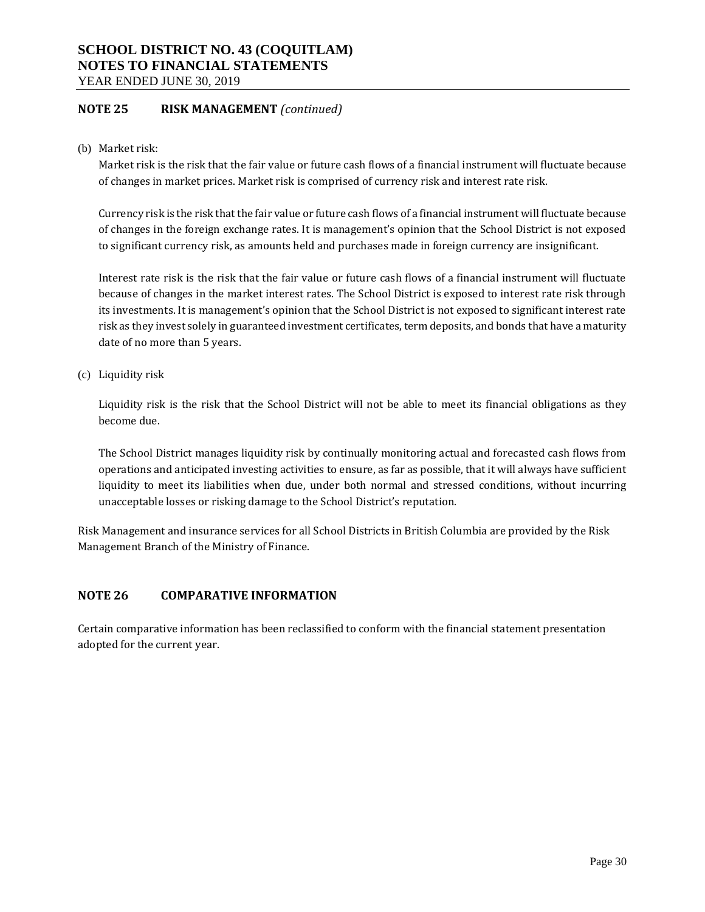YEAR ENDED JUNE 30, 2019

### **NOTE 25 RISK MANAGEMENT** *(continued)*

(b) Market risk:

Market risk is the risk that the fair value or future cash flows of a financial instrument will fluctuate because of changes in market prices. Market risk is comprised of currency risk and interest rate risk.

Currency risk is the risk that the fair value or future cash flows of a financial instrument will fluctuate because of changes in the foreign exchange rates. It is management's opinion that the School District is not exposed to significant currency risk, as amounts held and purchases made in foreign currency are insignificant.

Interest rate risk is the risk that the fair value or future cash flows of a financial instrument will fluctuate because of changes in the market interest rates. The School District is exposed to interest rate risk through its investments. It is management's opinion that the School District is not exposed to significant interest rate risk as they invest solely in guaranteed investment certificates, term deposits, and bonds that have a maturity date of no more than 5 years.

(c) Liquidity risk

Liquidity risk is the risk that the School District will not be able to meet its financial obligations as they become due.

The School District manages liquidity risk by continually monitoring actual and forecasted cash flows from operations and anticipated investing activities to ensure, as far as possible, that it will always have sufficient liquidity to meet its liabilities when due, under both normal and stressed conditions, without incurring unacceptable losses or risking damage to the School District's reputation.

Risk Management and insurance services for all School Districts in British Columbia are provided by the Risk Management Branch of the Ministry of Finance.

### **NOTE 26 COMPARATIVE INFORMATION**

Certain comparative information has been reclassified to conform with the financial statement presentation adopted for the current year.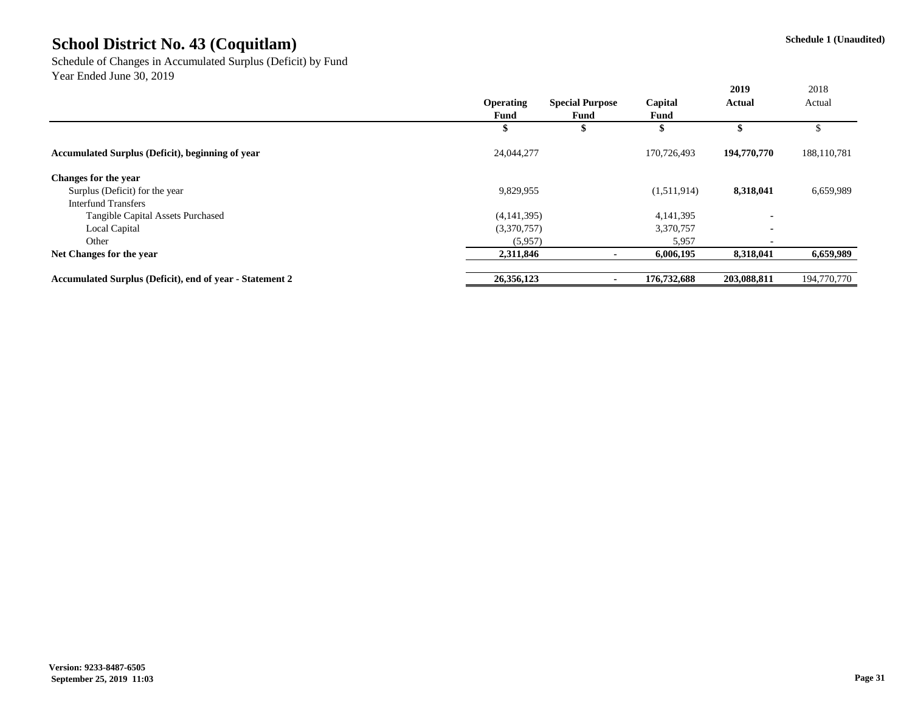Schedule of Changes in Accumulated Surplus (Deficit) by Fund Year Ended June 30, 2019

|                                                  |                  |                        |             | 2019        | 2018        |
|--------------------------------------------------|------------------|------------------------|-------------|-------------|-------------|
|                                                  | <b>Operating</b> | <b>Special Purpose</b> | Capital     | Actual      | Actual      |
|                                                  | Fund             | Fund                   | Fund        |             |             |
|                                                  | æ                |                        |             |             |             |
| Accumulated Surplus (Deficit), beginning of year | 24,044,277       |                        | 170,726,493 | 194,770,770 | 188,110,781 |
| Changes for the year                             |                  |                        |             |             |             |
| Surplus (Deficit) for the year                   | 9,829,955        |                        | (1,511,914) | 8,318,041   | 6,659,989   |
| <b>Interfund Transfers</b>                       |                  |                        |             |             |             |
| Tangible Capital Assets Purchased                | (4, 141, 395)    |                        | 4,141,395   |             |             |
| Local Capital                                    | (3,370,757)      |                        | 3,370,757   |             |             |
| Other                                            | (5,957)          |                        | 5,957       |             |             |
| Net Changes for the year                         | 2,311,846        |                        | 6.006.195   | 8,318,041   | 6,659,989   |

**Accumulated Surplus (Deficit), end of year - Statement 2 26,356,123** - 176,732,688 203,088,811 194,770,770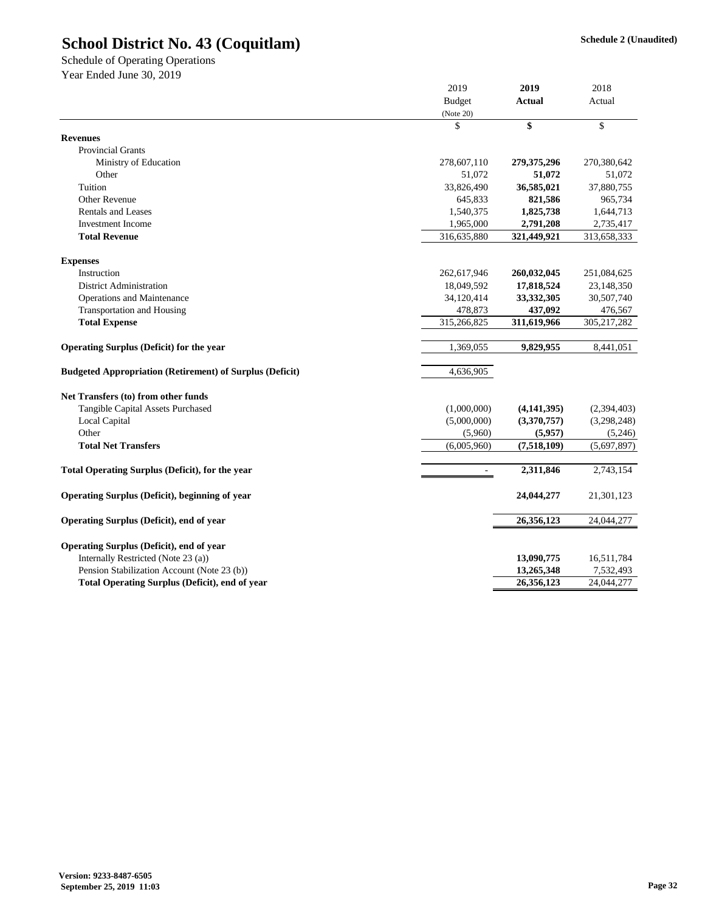Schedule of Operating Operations Year Ended June 30, 2019

|                                                                 | <b>Budget</b> | <b>Actual</b>            | Actual                  |  |
|-----------------------------------------------------------------|---------------|--------------------------|-------------------------|--|
|                                                                 | (Note 20)     |                          |                         |  |
|                                                                 | \$            | \$                       | \$                      |  |
| <b>Revenues</b>                                                 |               |                          |                         |  |
| <b>Provincial Grants</b>                                        |               |                          |                         |  |
| Ministry of Education                                           | 278,607,110   | 279,375,296              | 270,380,642             |  |
| Other                                                           | 51,072        | 51,072                   | 51,072                  |  |
| Tuition                                                         | 33,826,490    | 36,585,021               | 37,880,755              |  |
| Other Revenue                                                   | 645,833       | 821,586                  | 965,734                 |  |
| <b>Rentals and Leases</b>                                       | 1,540,375     | 1,825,738                | 1,644,713               |  |
| <b>Investment</b> Income                                        | 1,965,000     | 2,791,208                | 2,735,417               |  |
| <b>Total Revenue</b>                                            | 316,635,880   | 321,449,921              | 313,658,333             |  |
| <b>Expenses</b>                                                 |               |                          |                         |  |
| Instruction                                                     | 262,617,946   | 260,032,045              | 251,084,625             |  |
| District Administration                                         | 18,049,592    | 17,818,524               | 23,148,350              |  |
| Operations and Maintenance                                      | 34,120,414    | 33, 332, 305             | 30,507,740              |  |
| Transportation and Housing                                      | 478,873       | 437,092                  | 476,567                 |  |
| <b>Total Expense</b>                                            | 315,266,825   | 311,619,966              | 305, 217, 282           |  |
| <b>Operating Surplus (Deficit) for the year</b>                 | 1,369,055     | 9,829,955                | 8,441,051               |  |
| <b>Budgeted Appropriation (Retirement) of Surplus (Deficit)</b> | 4,636,905     |                          |                         |  |
| Net Transfers (to) from other funds                             |               |                          |                         |  |
| Tangible Capital Assets Purchased                               | (1,000,000)   | (4, 141, 395)            | (2,394,403)             |  |
| Local Capital                                                   | (5,000,000)   | (3,370,757)              | (3,298,248)             |  |
| Other                                                           | (5,960)       | (5,957)                  | (5,246)                 |  |
| <b>Total Net Transfers</b>                                      | (6,005,960)   | (7,518,109)              | (5,697,897)             |  |
|                                                                 |               |                          |                         |  |
| <b>Total Operating Surplus (Deficit), for the year</b>          | ÷.            | 2,311,846                | 2,743,154               |  |
| Operating Surplus (Deficit), beginning of year                  |               | 24,044,277               | 21,301,123              |  |
| Operating Surplus (Deficit), end of year                        |               | 26,356,123               | 24,044,277              |  |
| Operating Surplus (Deficit), end of year                        |               |                          |                         |  |
| Internally Restricted (Note 23 (a))                             |               |                          |                         |  |
|                                                                 |               | 13,090,775               | 16,511,784              |  |
| Pension Stabilization Account (Note 23 (b))                     |               | 13,265,348<br>26,356,123 | 7,532,493<br>24,044,277 |  |
| Total Operating Surplus (Deficit), end of year                  |               |                          |                         |  |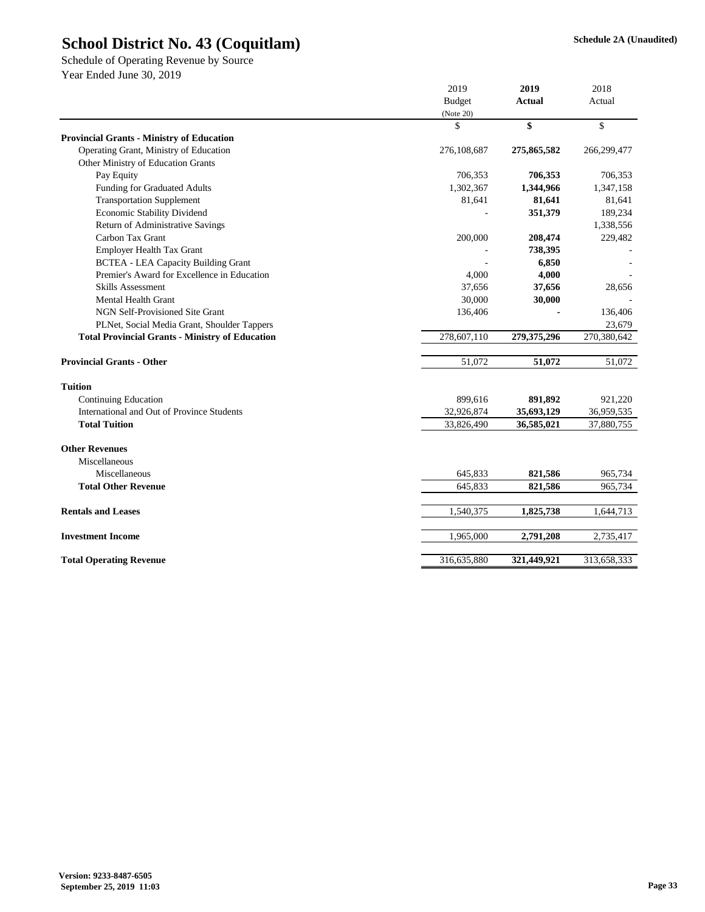Schedule of Operating Revenue by Source Year Ended June 30, 2019

|                                                        | 2019<br><b>Budget</b> |             | 2018        |
|--------------------------------------------------------|-----------------------|-------------|-------------|
|                                                        |                       |             | Actual      |
|                                                        | (Note 20)             |             |             |
|                                                        | \$                    | \$          | \$          |
| <b>Provincial Grants - Ministry of Education</b>       |                       |             |             |
| Operating Grant, Ministry of Education                 | 276,108,687           | 275,865,582 | 266,299,477 |
| Other Ministry of Education Grants                     |                       |             |             |
| Pay Equity                                             | 706,353               | 706,353     | 706,353     |
| Funding for Graduated Adults                           | 1,302,367             | 1,344,966   | 1,347,158   |
| <b>Transportation Supplement</b>                       | 81,641                | 81,641      | 81,641      |
| Economic Stability Dividend                            |                       | 351,379     | 189,234     |
| Return of Administrative Savings                       |                       |             | 1,338,556   |
| Carbon Tax Grant                                       | 200,000               | 208,474     | 229,482     |
| <b>Employer Health Tax Grant</b>                       |                       | 738,395     |             |
| <b>BCTEA - LEA Capacity Building Grant</b>             |                       | 6,850       |             |
| Premier's Award for Excellence in Education            | 4,000                 | 4,000       |             |
| <b>Skills Assessment</b>                               | 37,656                | 37,656      | 28,656      |
| Mental Health Grant                                    | 30,000                | 30,000      |             |
| NGN Self-Provisioned Site Grant                        | 136,406               |             | 136,406     |
| PLNet, Social Media Grant, Shoulder Tappers            |                       |             | 23,679      |
| <b>Total Provincial Grants - Ministry of Education</b> | 278,607,110           | 279,375,296 | 270,380,642 |
| <b>Provincial Grants - Other</b>                       | 51,072                | 51,072      | 51,072      |
| <b>Tuition</b>                                         |                       |             |             |
| <b>Continuing Education</b>                            | 899,616               | 891,892     | 921,220     |
| International and Out of Province Students             | 32,926,874            | 35,693,129  | 36,959,535  |
| <b>Total Tuition</b>                                   | 33,826,490            | 36,585,021  | 37,880,755  |
| <b>Other Revenues</b>                                  |                       |             |             |
| Miscellaneous                                          |                       |             |             |
| Miscellaneous                                          | 645,833               | 821,586     | 965,734     |
| <b>Total Other Revenue</b>                             | 645,833               | 821,586     | 965,734     |
| <b>Rentals and Leases</b>                              | 1,540,375             | 1,825,738   | 1,644,713   |
| <b>Investment Income</b>                               | 1,965,000             | 2,791,208   | 2,735,417   |
| <b>Total Operating Revenue</b>                         | 316,635,880           | 321,449,921 | 313,658,333 |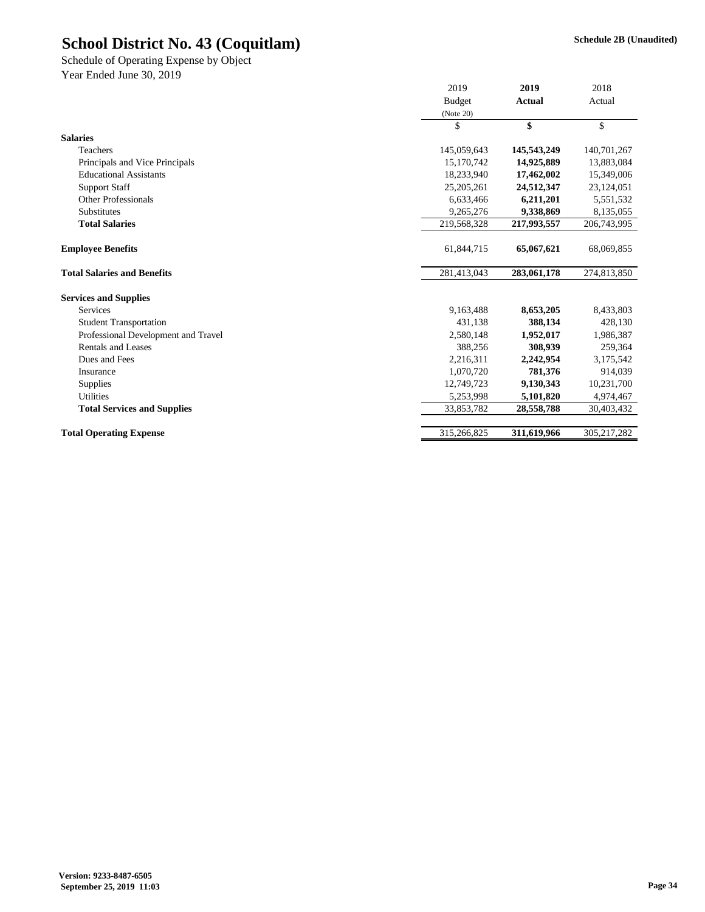Year Ended June 30, 2019 Schedule of Operating Expense by Object

|                                     | 2019          | 2019          | 2018          |
|-------------------------------------|---------------|---------------|---------------|
|                                     | <b>Budget</b> | <b>Actual</b> | Actual        |
|                                     | (Note 20)     |               |               |
|                                     | \$            | \$            | \$            |
| <b>Salaries</b>                     |               |               |               |
| Teachers                            | 145,059,643   | 145,543,249   | 140,701,267   |
| Principals and Vice Principals      | 15,170,742    | 14,925,889    | 13,883,084    |
| <b>Educational Assistants</b>       | 18,233,940    | 17,462,002    | 15,349,006    |
| <b>Support Staff</b>                | 25, 205, 261  | 24,512,347    | 23,124,051    |
| Other Professionals                 | 6,633,466     | 6,211,201     | 5,551,532     |
| Substitutes                         | 9,265,276     | 9,338,869     | 8,135,055     |
| <b>Total Salaries</b>               | 219,568,328   | 217,993,557   | 206,743,995   |
| <b>Employee Benefits</b>            | 61,844,715    | 65,067,621    | 68,069,855    |
| <b>Total Salaries and Benefits</b>  | 281,413,043   | 283,061,178   | 274,813,850   |
| <b>Services and Supplies</b>        |               |               |               |
| <b>Services</b>                     | 9,163,488     | 8,653,205     | 8,433,803     |
| <b>Student Transportation</b>       | 431,138       | 388,134       | 428,130       |
| Professional Development and Travel | 2,580,148     | 1,952,017     | 1,986,387     |
| Rentals and Leases                  | 388,256       | 308,939       | 259,364       |
| Dues and Fees                       | 2,216,311     | 2,242,954     | 3,175,542     |
| Insurance                           | 1,070,720     | 781,376       | 914,039       |
| Supplies                            | 12,749,723    | 9,130,343     | 10,231,700    |
| <b>Utilities</b>                    | 5,253,998     | 5,101,820     | 4,974,467     |
| <b>Total Services and Supplies</b>  | 33,853,782    | 28,558,788    | 30,403,432    |
|                                     |               |               |               |
| <b>Total Operating Expense</b>      | 315,266,825   | 311,619,966   | 305, 217, 282 |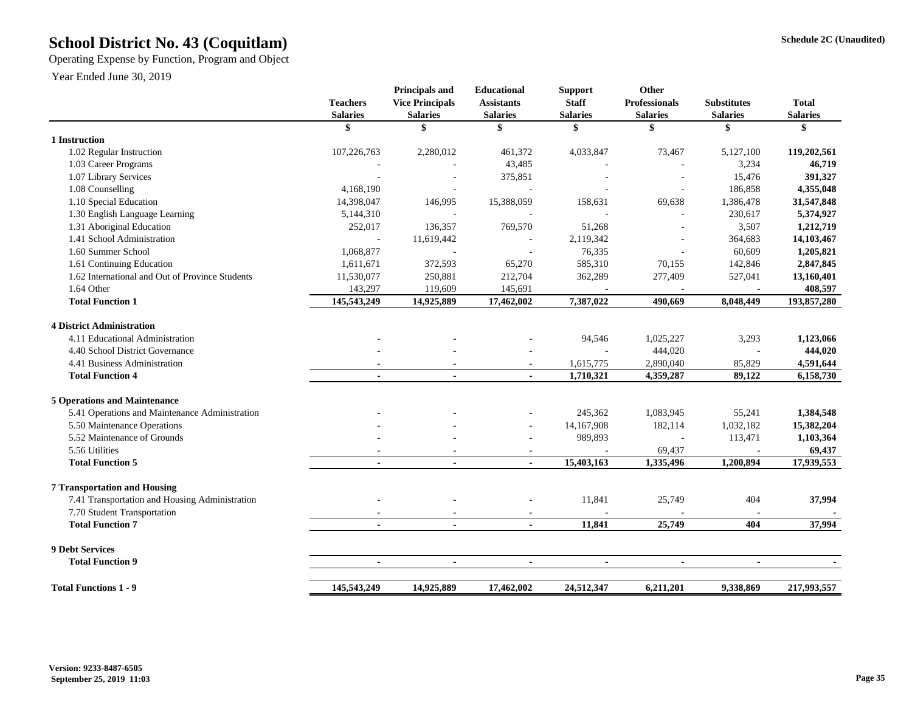## **Schedule 2C (Unaudited) School District No. 43 (Coquitlam)**

Operating Expense by Function, Program and Object

|                                                 | <b>Teachers</b><br><b>Salaries</b> | <b>Principals and</b><br><b>Vice Principals</b><br><b>Salaries</b> | Educational<br><b>Assistants</b><br><b>Salaries</b> | <b>Support</b><br><b>Staff</b><br><b>Salaries</b> | Other<br><b>Professionals</b><br><b>Salaries</b> | <b>Substitutes</b><br><b>Salaries</b> | <b>Total</b><br><b>Salaries</b> |
|-------------------------------------------------|------------------------------------|--------------------------------------------------------------------|-----------------------------------------------------|---------------------------------------------------|--------------------------------------------------|---------------------------------------|---------------------------------|
|                                                 | \$                                 | \$                                                                 | \$                                                  | \$                                                | \$                                               | \$                                    | \$                              |
| 1 Instruction                                   |                                    |                                                                    |                                                     |                                                   |                                                  |                                       |                                 |
| 1.02 Regular Instruction                        | 107,226,763                        | 2,280,012                                                          | 461,372                                             | 4,033,847                                         | 73,467                                           | 5,127,100                             | 119,202,561                     |
| 1.03 Career Programs                            |                                    |                                                                    | 43,485                                              |                                                   |                                                  | 3,234                                 | 46,719                          |
| 1.07 Library Services                           |                                    |                                                                    | 375,851                                             |                                                   |                                                  | 15,476                                | 391,327                         |
| 1.08 Counselling                                | 4,168,190                          |                                                                    |                                                     |                                                   |                                                  | 186,858                               | 4,355,048                       |
| 1.10 Special Education                          | 14,398,047                         | 146,995                                                            | 15,388,059                                          | 158,631                                           | 69,638                                           | 1,386,478                             | 31,547,848                      |
| 1.30 English Language Learning                  | 5,144,310                          |                                                                    |                                                     |                                                   |                                                  | 230,617                               | 5,374,927                       |
| 1.31 Aboriginal Education                       | 252,017                            | 136,357                                                            | 769,570                                             | 51,268                                            |                                                  | 3,507                                 | 1,212,719                       |
| 1.41 School Administration                      |                                    | 11,619,442                                                         |                                                     | 2,119,342                                         |                                                  | 364,683                               | 14,103,467                      |
| 1.60 Summer School                              | 1,068,877                          |                                                                    |                                                     | 76,335                                            |                                                  | 60,609                                | 1,205,821                       |
| 1.61 Continuing Education                       | 1,611,671                          | 372,593                                                            | 65,270                                              | 585,310                                           | 70,155                                           | 142,846                               | 2,847,845                       |
| 1.62 International and Out of Province Students | 11,530,077                         | 250,881                                                            | 212,704                                             | 362,289                                           | 277,409                                          | 527,041                               | 13,160,401                      |
| 1.64 Other                                      | 143,297                            | 119,609                                                            | 145,691                                             |                                                   |                                                  |                                       | 408,597                         |
| <b>Total Function 1</b>                         | 145,543,249                        | 14,925,889                                                         | 17,462,002                                          | 7,387,022                                         | 490.669                                          | 8,048,449                             | 193,857,280                     |
| <b>4 District Administration</b>                |                                    |                                                                    |                                                     |                                                   |                                                  |                                       |                                 |
| 4.11 Educational Administration                 |                                    |                                                                    |                                                     | 94,546                                            | 1,025,227                                        | 3,293                                 | 1,123,066                       |
| 4.40 School District Governance                 |                                    |                                                                    |                                                     |                                                   | 444,020                                          |                                       | 444,020                         |
| 4.41 Business Administration                    |                                    |                                                                    | $\sim$                                              | 1,615,775                                         | 2,890,040                                        | 85,829                                | 4,591,644                       |
| <b>Total Function 4</b>                         |                                    |                                                                    |                                                     | 1,710,321                                         | 4,359,287                                        | 89,122                                | 6,158,730                       |
| <b>5 Operations and Maintenance</b>             |                                    |                                                                    |                                                     |                                                   |                                                  |                                       |                                 |
| 5.41 Operations and Maintenance Administration  |                                    |                                                                    | ÷,                                                  | 245,362                                           | 1,083,945                                        | 55,241                                | 1,384,548                       |
| 5.50 Maintenance Operations                     |                                    |                                                                    |                                                     | 14,167,908                                        | 182,114                                          | 1,032,182                             | 15,382,204                      |
| 5.52 Maintenance of Grounds                     |                                    |                                                                    |                                                     | 989,893                                           | $\overline{a}$                                   | 113,471                               | 1,103,364                       |
| 5.56 Utilities                                  |                                    |                                                                    | $\sim$                                              |                                                   | 69,437                                           |                                       | 69,437                          |
| <b>Total Function 5</b>                         | $\blacksquare$                     | $\blacksquare$                                                     | $\blacksquare$                                      | 15,403,163                                        | 1,335,496                                        | 1,200,894                             | 17,939,553                      |
| <b>7 Transportation and Housing</b>             |                                    |                                                                    |                                                     |                                                   |                                                  |                                       |                                 |
| 7.41 Transportation and Housing Administration  |                                    |                                                                    |                                                     | 11,841                                            | 25,749                                           | 404                                   | 37,994                          |
| 7.70 Student Transportation                     |                                    |                                                                    |                                                     |                                                   |                                                  |                                       |                                 |
| <b>Total Function 7</b>                         | $\sim$                             | $\blacksquare$                                                     | $\overline{a}$                                      | 11.841                                            | 25,749                                           | 404                                   | 37,994                          |
| <b>9 Debt Services</b>                          |                                    |                                                                    |                                                     |                                                   |                                                  |                                       |                                 |
| <b>Total Function 9</b>                         | $\blacksquare$                     | $\blacksquare$                                                     | $\blacksquare$                                      | $\blacksquare$                                    | $\blacksquare$                                   | $\blacksquare$                        |                                 |
| <b>Total Functions 1 - 9</b>                    | 145,543,249                        | 14,925,889                                                         | 17,462,002                                          | 24,512,347                                        | 6,211,201                                        | 9,338,869                             | 217,993,557                     |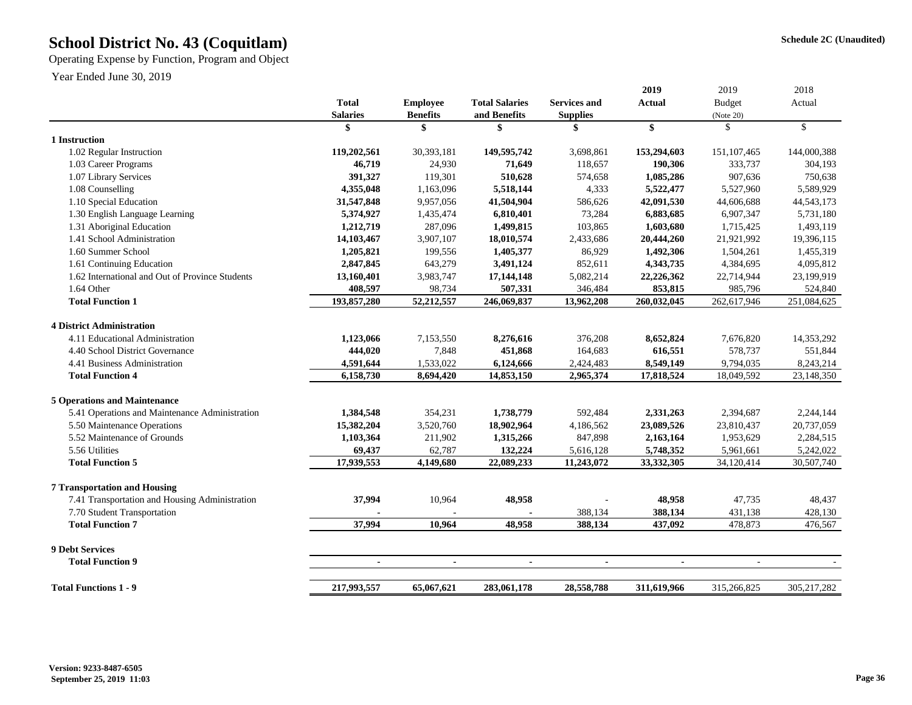## **Schedule 2C (Unaudited) School District No. 43 (Coquitlam)**

Operating Expense by Function, Program and Object

| <b>Total Salaries</b><br><b>Total</b><br><b>Employee</b><br><b>Services and</b><br><b>Actual</b><br><b>Budget</b><br>Actual<br><b>Benefits</b><br><b>Salaries</b><br>and Benefits<br><b>Supplies</b><br>(Note 20)<br>\$<br>\$<br>$\mathbb{S}$<br>\$<br>\$<br>\$<br>\$<br>1 Instruction<br>1.02 Regular Instruction<br>119,202,561<br>30,393,181<br>149,595,742<br>153,294,603<br>151, 107, 465<br>144,000,388<br>3,698,861<br>333,737<br>1.03 Career Programs<br>46,719<br>24,930<br>71,649<br>118,657<br>190,306<br>1.07 Library Services<br>391,327<br>119,301<br>510,628<br>1,085,286<br>907,636<br>574,658<br>1.08 Counselling<br>4,355,048<br>1,163,096<br>5,518,144<br>4,333<br>5,522,477<br>5,527,960<br>1.10 Special Education<br>41,504,904<br>42,091,530<br>31,547,848<br>9,957,056<br>586,626<br>44,606,688<br>1.30 English Language Learning<br>73,284<br>6,883,685<br>5,374,927<br>1,435,474<br>6,810,401<br>6,907,347<br>1.31 Aboriginal Education<br>1,499,815<br>103,865<br>1,603,680<br>1,212,719<br>287,096<br>1,715,425<br>20,444,260<br>1.41 School Administration<br>14,103,467<br>3,907,107<br>18,010,574<br>2,433,686<br>21,921,992 | 2018         |
|------------------------------------------------------------------------------------------------------------------------------------------------------------------------------------------------------------------------------------------------------------------------------------------------------------------------------------------------------------------------------------------------------------------------------------------------------------------------------------------------------------------------------------------------------------------------------------------------------------------------------------------------------------------------------------------------------------------------------------------------------------------------------------------------------------------------------------------------------------------------------------------------------------------------------------------------------------------------------------------------------------------------------------------------------------------------------------------------------------------------------------------------------------|--------------|
|                                                                                                                                                                                                                                                                                                                                                                                                                                                                                                                                                                                                                                                                                                                                                                                                                                                                                                                                                                                                                                                                                                                                                            |              |
|                                                                                                                                                                                                                                                                                                                                                                                                                                                                                                                                                                                                                                                                                                                                                                                                                                                                                                                                                                                                                                                                                                                                                            |              |
|                                                                                                                                                                                                                                                                                                                                                                                                                                                                                                                                                                                                                                                                                                                                                                                                                                                                                                                                                                                                                                                                                                                                                            |              |
|                                                                                                                                                                                                                                                                                                                                                                                                                                                                                                                                                                                                                                                                                                                                                                                                                                                                                                                                                                                                                                                                                                                                                            |              |
|                                                                                                                                                                                                                                                                                                                                                                                                                                                                                                                                                                                                                                                                                                                                                                                                                                                                                                                                                                                                                                                                                                                                                            |              |
|                                                                                                                                                                                                                                                                                                                                                                                                                                                                                                                                                                                                                                                                                                                                                                                                                                                                                                                                                                                                                                                                                                                                                            | 304,193      |
|                                                                                                                                                                                                                                                                                                                                                                                                                                                                                                                                                                                                                                                                                                                                                                                                                                                                                                                                                                                                                                                                                                                                                            | 750,638      |
|                                                                                                                                                                                                                                                                                                                                                                                                                                                                                                                                                                                                                                                                                                                                                                                                                                                                                                                                                                                                                                                                                                                                                            | 5,589,929    |
|                                                                                                                                                                                                                                                                                                                                                                                                                                                                                                                                                                                                                                                                                                                                                                                                                                                                                                                                                                                                                                                                                                                                                            | 44, 543, 173 |
|                                                                                                                                                                                                                                                                                                                                                                                                                                                                                                                                                                                                                                                                                                                                                                                                                                                                                                                                                                                                                                                                                                                                                            | 5,731,180    |
|                                                                                                                                                                                                                                                                                                                                                                                                                                                                                                                                                                                                                                                                                                                                                                                                                                                                                                                                                                                                                                                                                                                                                            | 1,493,119    |
|                                                                                                                                                                                                                                                                                                                                                                                                                                                                                                                                                                                                                                                                                                                                                                                                                                                                                                                                                                                                                                                                                                                                                            | 19,396,115   |
| 1,492,306<br>1.60 Summer School<br>1,205,821<br>199,556<br>1,405,377<br>86,929<br>1,504,261                                                                                                                                                                                                                                                                                                                                                                                                                                                                                                                                                                                                                                                                                                                                                                                                                                                                                                                                                                                                                                                                | 1,455,319    |
| 1.61 Continuing Education<br>3,491,124<br>4,343,735<br>2,847,845<br>643,279<br>852,611<br>4,384,695                                                                                                                                                                                                                                                                                                                                                                                                                                                                                                                                                                                                                                                                                                                                                                                                                                                                                                                                                                                                                                                        | 4,095,812    |
| 1.62 International and Out of Province Students<br>13,160,401<br>3,983,747<br>17,144,148<br>5,082,214<br>22,226,362<br>22,714,944                                                                                                                                                                                                                                                                                                                                                                                                                                                                                                                                                                                                                                                                                                                                                                                                                                                                                                                                                                                                                          | 23,199,919   |
| 1.64 Other<br>408,597<br>98,734<br>507,331<br>853,815<br>985,796<br>346,484                                                                                                                                                                                                                                                                                                                                                                                                                                                                                                                                                                                                                                                                                                                                                                                                                                                                                                                                                                                                                                                                                | 524,840      |
| 52,212,557<br>193,857,280<br>13,962,208<br>260,032,045<br>262,617,946<br>251,084,625<br><b>Total Function 1</b><br>246,069,837                                                                                                                                                                                                                                                                                                                                                                                                                                                                                                                                                                                                                                                                                                                                                                                                                                                                                                                                                                                                                             |              |
|                                                                                                                                                                                                                                                                                                                                                                                                                                                                                                                                                                                                                                                                                                                                                                                                                                                                                                                                                                                                                                                                                                                                                            |              |
| <b>4 District Administration</b>                                                                                                                                                                                                                                                                                                                                                                                                                                                                                                                                                                                                                                                                                                                                                                                                                                                                                                                                                                                                                                                                                                                           |              |
| 4.11 Educational Administration<br>1,123,066<br>7,153,550<br>8,276,616<br>376,208<br>8,652,824<br>7,676,820                                                                                                                                                                                                                                                                                                                                                                                                                                                                                                                                                                                                                                                                                                                                                                                                                                                                                                                                                                                                                                                | 14,353,292   |
| 444,020<br>7,848<br>451,868<br>616,551<br>578,737<br>4.40 School District Governance<br>164,683                                                                                                                                                                                                                                                                                                                                                                                                                                                                                                                                                                                                                                                                                                                                                                                                                                                                                                                                                                                                                                                            | 551,844      |
| 1,533,022<br>4.41 Business Administration<br>4,591,644<br>6,124,666<br>2,424,483<br>8,549,149<br>9,794,035                                                                                                                                                                                                                                                                                                                                                                                                                                                                                                                                                                                                                                                                                                                                                                                                                                                                                                                                                                                                                                                 | 8,243,214    |
| 6,158,730<br><b>Total Function 4</b><br>8,694,420<br>14,853,150<br>2,965,374<br>17,818,524<br>18,049,592                                                                                                                                                                                                                                                                                                                                                                                                                                                                                                                                                                                                                                                                                                                                                                                                                                                                                                                                                                                                                                                   | 23,148,350   |
| <b>5 Operations and Maintenance</b>                                                                                                                                                                                                                                                                                                                                                                                                                                                                                                                                                                                                                                                                                                                                                                                                                                                                                                                                                                                                                                                                                                                        |              |
| 5.41 Operations and Maintenance Administration<br>1,384,548<br>354,231<br>1,738,779<br>592,484<br>2,331,263<br>2,394,687                                                                                                                                                                                                                                                                                                                                                                                                                                                                                                                                                                                                                                                                                                                                                                                                                                                                                                                                                                                                                                   | 2,244,144    |
| 5.50 Maintenance Operations<br>15,382,204<br>3,520,760<br>18,902,964<br>4,186,562<br>23,089,526<br>23,810,437                                                                                                                                                                                                                                                                                                                                                                                                                                                                                                                                                                                                                                                                                                                                                                                                                                                                                                                                                                                                                                              | 20,737,059   |
| 5.52 Maintenance of Grounds<br>1,103,364<br>211,902<br>1,315,266<br>847,898<br>2,163,164<br>1,953,629                                                                                                                                                                                                                                                                                                                                                                                                                                                                                                                                                                                                                                                                                                                                                                                                                                                                                                                                                                                                                                                      | 2,284,515    |
| 5.56 Utilities<br>69,437<br>62,787<br>132,224<br>5,748,352<br>5,616,128<br>5,961,661                                                                                                                                                                                                                                                                                                                                                                                                                                                                                                                                                                                                                                                                                                                                                                                                                                                                                                                                                                                                                                                                       | 5,242,022    |
| 17,939,553<br>22,089,233<br>33, 332, 305<br><b>Total Function 5</b><br>4,149,680<br>11,243,072<br>34,120,414                                                                                                                                                                                                                                                                                                                                                                                                                                                                                                                                                                                                                                                                                                                                                                                                                                                                                                                                                                                                                                               | 30,507,740   |
|                                                                                                                                                                                                                                                                                                                                                                                                                                                                                                                                                                                                                                                                                                                                                                                                                                                                                                                                                                                                                                                                                                                                                            |              |
| <b>7 Transportation and Housing</b>                                                                                                                                                                                                                                                                                                                                                                                                                                                                                                                                                                                                                                                                                                                                                                                                                                                                                                                                                                                                                                                                                                                        |              |
| 7.41 Transportation and Housing Administration<br>37,994<br>48,958<br>10,964<br>48,958<br>47,735                                                                                                                                                                                                                                                                                                                                                                                                                                                                                                                                                                                                                                                                                                                                                                                                                                                                                                                                                                                                                                                           | 48,437       |
| 7.70 Student Transportation<br>388,134<br>388,134<br>431,138<br>$\overline{\phantom{a}}$                                                                                                                                                                                                                                                                                                                                                                                                                                                                                                                                                                                                                                                                                                                                                                                                                                                                                                                                                                                                                                                                   | 428,130      |
| <b>Total Function 7</b><br>37,994<br>10,964<br>48,958<br>388,134<br>437,092<br>478,873                                                                                                                                                                                                                                                                                                                                                                                                                                                                                                                                                                                                                                                                                                                                                                                                                                                                                                                                                                                                                                                                     | 476,567      |
| <b>9 Debt Services</b>                                                                                                                                                                                                                                                                                                                                                                                                                                                                                                                                                                                                                                                                                                                                                                                                                                                                                                                                                                                                                                                                                                                                     |              |
| <b>Total Function 9</b><br>$\blacksquare$<br>$\blacksquare$<br>$\blacksquare$<br>$\blacksquare$<br>$\omega$<br>$\blacksquare$                                                                                                                                                                                                                                                                                                                                                                                                                                                                                                                                                                                                                                                                                                                                                                                                                                                                                                                                                                                                                              |              |
|                                                                                                                                                                                                                                                                                                                                                                                                                                                                                                                                                                                                                                                                                                                                                                                                                                                                                                                                                                                                                                                                                                                                                            |              |
| 217,993,557<br>28,558,788<br><b>Total Functions 1 - 9</b><br>65,067,621<br>283,061,178<br>311,619,966<br>315,266,825<br>305, 217, 282                                                                                                                                                                                                                                                                                                                                                                                                                                                                                                                                                                                                                                                                                                                                                                                                                                                                                                                                                                                                                      |              |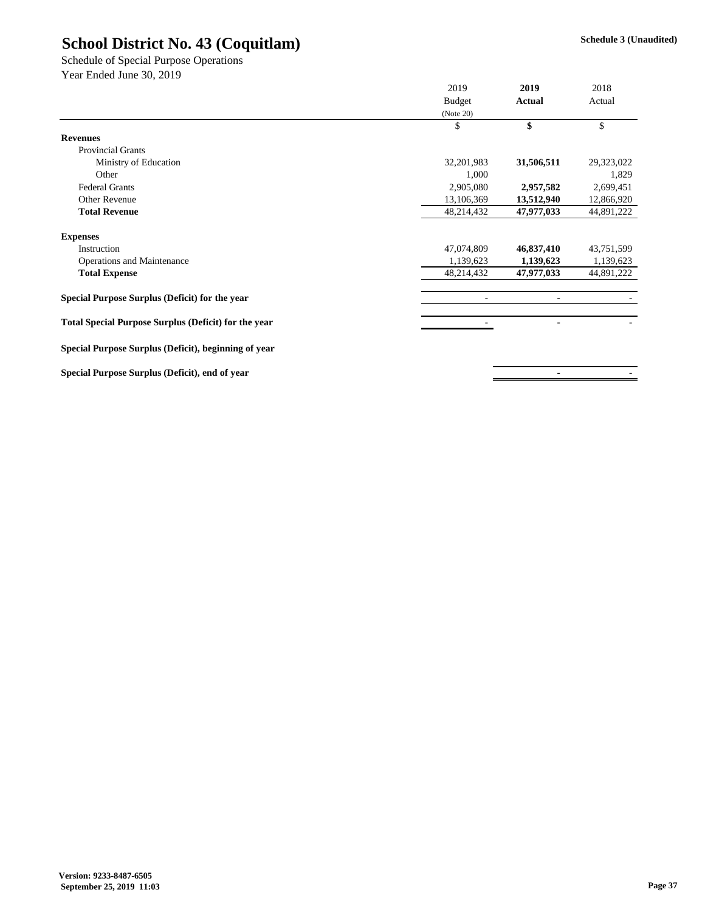Year Ended June 30, 2019 Schedule of Special Purpose Operations

|                                                             | 2019          | 2019       | 2018       |
|-------------------------------------------------------------|---------------|------------|------------|
|                                                             | <b>Budget</b> | Actual     | Actual     |
|                                                             | (Note 20)     |            |            |
|                                                             | \$            | \$         | \$         |
| <b>Revenues</b>                                             |               |            |            |
| Provincial Grants                                           |               |            |            |
| Ministry of Education                                       | 32,201,983    | 31,506,511 | 29,323,022 |
| Other                                                       | 1,000         |            | 1,829      |
| <b>Federal Grants</b>                                       | 2,905,080     | 2,957,582  | 2,699,451  |
| Other Revenue                                               | 13,106,369    | 13,512,940 | 12,866,920 |
| <b>Total Revenue</b>                                        | 48,214,432    | 47,977,033 | 44,891,222 |
| <b>Expenses</b>                                             |               |            |            |
| Instruction                                                 | 47,074,809    | 46,837,410 | 43,751,599 |
| Operations and Maintenance                                  | 1,139,623     | 1,139,623  | 1,139,623  |
| <b>Total Expense</b>                                        | 48,214,432    | 47,977,033 | 44,891,222 |
| Special Purpose Surplus (Deficit) for the year              |               | ٠          |            |
| <b>Total Special Purpose Surplus (Deficit) for the year</b> |               | ۰          |            |
| Special Purpose Surplus (Deficit), beginning of year        |               |            |            |
| Special Purpose Surplus (Deficit), end of year              |               | ۰          |            |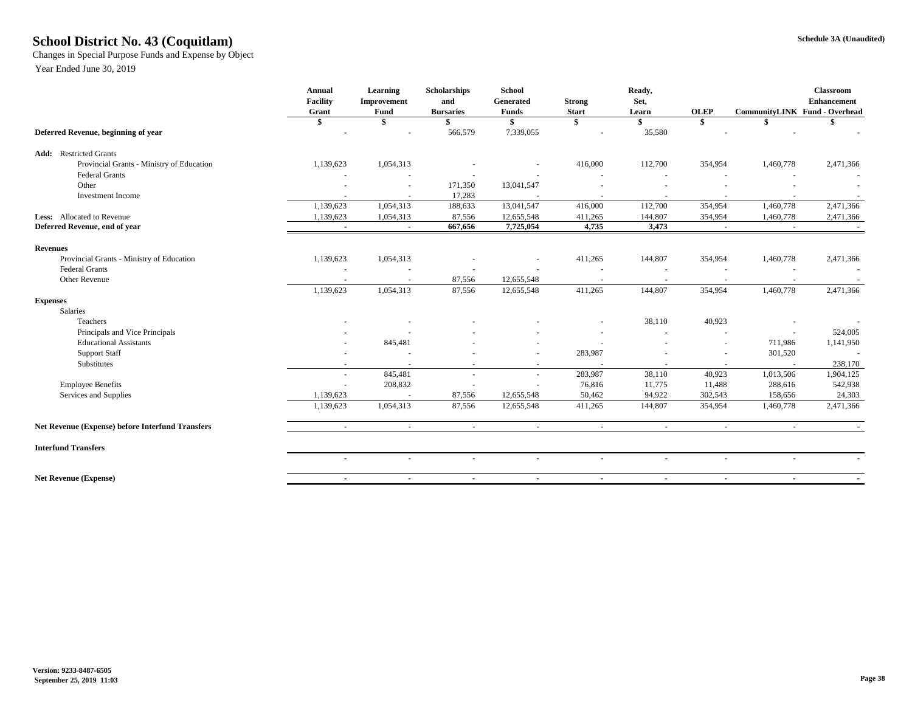### **Schedule 3A (Unaudited) School District No. 43 (Coquitlam)**

Changes in Special Purpose Funds and Expense by Object

|                                                         | Annual<br><b>Facility</b> | Learning<br>Improvement               | <b>Scholarships</b><br>and | <b>School</b><br>Generated   | <b>Strong</b>                       | Ready,<br>Set,                      |                          |                               | <b>Classroom</b><br><b>Enhancement</b> |
|---------------------------------------------------------|---------------------------|---------------------------------------|----------------------------|------------------------------|-------------------------------------|-------------------------------------|--------------------------|-------------------------------|----------------------------------------|
|                                                         | Grant                     | Fund                                  | <b>Bursaries</b>           | <b>Funds</b>                 | <b>Start</b>                        | Learn                               | <b>OLEP</b>              | CommunityLINK Fund - Overhead |                                        |
|                                                         | \$                        | \$                                    | \$<br>566,579              | \$<br>7,339,055              | $\mathbf{s}$                        | \$<br>35,580                        | \$                       | $\mathbf{s}$                  |                                        |
| Deferred Revenue, beginning of year                     |                           |                                       |                            |                              |                                     |                                     |                          |                               |                                        |
| <b>Add:</b> Restricted Grants                           |                           |                                       |                            |                              |                                     |                                     |                          |                               |                                        |
| Provincial Grants - Ministry of Education               | 1,139,623                 | 1,054,313                             |                            |                              | 416,000                             | 112,700                             | 354,954                  | 1,460,778                     | 2,471,366                              |
| <b>Federal Grants</b>                                   |                           |                                       |                            |                              |                                     | $\overline{\phantom{a}}$            |                          | $\sim$                        |                                        |
| Other                                                   |                           |                                       | 171,350                    | 13,041,547                   |                                     |                                     |                          |                               |                                        |
| <b>Investment Income</b>                                | 1,139,623                 | $\overline{\phantom{a}}$<br>1,054,313 | 17,283<br>188,633          | $\blacksquare$<br>13,041,547 | $\overline{\phantom{a}}$<br>416,000 | $\overline{\phantom{a}}$<br>112,700 | 354,954                  | $\sim$<br>1,460,778           | 2,471,366                              |
| Less: Allocated to Revenue                              | 1,139,623                 | 1,054,313                             | 87,556                     | 12,655,548                   | 411,265                             | 144,807                             | 354,954                  | 1,460,778                     |                                        |
| Deferred Revenue, end of year                           | $\blacksquare$            | $\blacksquare$                        | 667,656                    | 7,725,054                    | 4,735                               | 3,473                               | $\blacksquare$           | $\blacksquare$                | 2,471,366                              |
|                                                         |                           |                                       |                            |                              |                                     |                                     |                          |                               |                                        |
| <b>Revenues</b>                                         |                           |                                       |                            |                              |                                     |                                     |                          |                               |                                        |
| Provincial Grants - Ministry of Education               | 1,139,623                 | 1,054,313                             |                            |                              | 411,265                             | 144,807                             | 354,954                  | 1,460,778                     | 2,471,366                              |
| <b>Federal Grants</b>                                   |                           |                                       |                            |                              |                                     |                                     |                          |                               |                                        |
| Other Revenue                                           |                           |                                       | 87,556                     | 12,655,548                   |                                     |                                     |                          |                               |                                        |
|                                                         | 1,139,623                 | 1,054,313                             | 87,556                     | 12,655,548                   | 411,265                             | 144,807                             | 354,954                  | 1,460,778                     | 2,471,366                              |
| <b>Expenses</b>                                         |                           |                                       |                            |                              |                                     |                                     |                          |                               |                                        |
| Salaries                                                |                           |                                       |                            |                              |                                     |                                     |                          |                               |                                        |
| Teachers                                                |                           |                                       |                            |                              |                                     | 38,110                              | 40,923                   |                               |                                        |
| Principals and Vice Principals                          |                           |                                       |                            |                              |                                     |                                     |                          | $\sim$                        | 524,005                                |
| <b>Educational Assistants</b>                           |                           | 845,481                               |                            |                              |                                     |                                     | $\overline{\phantom{a}}$ | 711,986                       | 1,141,950                              |
| <b>Support Staff</b>                                    |                           |                                       |                            |                              | 283,987                             |                                     |                          | 301,520                       |                                        |
| Substitutes                                             |                           |                                       | $\overline{\phantom{a}}$   | $\sim$                       |                                     | $\sim$                              | $\sim$                   | $\sim$                        | 238,170                                |
|                                                         |                           | 845,481                               |                            | $\sim$                       | 283,987                             | 38,110                              | 40,923                   | 1,013,506                     | 1,904,125                              |
| <b>Employee Benefits</b>                                |                           | 208,832                               |                            |                              | 76,816                              | 11,775                              | 11,488                   | 288,616                       | 542,938                                |
| Services and Supplies                                   | 1,139,623                 | 1,054,313                             | 87,556                     | 12,655,548                   | 50,462                              | 94,922                              | 302,543                  | 158,656                       | 24,303                                 |
|                                                         | 1,139,623                 |                                       | 87,556                     | 12,655,548                   | 411,265                             | 144,807                             | 354,954                  | 1,460,778                     | 2,471,366                              |
| <b>Net Revenue (Expense) before Interfund Transfers</b> | $\sim$                    | $\sim$                                | $\sim$                     | $\sim$                       | $\sim$                              | $\sim$                              | $\sim$                   | $\sim$                        |                                        |
| <b>Interfund Transfers</b>                              |                           |                                       |                            |                              |                                     |                                     |                          |                               |                                        |
|                                                         | $\sim$                    | $\sim$                                | $\sim$                     | $\sim$                       | $\sim$                              | ٠                                   | $\sim$                   | $\sim$                        |                                        |
| <b>Net Revenue (Expense)</b>                            | $\sim$                    | $\sim$                                | $\sim$                     | $\sim$                       | $\sim$                              | $\sim$                              | $\sim$                   | $\sim$                        |                                        |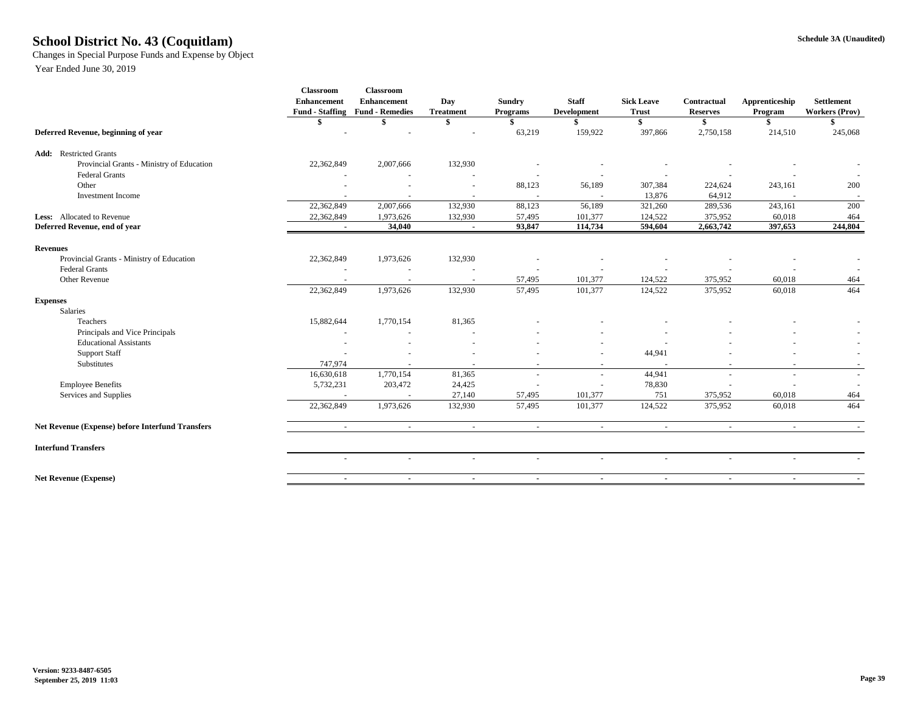### **Schedule 3A (Unaudited) School District No. 43 (Coquitlam)**

Changes in Special Purpose Funds and Expense by Object

|                                                  | <b>Classroom</b><br><b>Enhancement</b> | Classroom<br><b>Enhancement</b><br>Fund - Staffing Fund - Remedies | Day<br><b>Treatment</b> | <b>Sundry</b><br>Programs | <b>Staff</b><br><b>Development</b> | <b>Sick Leave</b><br><b>Trust</b> | Contractual<br><b>Reserves</b> | Apprenticeship<br>Program | <b>Settlement</b><br><b>Workers (Prov)</b> |
|--------------------------------------------------|----------------------------------------|--------------------------------------------------------------------|-------------------------|---------------------------|------------------------------------|-----------------------------------|--------------------------------|---------------------------|--------------------------------------------|
|                                                  |                                        |                                                                    | \$                      | \$                        |                                    | <sup>\$</sup>                     | S.                             | \$                        | \$.                                        |
| Deferred Revenue, beginning of year              |                                        |                                                                    |                         | 63,219                    | 159,922                            | 397,866                           | 2,750,158                      | 214,510                   | 245,068                                    |
| <b>Add:</b> Restricted Grants                    |                                        |                                                                    |                         |                           |                                    |                                   |                                |                           |                                            |
| Provincial Grants - Ministry of Education        | 22,362,849                             | 2,007,666                                                          | 132,930                 |                           |                                    |                                   |                                |                           |                                            |
| <b>Federal Grants</b>                            |                                        |                                                                    |                         |                           |                                    |                                   |                                |                           |                                            |
| Other                                            |                                        |                                                                    |                         | 88,123                    | 56,189                             | 307,384                           | 224,624                        | 243,161                   | 200                                        |
| <b>Investment Income</b>                         |                                        |                                                                    |                         |                           |                                    | 13,876                            | 64,912                         |                           | $\sim$                                     |
|                                                  | 22,362,849                             | 2,007,666                                                          | 132,930                 | 88,123                    | 56,189                             | 321,260                           | 289,536                        | 243,161                   | 200                                        |
| Less: Allocated to Revenue                       | 22,362,849                             | 1,973,626                                                          | 132,930                 | 57,495                    | 101,377                            | 124,522                           | 375,952                        | 60,018                    | 464                                        |
| Deferred Revenue, end of year                    | $\blacksquare$                         | 34,040                                                             | $\blacksquare$          | 93,847                    | 114,734                            | 594,604                           | 2,663,742                      | 397,653                   | 244,804                                    |
| <b>Revenues</b>                                  |                                        |                                                                    |                         |                           |                                    |                                   |                                |                           |                                            |
| Provincial Grants - Ministry of Education        | 22,362,849                             | 1,973,626                                                          | 132,930                 |                           |                                    |                                   |                                |                           |                                            |
| <b>Federal Grants</b>                            |                                        |                                                                    |                         |                           |                                    |                                   |                                |                           |                                            |
| Other Revenue                                    |                                        |                                                                    |                         | 57,495                    | 101,377                            | 124,522                           | 375,952                        | 60,018                    | 464                                        |
|                                                  | 22,362,849                             | 1,973,626                                                          | 132,930                 | 57,495                    | 101,377                            | 124,522                           | 375,952                        | 60,018                    | 464                                        |
| <b>Expenses</b>                                  |                                        |                                                                    |                         |                           |                                    |                                   |                                |                           |                                            |
| Salaries                                         |                                        |                                                                    |                         |                           |                                    |                                   |                                |                           |                                            |
| Teachers                                         | 15,882,644                             | 1,770,154                                                          | 81,365                  |                           |                                    |                                   |                                |                           |                                            |
| Principals and Vice Principals                   | $\overline{\phantom{a}}$               |                                                                    |                         |                           |                                    |                                   |                                |                           |                                            |
| <b>Educational Assistants</b>                    |                                        |                                                                    |                         |                           |                                    |                                   |                                |                           |                                            |
| <b>Support Staff</b>                             |                                        |                                                                    |                         |                           |                                    | 44,941                            |                                |                           | $\sim$                                     |
| Substitutes                                      | 747,974                                |                                                                    |                         | $\sim$                    | $\overline{\phantom{a}}$           |                                   | $\overline{\phantom{a}}$       | $\overline{\phantom{a}}$  |                                            |
|                                                  | 16,630,618                             | 1,770,154                                                          | 81,365                  |                           | $\sim$                             | 44,941                            | $\overline{a}$                 | $\sim$                    | $\sim$                                     |
| <b>Employee Benefits</b>                         | 5,732,231                              | 203,472                                                            | 24,425                  |                           |                                    | 78,830                            |                                |                           |                                            |
| Services and Supplies                            |                                        |                                                                    | 27,140                  | 57,495                    | 101,377                            | 751                               | 375,952                        | 60,018                    | 464                                        |
|                                                  | 22,362,849                             | 1,973,626                                                          | 132,930                 | 57,495                    | 101,377                            | 124,522                           | 375,952                        | 60,018                    | 464                                        |
| Net Revenue (Expense) before Interfund Transfers | $\sim$                                 | $\sim$                                                             | $\sim$                  | $\sim$                    | $\sim$                             | $\sim$                            | $\sim$                         | $\sim$                    |                                            |
| <b>Interfund Transfers</b>                       |                                        |                                                                    |                         |                           |                                    |                                   |                                |                           |                                            |
|                                                  | $\sim$                                 | $\overline{\phantom{a}}$                                           | $\sim$                  | $\overline{a}$            | $\ddot{\phantom{1}}$               | $\sim$                            | $\sim$                         | $\sim$                    |                                            |
| <b>Net Revenue (Expense)</b>                     | $\sim$                                 | $\sim$                                                             | $\sim$                  | $\sim$                    | $\sim$                             | $\sim$                            | $\blacksquare$                 | $\sim$                    | $\sim$                                     |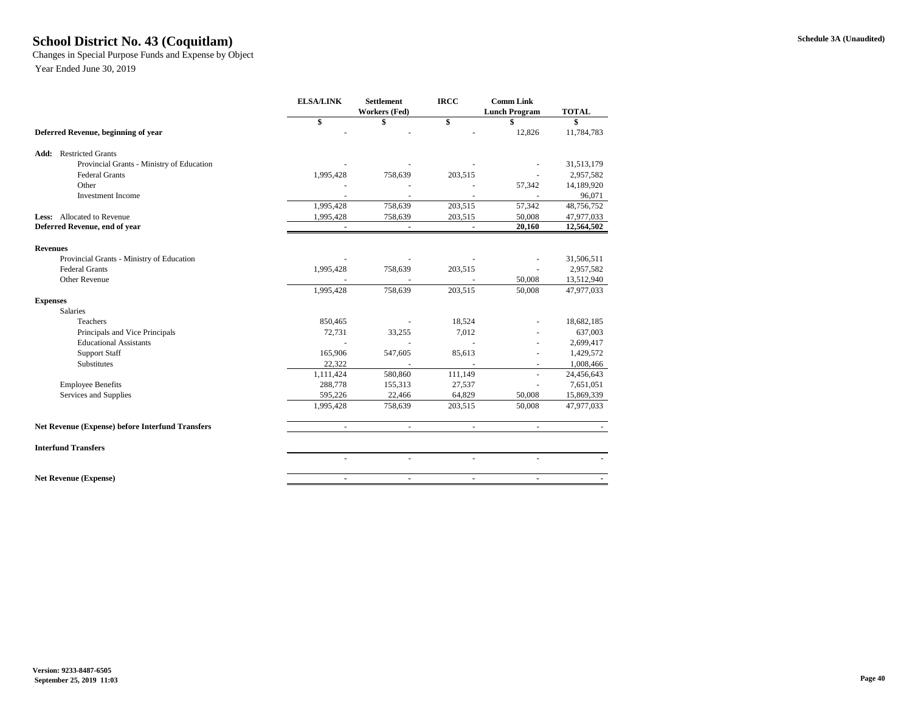### **Schedule 3A (Unaudited) School District No. 43 (Coquitlam)**

Changes in Special Purpose Funds and Expense by Object

|                                                         | <b>ELSA/LINK</b><br><b>Settlement</b><br>Workers (Fed) |                | <b>IRCC</b>    | <b>Comm Link</b><br><b>Lunch Program</b> | <b>TOTAL</b> |  |
|---------------------------------------------------------|--------------------------------------------------------|----------------|----------------|------------------------------------------|--------------|--|
|                                                         | \$                                                     | \$             | \$             | \$                                       | \$           |  |
| Deferred Revenue, beginning of year                     |                                                        |                |                | 12,826                                   | 11,784,783   |  |
| <b>Add:</b> Restricted Grants                           |                                                        |                |                |                                          |              |  |
| Provincial Grants - Ministry of Education               |                                                        |                |                |                                          | 31,513,179   |  |
| <b>Federal Grants</b>                                   | 1,995,428                                              | 758,639        | 203,515        |                                          | 2,957,582    |  |
| Other                                                   |                                                        |                |                | 57,342                                   | 14,189,920   |  |
| <b>Investment Income</b>                                |                                                        |                |                |                                          | 96,071       |  |
|                                                         | 1,995,428                                              | 758,639        | 203,515        | 57,342                                   | 48,756,752   |  |
| <b>Less:</b> Allocated to Revenue                       | 1,995,428                                              | 758,639        | 203,515        | 50,008                                   | 47,977,033   |  |
| Deferred Revenue, end of year                           |                                                        |                |                | 20,160                                   | 12,564,502   |  |
| <b>Revenues</b>                                         |                                                        |                |                |                                          |              |  |
| Provincial Grants - Ministry of Education               |                                                        |                |                |                                          | 31,506,511   |  |
| <b>Federal Grants</b>                                   | 1,995,428                                              | 758,639        | 203,515        |                                          | 2,957,582    |  |
| Other Revenue                                           |                                                        |                |                | 50,008                                   | 13,512,940   |  |
|                                                         | 1,995,428                                              | 758,639        | 203,515        | 50,008                                   | 47,977,033   |  |
| <b>Expenses</b>                                         |                                                        |                |                |                                          |              |  |
| Salaries                                                |                                                        |                |                |                                          |              |  |
| <b>Teachers</b>                                         | 850,465                                                |                | 18,524         |                                          | 18,682,185   |  |
| Principals and Vice Principals                          | 72,731                                                 | 33,255         | 7,012          |                                          | 637,003      |  |
| <b>Educational Assistants</b>                           |                                                        |                |                |                                          | 2,699,417    |  |
| <b>Support Staff</b>                                    | 165,906                                                | 547,605        | 85,613         |                                          | 1,429,572    |  |
| <b>Substitutes</b>                                      | 22.322                                                 | $\blacksquare$ | $\sim$         | ٠                                        | 1,008,466    |  |
|                                                         | 1,111,424                                              | 580,860        | 111,149        |                                          | 24,456,643   |  |
| <b>Employee Benefits</b>                                | 288,778                                                | 155,313        | 27,537         |                                          | 7,651,051    |  |
| Services and Supplies                                   | 595,226                                                | 22,466         | 64,829         | 50,008                                   | 15,869,339   |  |
|                                                         | 1,995,428                                              | 758,639        | 203,515        | 50,008                                   | 47,977,033   |  |
| <b>Net Revenue (Expense) before Interfund Transfers</b> | $\omega$                                               | $\omega$       | $\omega$       | $\sim$                                   |              |  |
| <b>Interfund Transfers</b>                              |                                                        |                |                |                                          |              |  |
|                                                         | $\blacksquare$                                         | $\sim$         | u,             |                                          |              |  |
| <b>Net Revenue (Expense)</b>                            | $\blacksquare$                                         | $\blacksquare$ | $\blacksquare$ | ۰.                                       |              |  |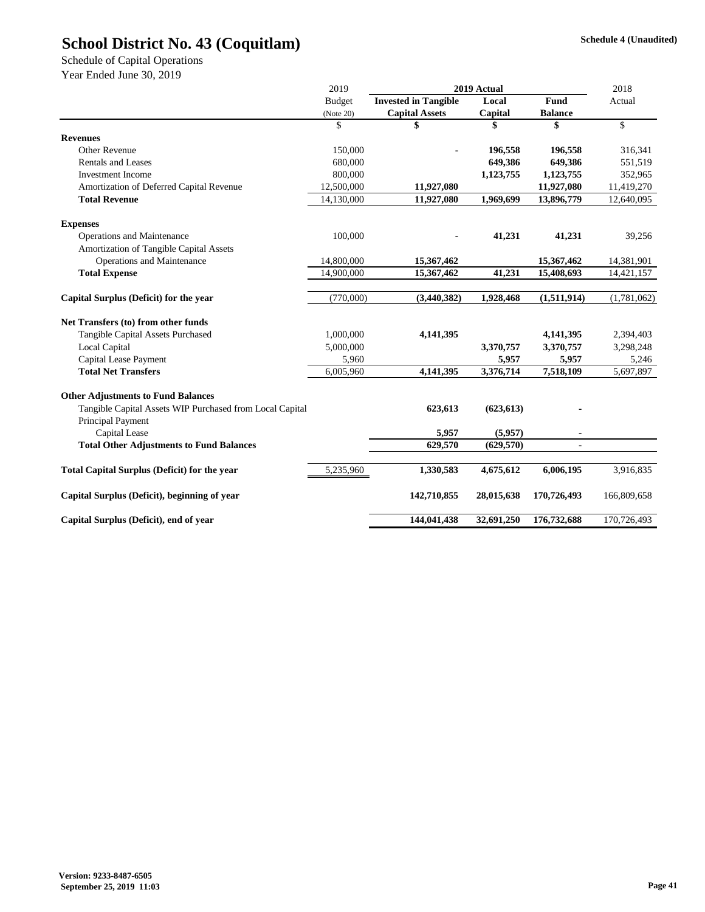Schedule of Capital Operations

|                                                          | 2019          | 2019 Actual                 |            |                | 2018        |  |
|----------------------------------------------------------|---------------|-----------------------------|------------|----------------|-------------|--|
|                                                          | <b>Budget</b> | <b>Invested in Tangible</b> | Local      | <b>Fund</b>    | Actual      |  |
|                                                          | (Note 20)     | <b>Capital Assets</b>       | Capital    | <b>Balance</b> |             |  |
|                                                          | \$            | \$                          |            | \$             | \$          |  |
| <b>Revenues</b>                                          |               |                             |            |                |             |  |
| Other Revenue                                            | 150,000       |                             | 196,558    | 196,558        | 316,341     |  |
| <b>Rentals and Leases</b>                                | 680,000       |                             | 649,386    | 649,386        | 551,519     |  |
| <b>Investment Income</b>                                 | 800,000       |                             | 1,123,755  | 1,123,755      | 352,965     |  |
| Amortization of Deferred Capital Revenue                 | 12,500,000    | 11,927,080                  |            | 11,927,080     | 11,419,270  |  |
| <b>Total Revenue</b>                                     | 14,130,000    | 11,927,080                  | 1,969,699  | 13,896,779     | 12,640,095  |  |
| <b>Expenses</b>                                          |               |                             |            |                |             |  |
| Operations and Maintenance                               | 100,000       |                             | 41,231     | 41,231         | 39,256      |  |
| Amortization of Tangible Capital Assets                  |               |                             |            |                |             |  |
| Operations and Maintenance                               | 14,800,000    | 15,367,462                  |            | 15,367,462     | 14,381,901  |  |
| <b>Total Expense</b>                                     | 14,900,000    | 15,367,462                  | 41,231     | 15,408,693     | 14,421,157  |  |
| Capital Surplus (Deficit) for the year                   | (770,000)     | (3,440,382)                 | 1,928,468  | (1,511,914)    | (1,781,062) |  |
| Net Transfers (to) from other funds                      |               |                             |            |                |             |  |
| Tangible Capital Assets Purchased                        | 1,000,000     | 4,141,395                   |            | 4,141,395      | 2,394,403   |  |
| Local Capital                                            | 5,000,000     |                             | 3,370,757  | 3,370,757      | 3,298,248   |  |
| Capital Lease Payment                                    | 5,960         |                             | 5,957      | 5,957          | 5,246       |  |
| <b>Total Net Transfers</b>                               | 6,005,960     | 4,141,395                   | 3,376,714  | 7,518,109      | 5,697,897   |  |
| <b>Other Adjustments to Fund Balances</b>                |               |                             |            |                |             |  |
| Tangible Capital Assets WIP Purchased from Local Capital |               | 623,613                     | (623, 613) |                |             |  |
| Principal Payment                                        |               |                             |            |                |             |  |
| Capital Lease                                            |               | 5,957                       | (5,957)    |                |             |  |
| <b>Total Other Adjustments to Fund Balances</b>          |               | 629,570                     | (629, 570) |                |             |  |
| <b>Total Capital Surplus (Deficit) for the year</b>      | 5,235,960     | 1,330,583                   | 4,675,612  | 6,006,195      | 3,916,835   |  |
| Capital Surplus (Deficit), beginning of year             |               | 142,710,855                 | 28,015,638 | 170,726,493    | 166,809,658 |  |
| Capital Surplus (Deficit), end of year                   |               | 144,041,438                 | 32,691,250 | 176,732,688    | 170,726,493 |  |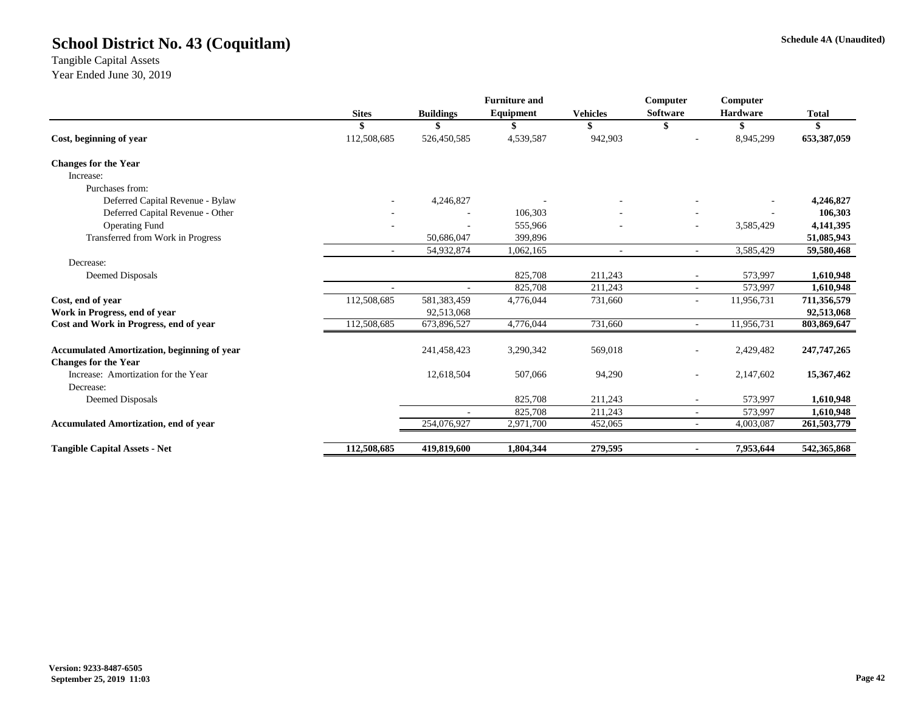Tangible Capital Assets Year Ended June 30, 2019

|              |                  | <b>Furniture and</b>      |                                            | Computer                                | Computer        |                                              |
|--------------|------------------|---------------------------|--------------------------------------------|-----------------------------------------|-----------------|----------------------------------------------|
| <b>Sites</b> | <b>Buildings</b> | Equipment                 | <b>Vehicles</b>                            | <b>Software</b>                         | <b>Hardware</b> | <b>Total</b>                                 |
|              |                  |                           |                                            | S                                       | S               |                                              |
| 112,508,685  | 526,450,585      | 4,539,587                 | 942,903                                    |                                         | 8,945,299       | 653,387,059                                  |
|              |                  |                           |                                            |                                         |                 |                                              |
|              |                  |                           |                                            |                                         |                 |                                              |
|              |                  |                           |                                            |                                         |                 |                                              |
|              | 4,246,827        |                           |                                            |                                         |                 | 4,246,827                                    |
|              |                  | 106,303                   |                                            |                                         |                 | 106,303                                      |
|              |                  | 555,966                   |                                            | ۰                                       | 3,585,429       | 4,141,395                                    |
|              | 50,686,047       | 399,896                   |                                            |                                         |                 | 51,085,943                                   |
| $\sim$       | 54,932,874       | 1,062,165                 | ÷.                                         | $\mathbf{r}$                            | 3,585,429       | 59,580,468                                   |
|              |                  |                           |                                            |                                         |                 |                                              |
|              |                  | 825,708                   | 211,243                                    | $\overline{\phantom{a}}$                | 573,997         | 1,610,948                                    |
|              |                  | 825,708                   | 211,243                                    | $\sim$                                  | 573,997         | 1,610,948                                    |
| 112,508,685  | 581,383,459      | 4,776,044                 | 731,660                                    | ٠                                       | 11,956,731      | 711,356,579                                  |
|              | 92,513,068       |                           |                                            |                                         |                 | 92,513,068                                   |
| 112,508,685  | 673,896,527      | 4,776,044                 | 731,660                                    | $\sim$                                  | 11,956,731      | 803,869,647                                  |
|              | 241,458,423      | 3,290,342                 | 569,018                                    | ٠                                       | 2,429,482       | 247,747,265                                  |
|              |                  |                           |                                            |                                         |                 |                                              |
|              |                  |                           |                                            | ٠                                       |                 | 15,367,462                                   |
|              |                  |                           |                                            |                                         |                 |                                              |
|              |                  |                           |                                            | ٠                                       |                 | 1,610,948                                    |
|              |                  |                           |                                            | $\sim$                                  |                 | 1,610,948                                    |
|              |                  |                           |                                            | $\sim$                                  |                 | 261,503,779                                  |
| 112,508,685  | 419,819,600      | 1,804,344                 | 279,595                                    | ٠                                       | 7,953,644       | 542,365,868                                  |
|              |                  | 12,618,504<br>254,076,927 | 507,066<br>825,708<br>825,708<br>2,971,700 | 94,290<br>211,243<br>211,243<br>452,065 |                 | 2,147,602<br>573,997<br>573,997<br>4,003,087 |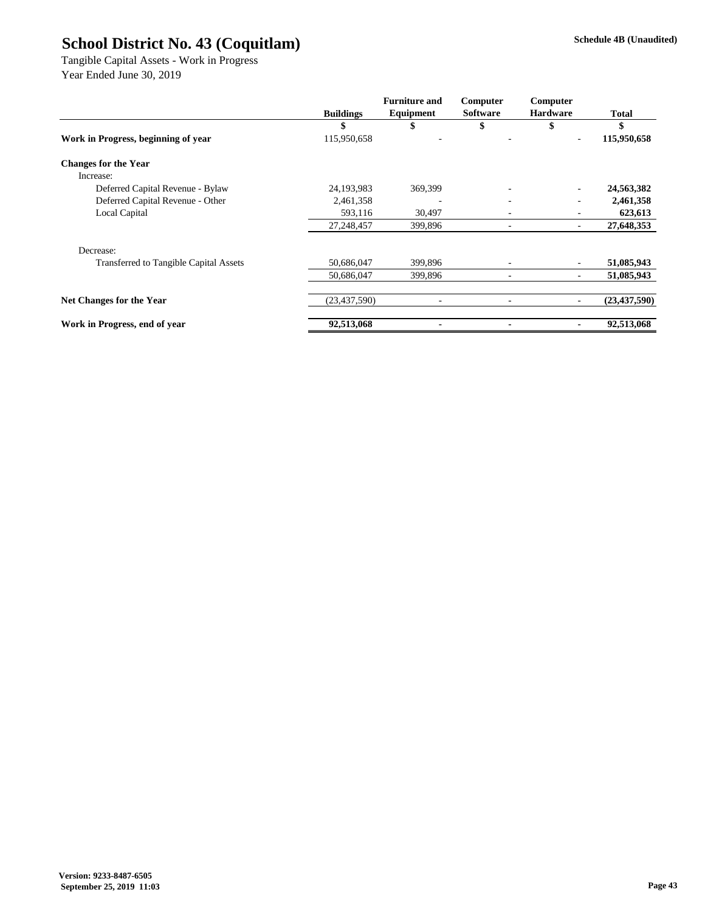Tangible Capital Assets - Work in Progress Year Ended June 30, 2019

|                                               |                  | <b>Furniture and</b>     | Computer                 | Computer        |                |
|-----------------------------------------------|------------------|--------------------------|--------------------------|-----------------|----------------|
|                                               | <b>Buildings</b> | Equipment                | <b>Software</b>          | <b>Hardware</b> | <b>Total</b>   |
|                                               | \$               | ъ                        |                          | \$              | \$             |
| Work in Progress, beginning of year           | 115,950,658      |                          |                          |                 | 115,950,658    |
| <b>Changes for the Year</b>                   |                  |                          |                          |                 |                |
| Increase:                                     |                  |                          |                          |                 |                |
| Deferred Capital Revenue - Bylaw              | 24,193,983       | 369,399                  | ٠                        |                 | 24,563,382     |
| Deferred Capital Revenue - Other              | 2,461,358        |                          | ٠                        |                 | 2,461,358      |
| Local Capital                                 | 593,116          | 30,497                   | ٠                        |                 | 623,613        |
|                                               | 27,248,457       | 399,896                  | ٠                        | ۰               | 27,648,353     |
| Decrease:                                     |                  |                          |                          |                 |                |
| <b>Transferred to Tangible Capital Assets</b> | 50,686,047       | 399,896                  | ٠                        |                 | 51,085,943     |
|                                               | 50,686,047       | 399,896                  | $\overline{\phantom{a}}$ |                 | 51,085,943     |
| Net Changes for the Year                      | (23, 437, 590)   | $\overline{\phantom{a}}$ | ٠                        |                 | (23, 437, 590) |
| Work in Progress, end of year                 | 92,513,068       |                          | ٠                        |                 | 92,513,068     |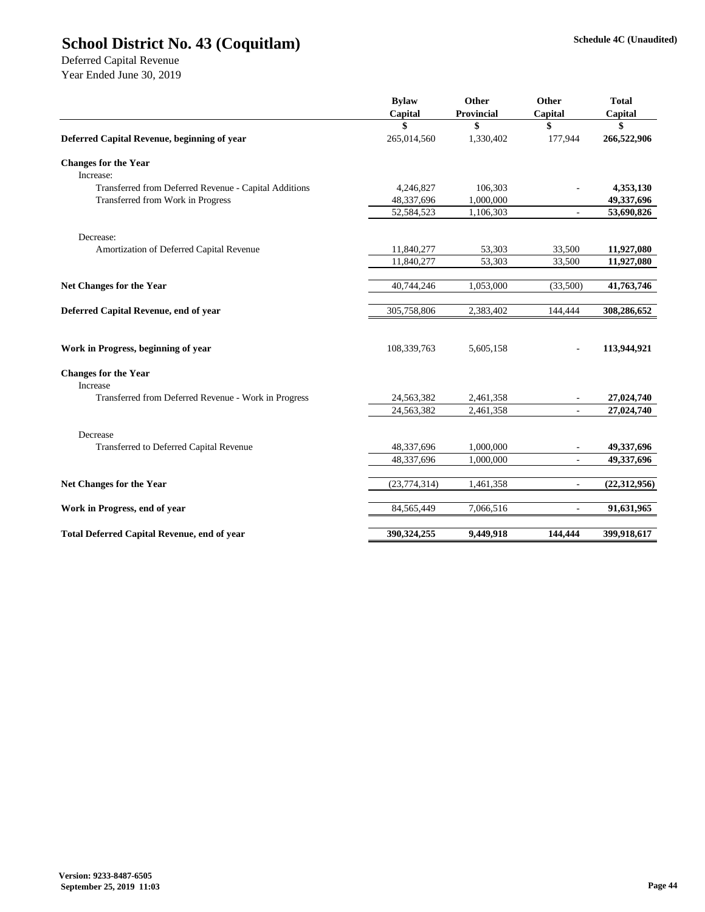Deferred Capital Revenue

|                                                       | <b>Bylaw</b>   | Other             | Other                    | <b>Total</b>   |
|-------------------------------------------------------|----------------|-------------------|--------------------------|----------------|
|                                                       | Capital        | <b>Provincial</b> | Capital                  | Capital        |
|                                                       | \$             | \$                | \$                       | \$             |
| Deferred Capital Revenue, beginning of year           | 265,014,560    | 1,330,402         | 177,944                  | 266,522,906    |
| <b>Changes for the Year</b>                           |                |                   |                          |                |
| Increase:                                             |                |                   |                          |                |
| Transferred from Deferred Revenue - Capital Additions | 4,246,827      | 106,303           |                          | 4,353,130      |
| Transferred from Work in Progress                     | 48,337,696     | 1,000,000         |                          | 49,337,696     |
|                                                       | 52,584,523     | 1,106,303         |                          | 53,690,826     |
| Decrease:                                             |                |                   |                          |                |
| Amortization of Deferred Capital Revenue              | 11,840,277     | 53,303            | 33,500                   | 11,927,080     |
|                                                       | 11,840,277     | 53,303            | 33,500                   | 11,927,080     |
| Net Changes for the Year                              | 40,744,246     | 1,053,000         | (33,500)                 | 41,763,746     |
| Deferred Capital Revenue, end of year                 | 305,758,806    | 2,383,402         | 144,444                  | 308,286,652    |
|                                                       |                |                   |                          |                |
| Work in Progress, beginning of year                   | 108,339,763    | 5,605,158         | ÷,                       | 113,944,921    |
| <b>Changes for the Year</b>                           |                |                   |                          |                |
| Increase                                              |                |                   |                          |                |
| Transferred from Deferred Revenue - Work in Progress  | 24,563,382     | 2,461,358         |                          | 27,024,740     |
|                                                       | 24,563,382     | 2,461,358         |                          | 27,024,740     |
| Decrease                                              |                |                   |                          |                |
| Transferred to Deferred Capital Revenue               | 48,337,696     | 1,000,000         |                          | 49,337,696     |
|                                                       | 48,337,696     | 1,000,000         |                          | 49,337,696     |
| Net Changes for the Year                              | (23, 774, 314) | 1,461,358         | ÷,                       | (22, 312, 956) |
| Work in Progress, end of year                         | 84,565,449     | 7,066,516         | $\overline{\phantom{a}}$ | 91,631,965     |
| <b>Total Deferred Capital Revenue, end of year</b>    | 390,324,255    | 9,449,918         | 144,444                  | 399,918,617    |